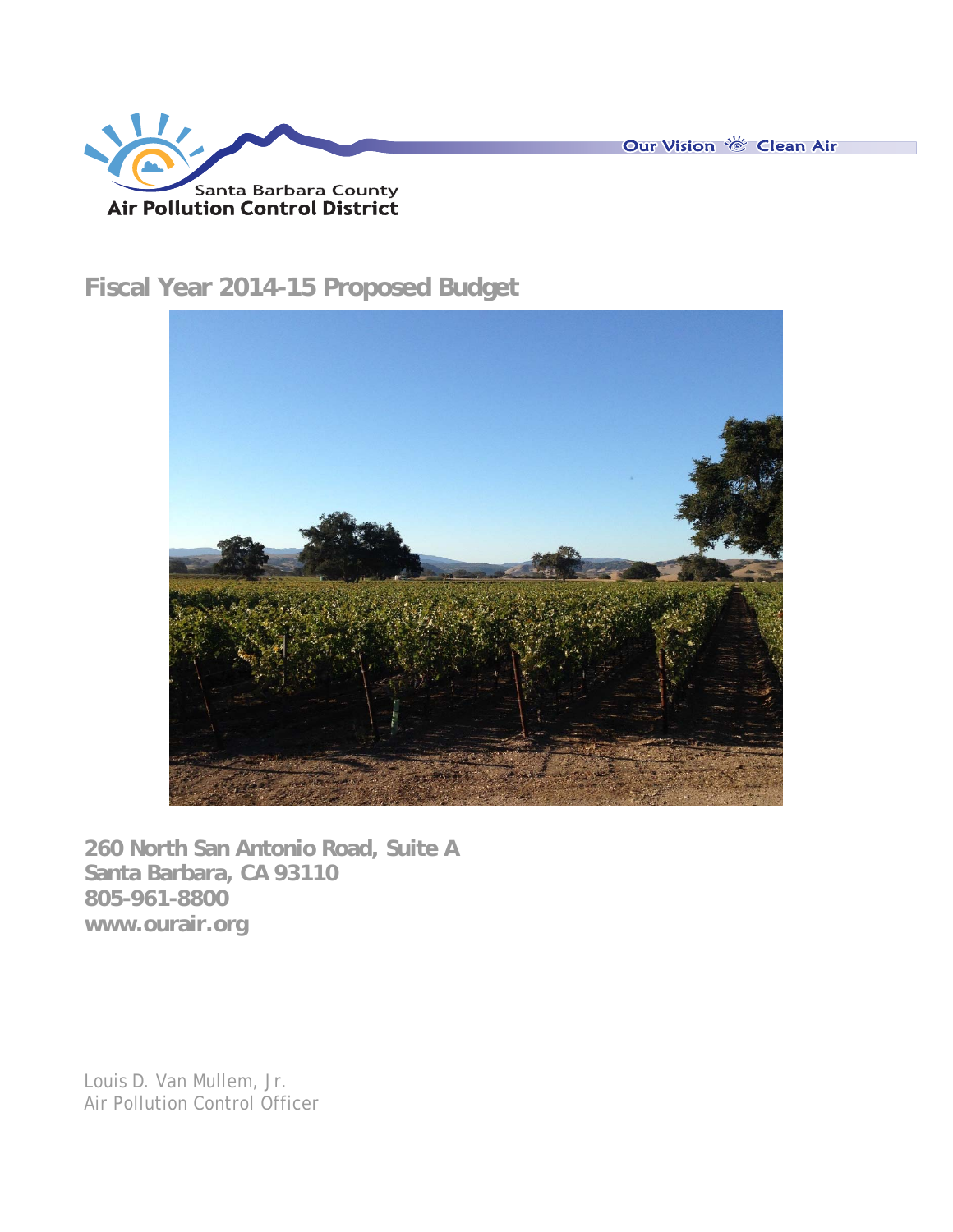**Example 20 Our Vision**  $\frac{1}{2}$  **Clean Air** 



# **Fiscal Year 2014-15 Proposed Budget**



**260 North San Antonio Road, Suite A Santa Barbara, CA 93110 805-961-8800 www.ourair.org**

Louis D. Van Mullem, Jr. Air Pollution Control Officer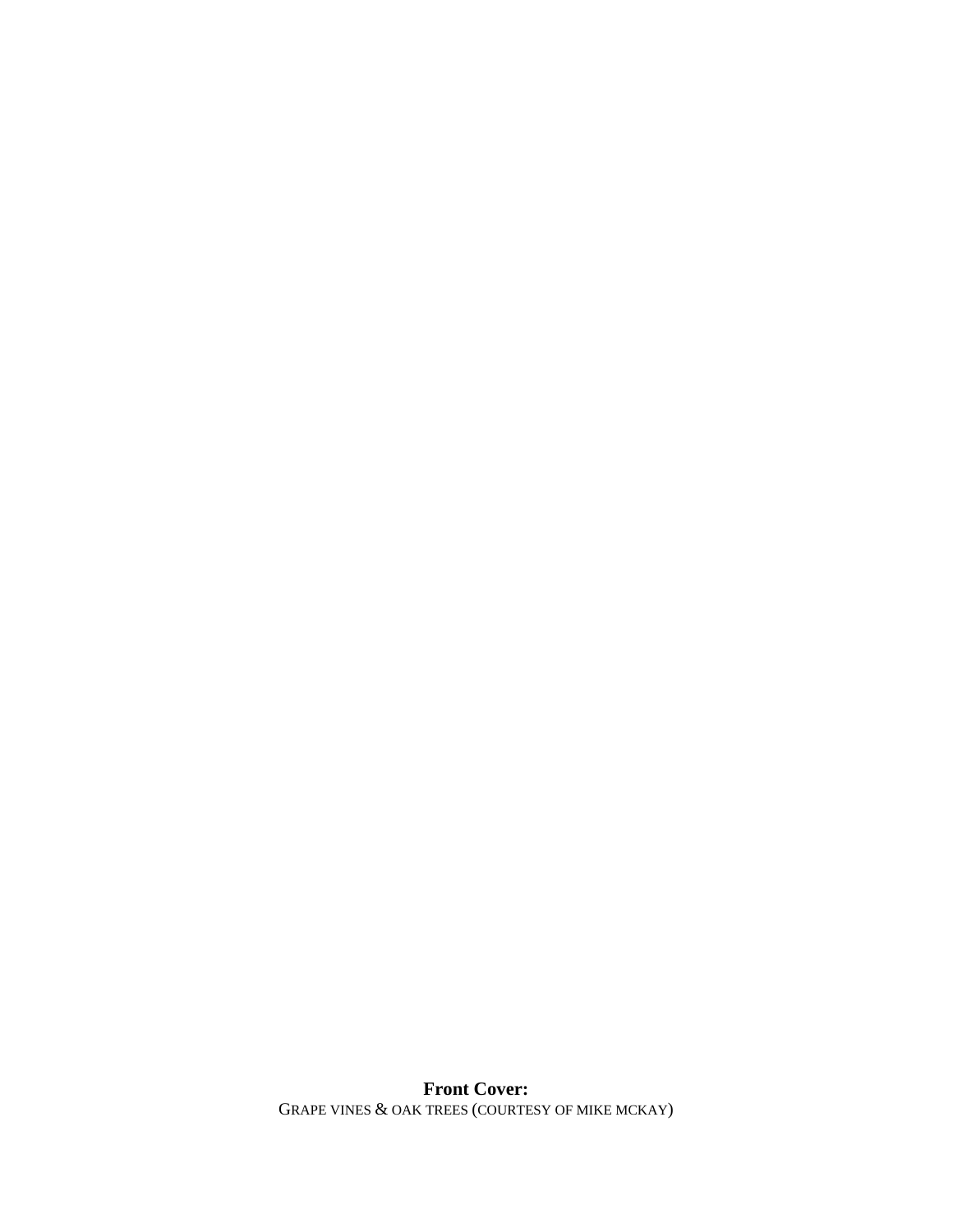**Front Cover:**  GRAPE VINES & OAK TREES (COURTESY OF MIKE MCKAY)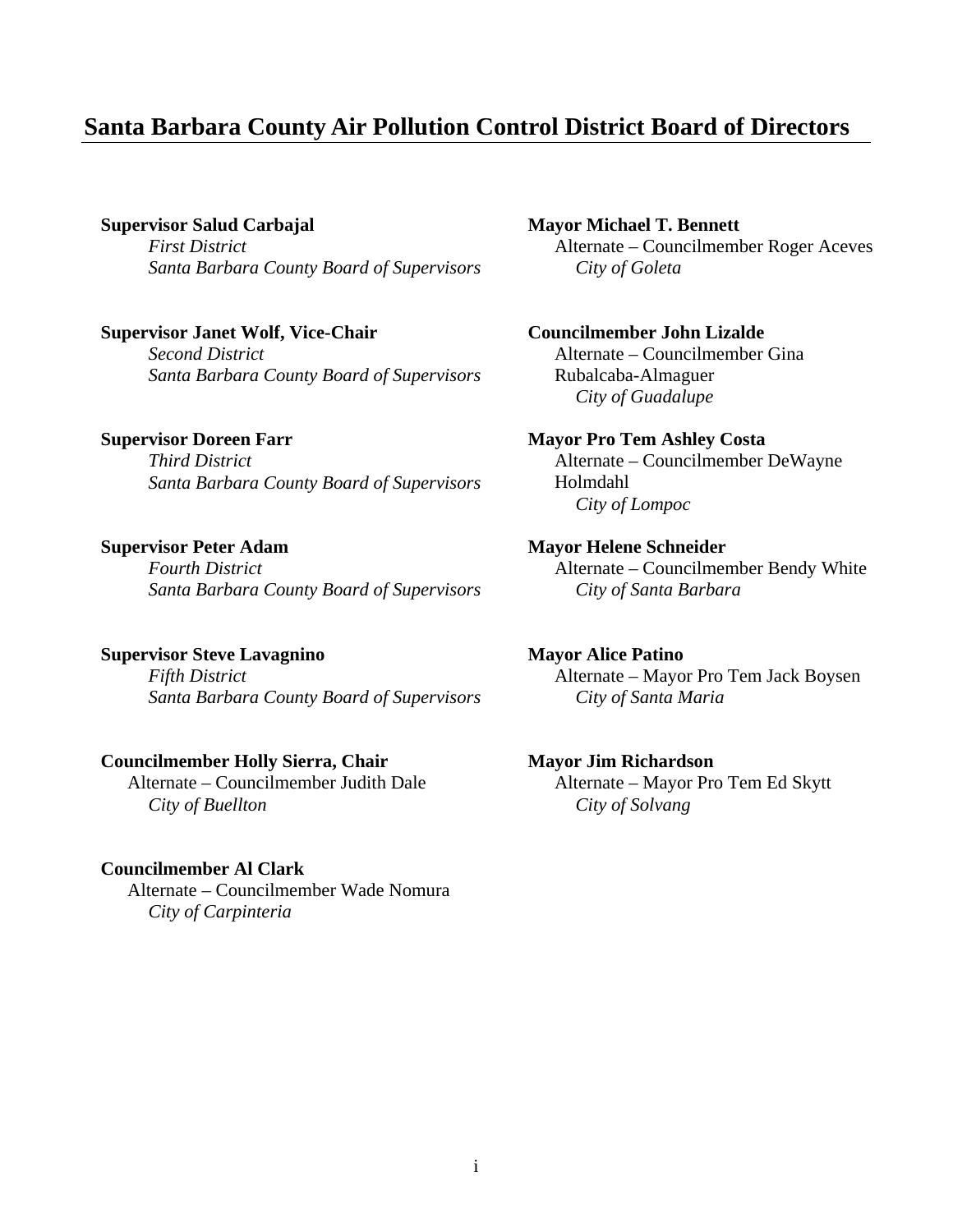## **Santa Barbara County Air Pollution Control District Board of Directors**

## **Supervisor Salud Carbajal**

*First District Santa Barbara County Board of Supervisors* 

### **Supervisor Janet Wolf, Vice-Chair**

*Second District Santa Barbara County Board of Supervisors* 

## **Supervisor Doreen Farr**

*Third District Santa Barbara County Board of Supervisors* 

## **Supervisor Peter Adam**

*Fourth District Santa Barbara County Board of Supervisors* 

## **Supervisor Steve Lavagnino**

*Fifth District Santa Barbara County Board of Supervisors* 

## **Councilmember Holly Sierra, Chair**

Alternate – Councilmember Judith Dale *City of Buellton* 

## **Councilmember Al Clark**

Alternate – Councilmember Wade Nomura *City of Carpinteria*

## **Mayor Michael T. Bennett**

Alternate – Councilmember Roger Aceves *City of Goleta* 

### **Councilmember John Lizalde**

Alternate – Councilmember Gina Rubalcaba-Almaguer *City of Guadalupe* 

#### **Mayor Pro Tem Ashley Costa**

Alternate – Councilmember DeWayne Holmdahl *City of Lompoc* 

## **Mayor Helene Schneider**

Alternate – Councilmember Bendy White *City of Santa Barbara* 

## **Mayor Alice Patino**

Alternate – Mayor Pro Tem Jack Boysen *City of Santa Maria* 

### **Mayor Jim Richardson**

Alternate – Mayor Pro Tem Ed Skytt *City of Solvang*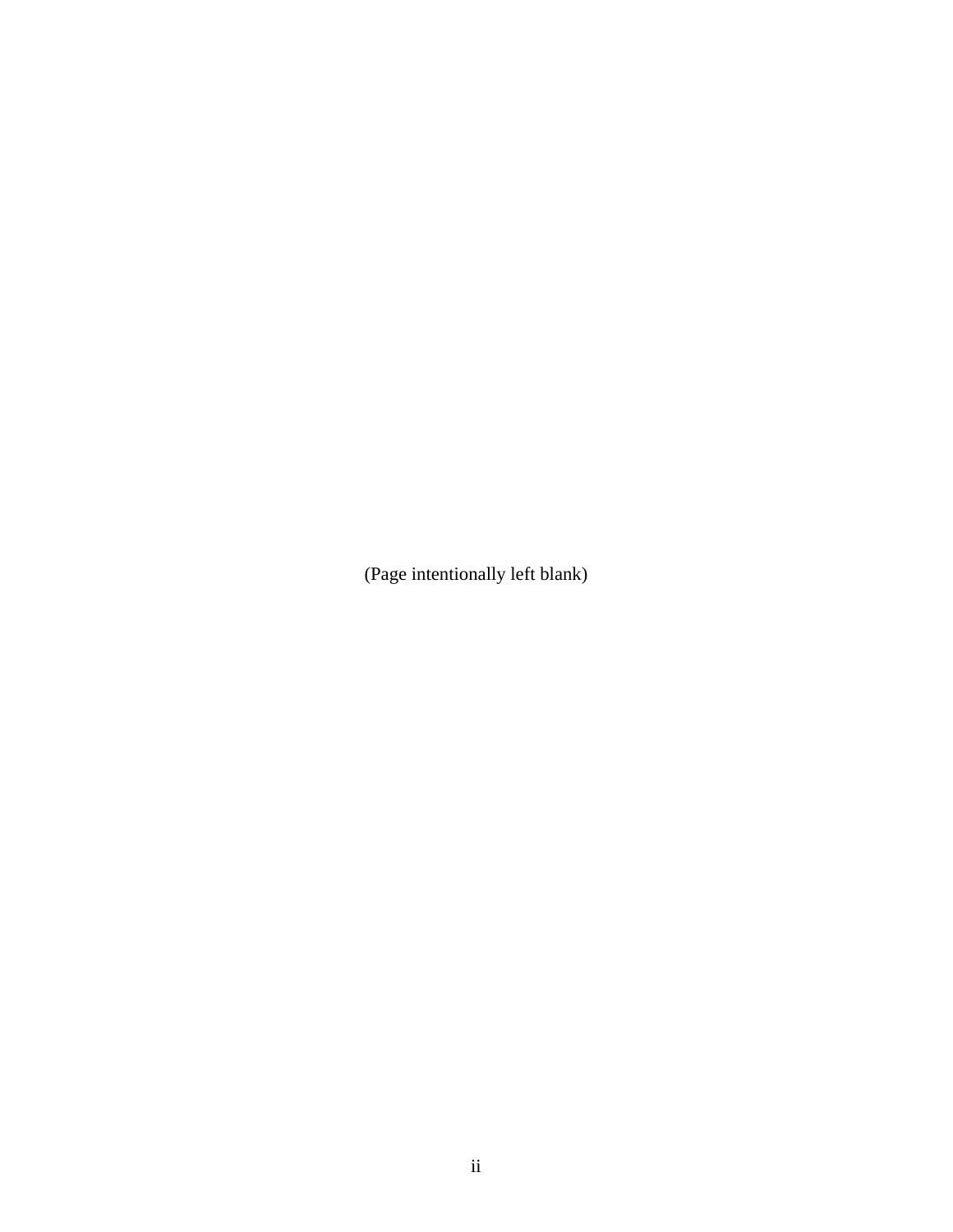(Page intentionally left blank)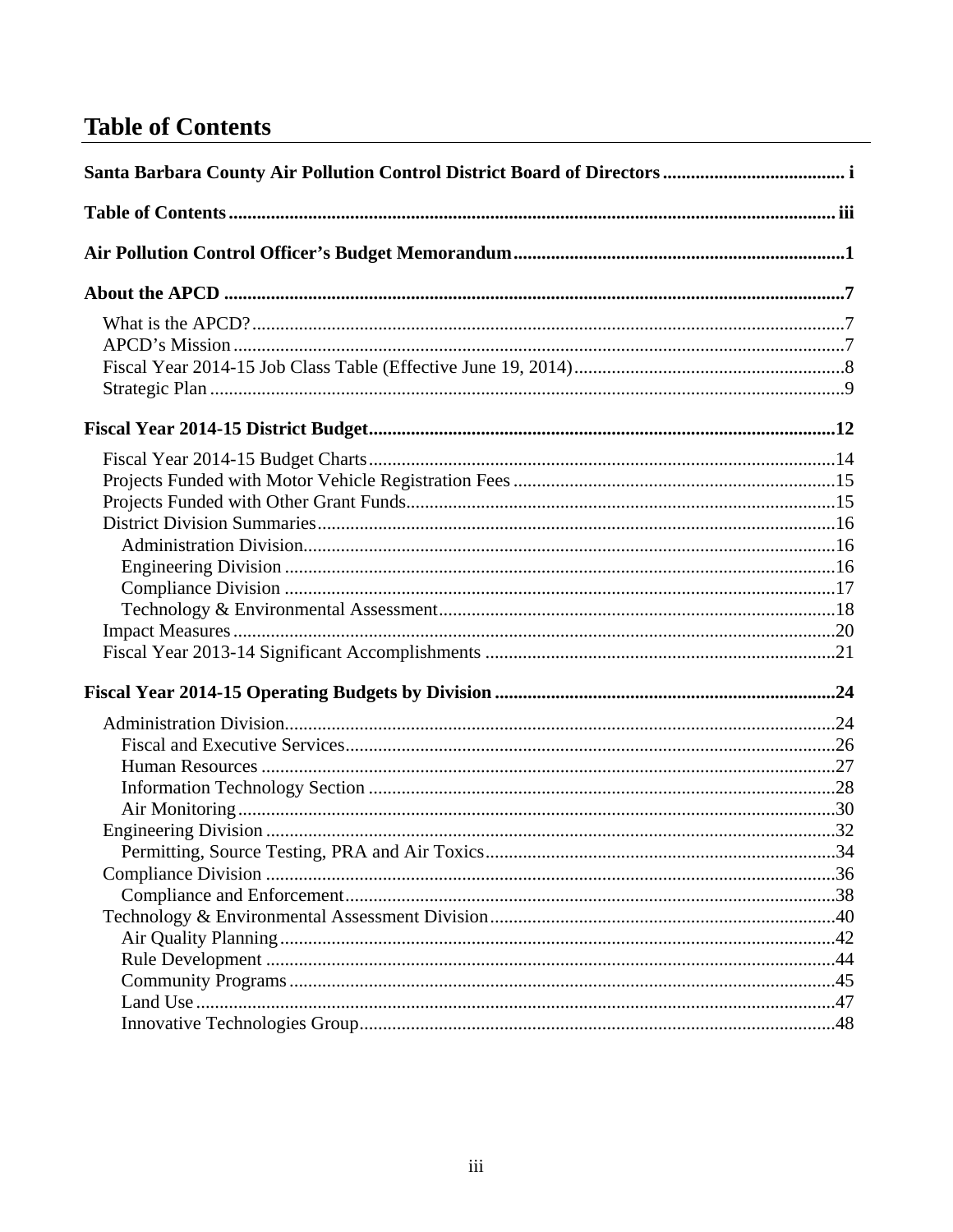# **Table of Contents**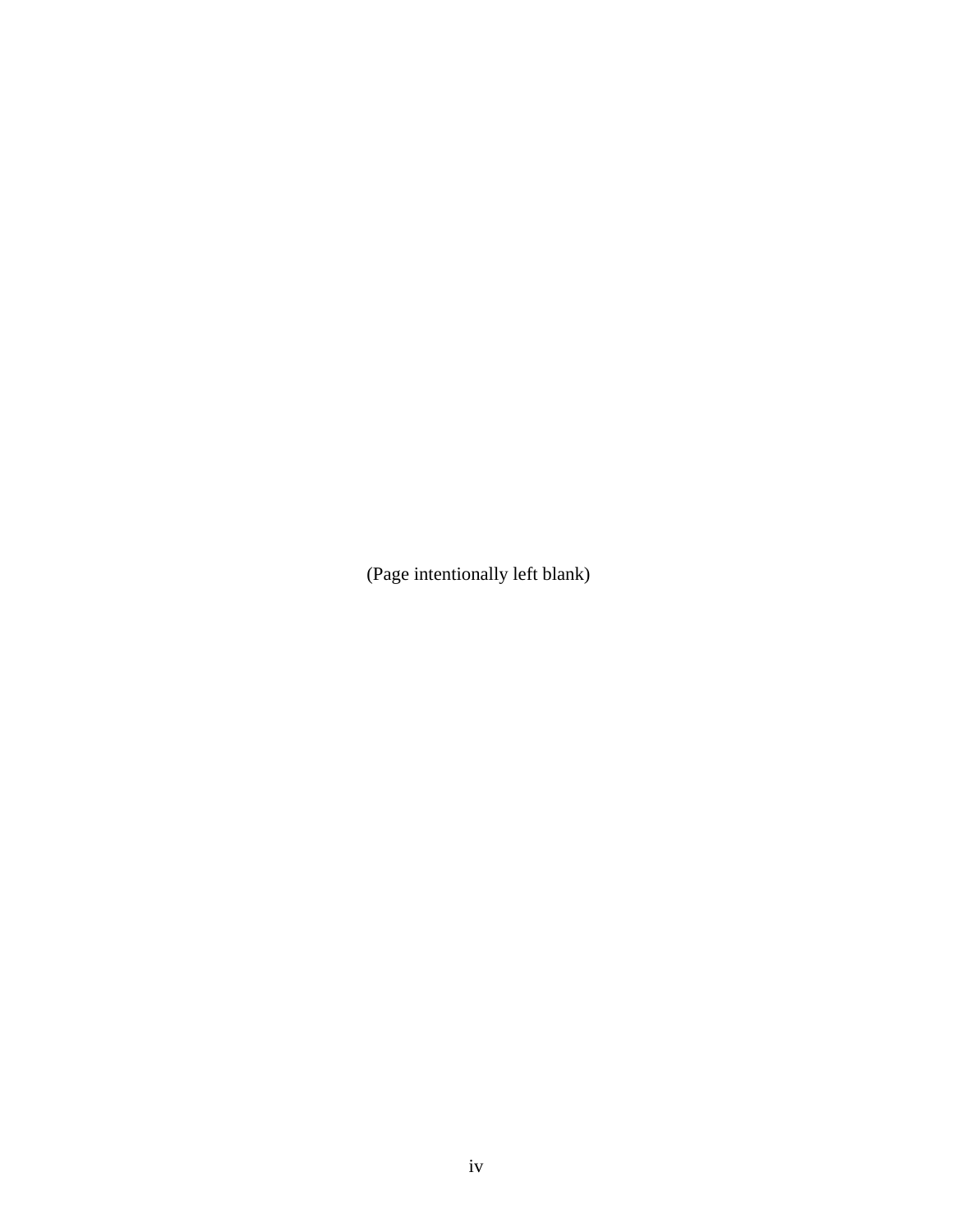(Page intentionally left blank)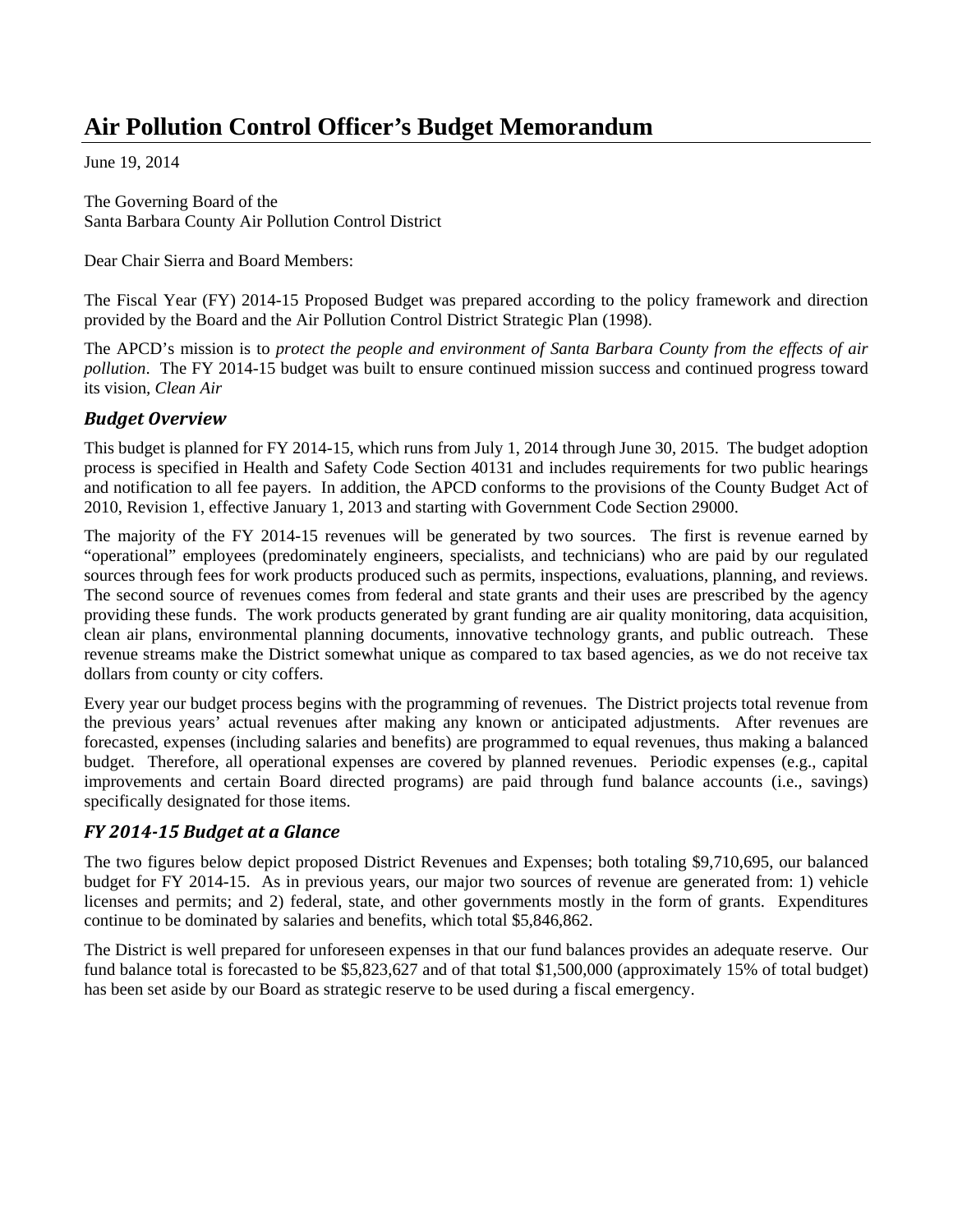## **Air Pollution Control Officer's Budget Memorandum**

June 19, 2014

The Governing Board of the Santa Barbara County Air Pollution Control District

Dear Chair Sierra and Board Members:

The Fiscal Year (FY) 2014-15 Proposed Budget was prepared according to the policy framework and direction provided by the Board and the Air Pollution Control District Strategic Plan (1998).

The APCD's mission is to *protect the people and environment of Santa Barbara County from the effects of air pollution*. The FY 2014-15 budget was built to ensure continued mission success and continued progress toward its vision*, Clean Air*

## *Budget Overview*

This budget is planned for FY 2014-15, which runs from July 1, 2014 through June 30, 2015. The budget adoption process is specified in Health and Safety Code Section 40131 and includes requirements for two public hearings and notification to all fee payers. In addition, the APCD conforms to the provisions of the County Budget Act of 2010, Revision 1, effective January 1, 2013 and starting with Government Code Section 29000.

The majority of the FY 2014-15 revenues will be generated by two sources. The first is revenue earned by "operational" employees (predominately engineers, specialists, and technicians) who are paid by our regulated sources through fees for work products produced such as permits, inspections, evaluations, planning, and reviews. The second source of revenues comes from federal and state grants and their uses are prescribed by the agency providing these funds. The work products generated by grant funding are air quality monitoring, data acquisition, clean air plans, environmental planning documents, innovative technology grants, and public outreach. These revenue streams make the District somewhat unique as compared to tax based agencies, as we do not receive tax dollars from county or city coffers.

Every year our budget process begins with the programming of revenues. The District projects total revenue from the previous years' actual revenues after making any known or anticipated adjustments. After revenues are forecasted, expenses (including salaries and benefits) are programmed to equal revenues, thus making a balanced budget. Therefore, all operational expenses are covered by planned revenues. Periodic expenses (e.g., capital improvements and certain Board directed programs) are paid through fund balance accounts (i.e., savings) specifically designated for those items.

## *FY 2014‐15 Budget at a Glance*

The two figures below depict proposed District Revenues and Expenses; both totaling \$9,710,695, our balanced budget for FY 2014-15. As in previous years, our major two sources of revenue are generated from: 1) vehicle licenses and permits; and 2) federal, state, and other governments mostly in the form of grants. Expenditures continue to be dominated by salaries and benefits, which total \$5,846,862.

The District is well prepared for unforeseen expenses in that our fund balances provides an adequate reserve. Our fund balance total is forecasted to be \$5,823,627 and of that total \$1,500,000 (approximately 15% of total budget) has been set aside by our Board as strategic reserve to be used during a fiscal emergency.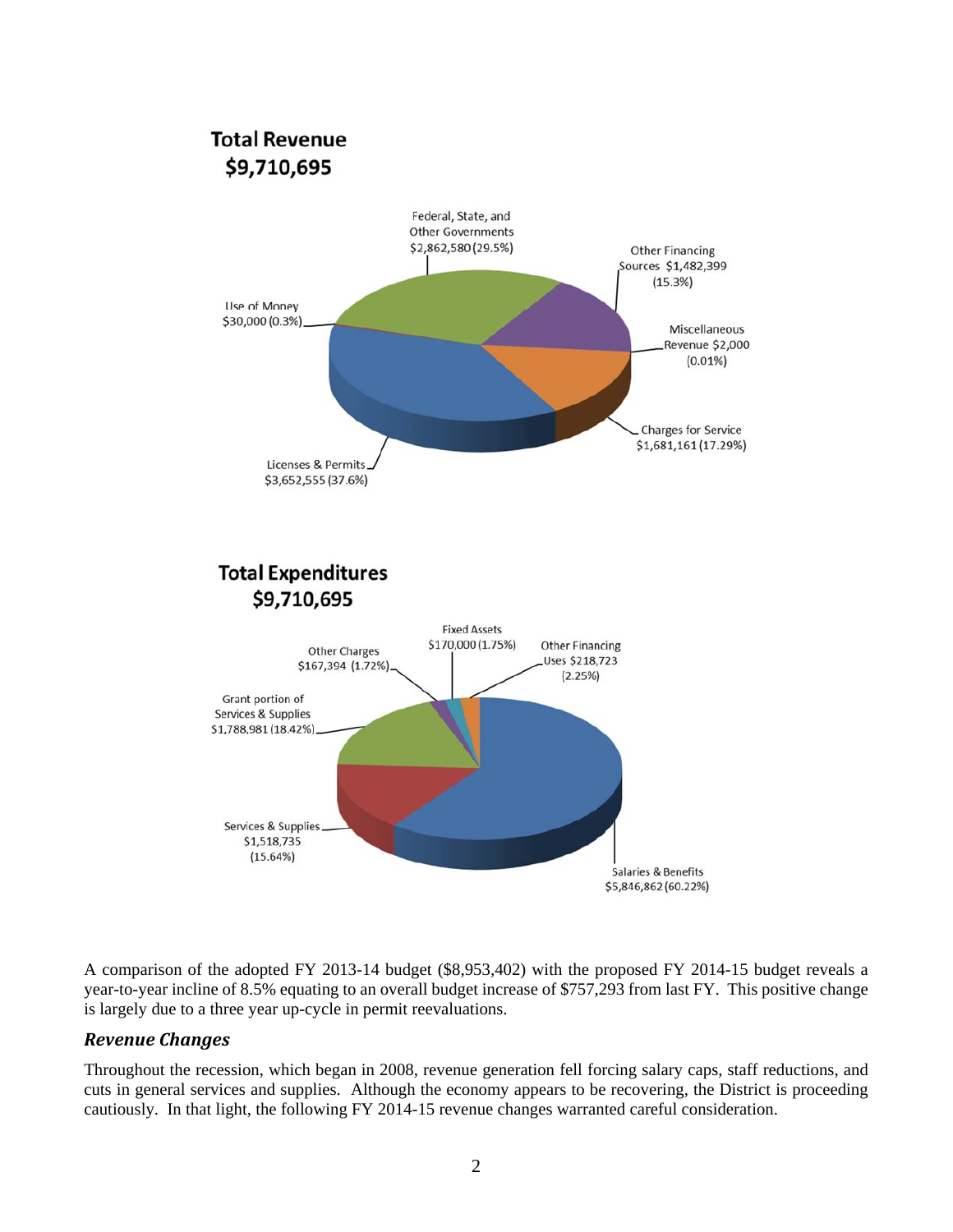

A comparison of the adopted FY 2013-14 budget (\$8,953,402) with the proposed FY 2014-15 budget reveals a year-to-year incline of 8.5% equating to an overall budget increase of \$757,293 from last FY. This positive change is largely due to a three year up-cycle in permit reevaluations.

## *Revenue Changes*

Throughout the recession, which began in 2008, revenue generation fell forcing salary caps, staff reductions, and cuts in general services and supplies. Although the economy appears to be recovering, the District is proceeding cautiously. In that light, the following FY 2014-15 revenue changes warranted careful consideration.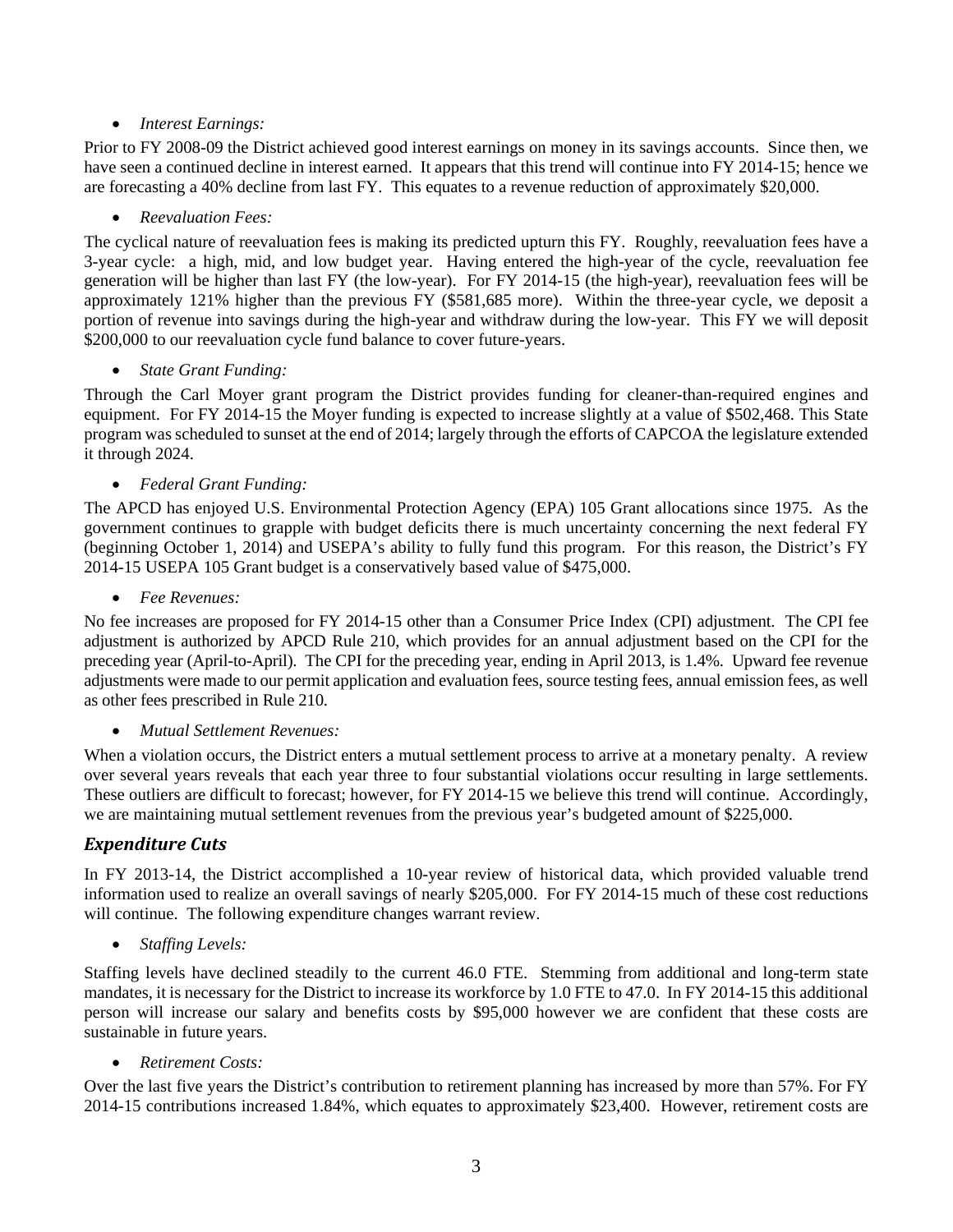## *Interest Earnings:*

Prior to FY 2008-09 the District achieved good interest earnings on money in its savings accounts. Since then, we have seen a continued decline in interest earned. It appears that this trend will continue into FY 2014-15; hence we are forecasting a 40% decline from last FY. This equates to a revenue reduction of approximately \$20,000.

## *Reevaluation Fees:*

The cyclical nature of reevaluation fees is making its predicted upturn this FY. Roughly, reevaluation fees have a 3-year cycle: a high, mid, and low budget year. Having entered the high-year of the cycle, reevaluation fee generation will be higher than last FY (the low-year). For FY 2014-15 (the high-year), reevaluation fees will be approximately 121% higher than the previous FY (\$581,685 more). Within the three-year cycle, we deposit a portion of revenue into savings during the high-year and withdraw during the low-year. This FY we will deposit \$200,000 to our reevaluation cycle fund balance to cover future-years.

## *State Grant Funding:*

Through the Carl Moyer grant program the District provides funding for cleaner-than-required engines and equipment. For FY 2014-15 the Moyer funding is expected to increase slightly at a value of \$502,468. This State program was scheduled to sunset at the end of 2014; largely through the efforts of CAPCOA the legislature extended it through 2024.

## *Federal Grant Funding:*

The APCD has enjoyed U.S. Environmental Protection Agency (EPA) 105 Grant allocations since 1975. As the government continues to grapple with budget deficits there is much uncertainty concerning the next federal FY (beginning October 1, 2014) and USEPA's ability to fully fund this program. For this reason, the District's FY 2014-15 USEPA 105 Grant budget is a conservatively based value of \$475,000.

*Fee Revenues:* 

No fee increases are proposed for FY 2014-15 other than a Consumer Price Index (CPI) adjustment. The CPI fee adjustment is authorized by APCD Rule 210, which provides for an annual adjustment based on the CPI for the preceding year (April-to-April). The CPI for the preceding year, ending in April 2013, is 1.4%. Upward fee revenue adjustments were made to our permit application and evaluation fees, source testing fees, annual emission fees, as well as other fees prescribed in Rule 210.

*Mutual Settlement Revenues:* 

When a violation occurs, the District enters a mutual settlement process to arrive at a monetary penalty. A review over several years reveals that each year three to four substantial violations occur resulting in large settlements. These outliers are difficult to forecast; however, for FY 2014-15 we believe this trend will continue. Accordingly, we are maintaining mutual settlement revenues from the previous year's budgeted amount of \$225,000.

## *Expenditure* Cuts

In FY 2013-14, the District accomplished a 10-year review of historical data, which provided valuable trend information used to realize an overall savings of nearly \$205,000. For FY 2014-15 much of these cost reductions will continue. The following expenditure changes warrant review.

*Staffing Levels:* 

Staffing levels have declined steadily to the current 46.0 FTE. Stemming from additional and long-term state mandates, it is necessary for the District to increase its workforce by 1.0 FTE to 47.0. In FY 2014-15 this additional person will increase our salary and benefits costs by \$95,000 however we are confident that these costs are sustainable in future years.

*Retirement Costs:* 

Over the last five years the District's contribution to retirement planning has increased by more than 57%. For FY 2014-15 contributions increased 1.84%, which equates to approximately \$23,400. However, retirement costs are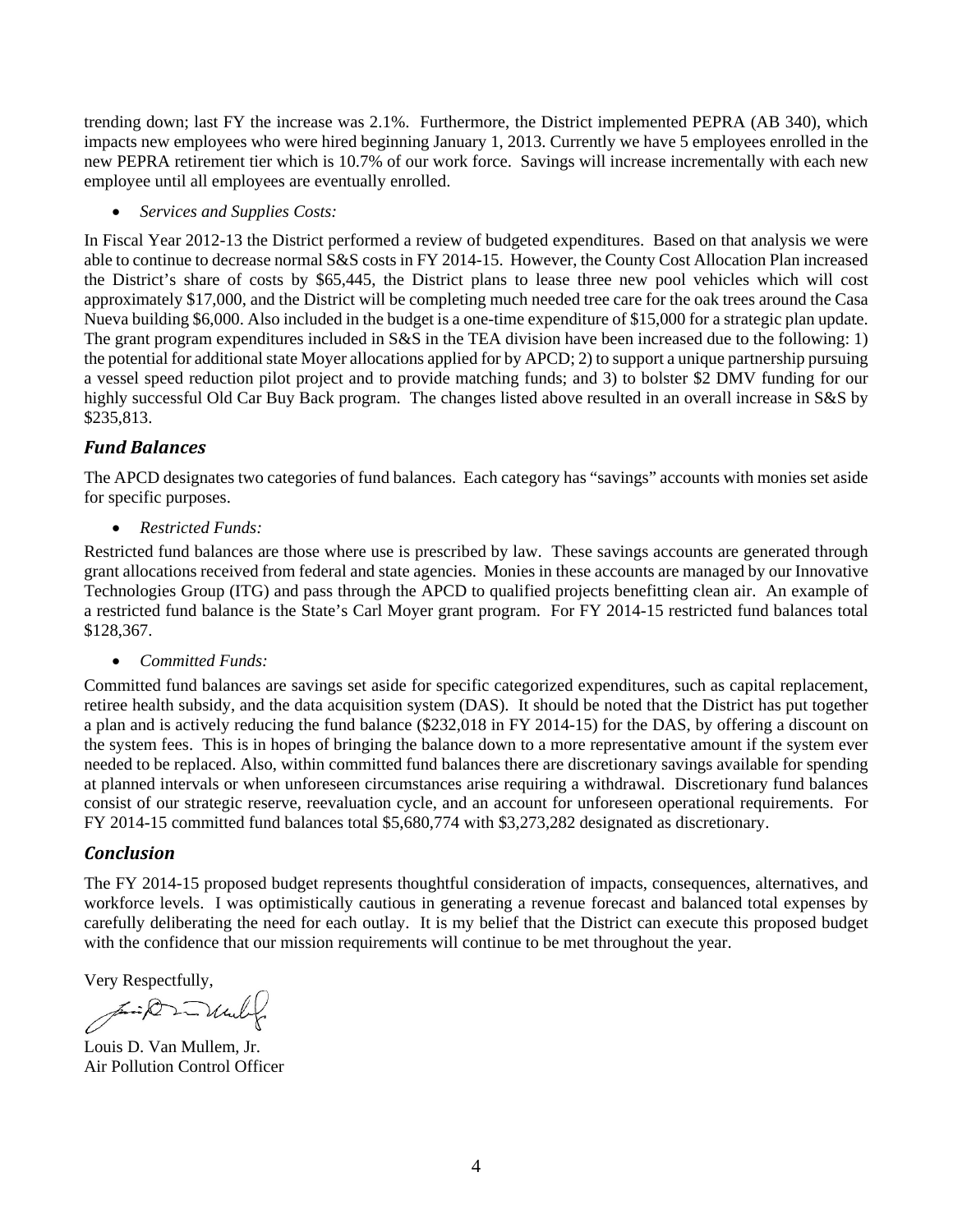trending down; last FY the increase was 2.1%. Furthermore, the District implemented PEPRA (AB 340), which impacts new employees who were hired beginning January 1, 2013. Currently we have 5 employees enrolled in the new PEPRA retirement tier which is 10.7% of our work force. Savings will increase incrementally with each new employee until all employees are eventually enrolled.

*Services and Supplies Costs:* 

In Fiscal Year 2012-13 the District performed a review of budgeted expenditures. Based on that analysis we were able to continue to decrease normal S&S costs in FY 2014-15. However, the County Cost Allocation Plan increased the District's share of costs by \$65,445, the District plans to lease three new pool vehicles which will cost approximately \$17,000, and the District will be completing much needed tree care for the oak trees around the Casa Nueva building \$6,000. Also included in the budget is a one-time expenditure of \$15,000 for a strategic plan update. The grant program expenditures included in S&S in the TEA division have been increased due to the following: 1) the potential for additional state Moyer allocations applied for by APCD; 2) to support a unique partnership pursuing a vessel speed reduction pilot project and to provide matching funds; and 3) to bolster \$2 DMV funding for our highly successful Old Car Buy Back program. The changes listed above resulted in an overall increase in S&S by \$235,813.

## *Fund Balances*

The APCD designates two categories of fund balances. Each category has "savings" accounts with monies set aside for specific purposes.

*Restricted Funds:* 

Restricted fund balances are those where use is prescribed by law. These savings accounts are generated through grant allocations received from federal and state agencies. Monies in these accounts are managed by our Innovative Technologies Group (ITG) and pass through the APCD to qualified projects benefitting clean air. An example of a restricted fund balance is the State's Carl Moyer grant program. For FY 2014-15 restricted fund balances total \$128,367.

*Committed Funds:* 

Committed fund balances are savings set aside for specific categorized expenditures, such as capital replacement, retiree health subsidy, and the data acquisition system (DAS). It should be noted that the District has put together a plan and is actively reducing the fund balance (\$232,018 in FY 2014-15) for the DAS, by offering a discount on the system fees. This is in hopes of bringing the balance down to a more representative amount if the system ever needed to be replaced. Also, within committed fund balances there are discretionary savings available for spending at planned intervals or when unforeseen circumstances arise requiring a withdrawal. Discretionary fund balances consist of our strategic reserve, reevaluation cycle, and an account for unforeseen operational requirements. For FY 2014-15 committed fund balances total \$5,680,774 with \$3,273,282 designated as discretionary.

## *Conclusion*

The FY 2014-15 proposed budget represents thoughtful consideration of impacts, consequences, alternatives, and workforce levels. I was optimistically cautious in generating a revenue forecast and balanced total expenses by carefully deliberating the need for each outlay. It is my belief that the District can execute this proposed budget with the confidence that our mission requirements will continue to be met throughout the year.

Very Respectfully,

mil In Un

Louis D. Van Mullem, Jr. Air Pollution Control Officer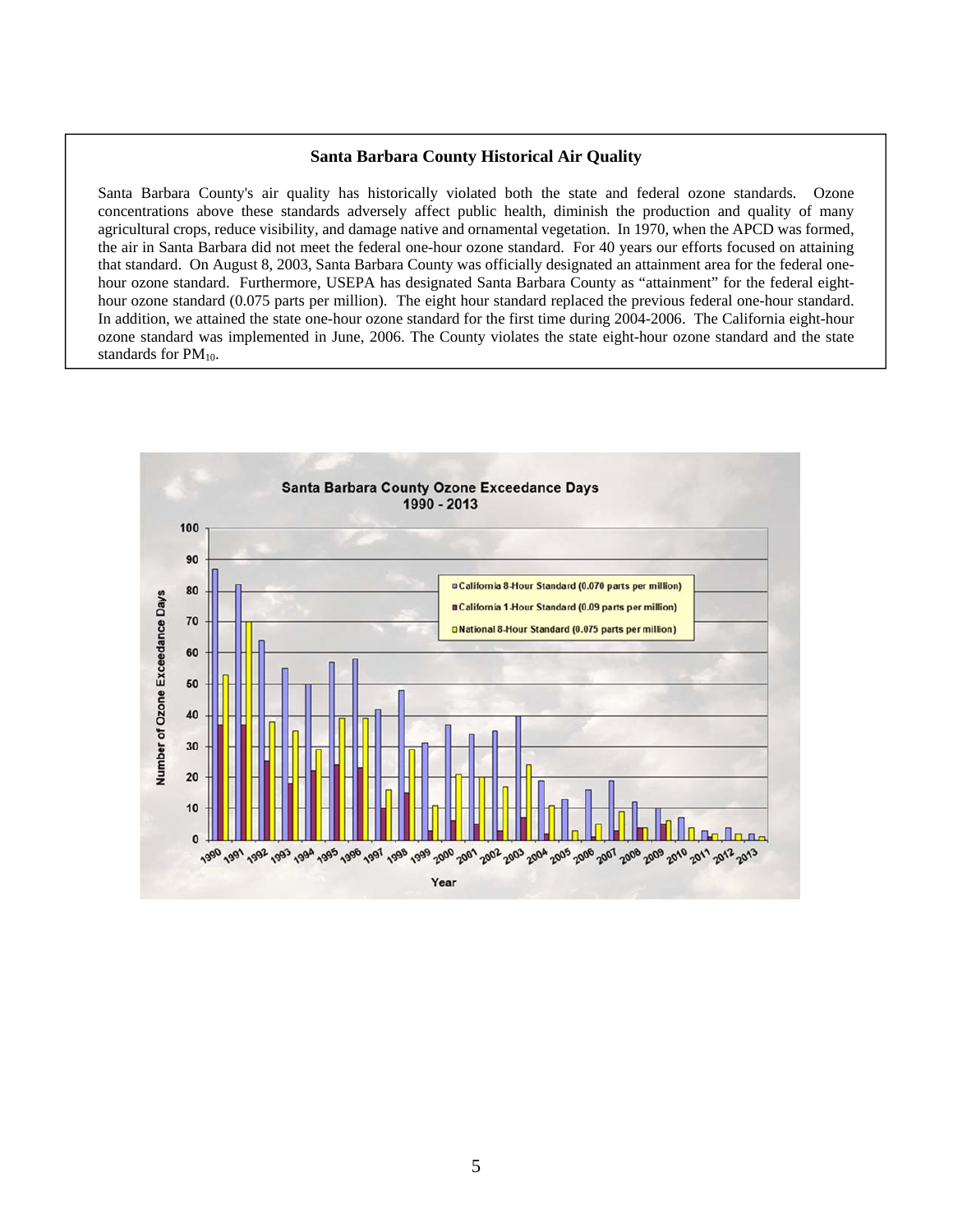#### **Santa Barbara County Historical Air Quality**

Santa Barbara County's air quality has historically violated both the state and federal ozone standards. Ozone concentrations above these standards adversely affect public health, diminish the production and quality of many agricultural crops, reduce visibility, and damage native and ornamental vegetation. In 1970, when the APCD was formed, the air in Santa Barbara did not meet the federal one-hour ozone standard. For 40 years our efforts focused on attaining that standard. On August 8, 2003, Santa Barbara County was officially designated an attainment area for the federal onehour ozone standard. Furthermore, USEPA has designated Santa Barbara County as "attainment" for the federal eighthour ozone standard (0.075 parts per million). The eight hour standard replaced the previous federal one-hour standard. In addition, we attained the state one-hour ozone standard for the first time during 2004-2006. The California eight-hour ozone standard was implemented in June, 2006. The County violates the state eight-hour ozone standard and the state standards for  $PM_{10}$ .

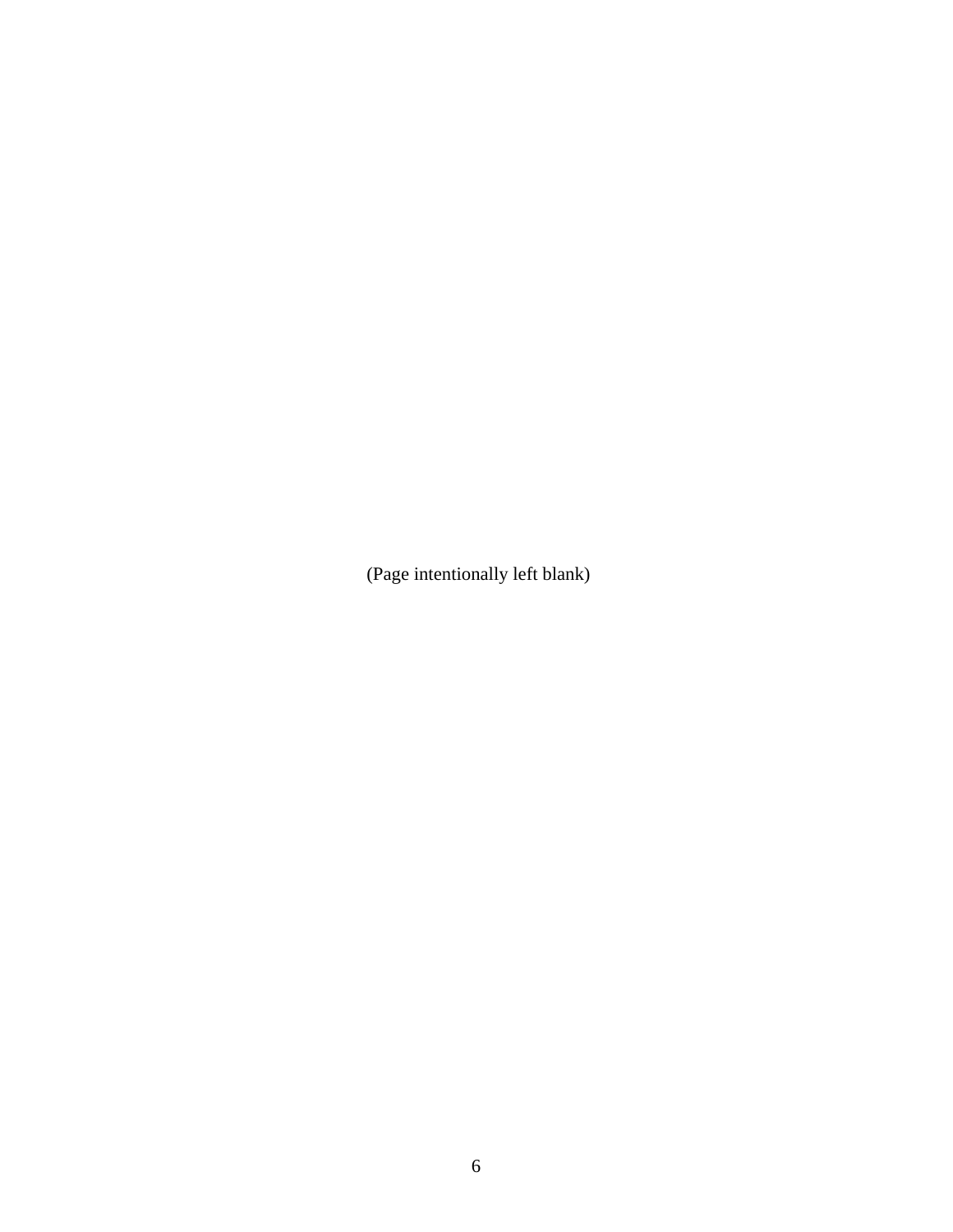(Page intentionally left blank)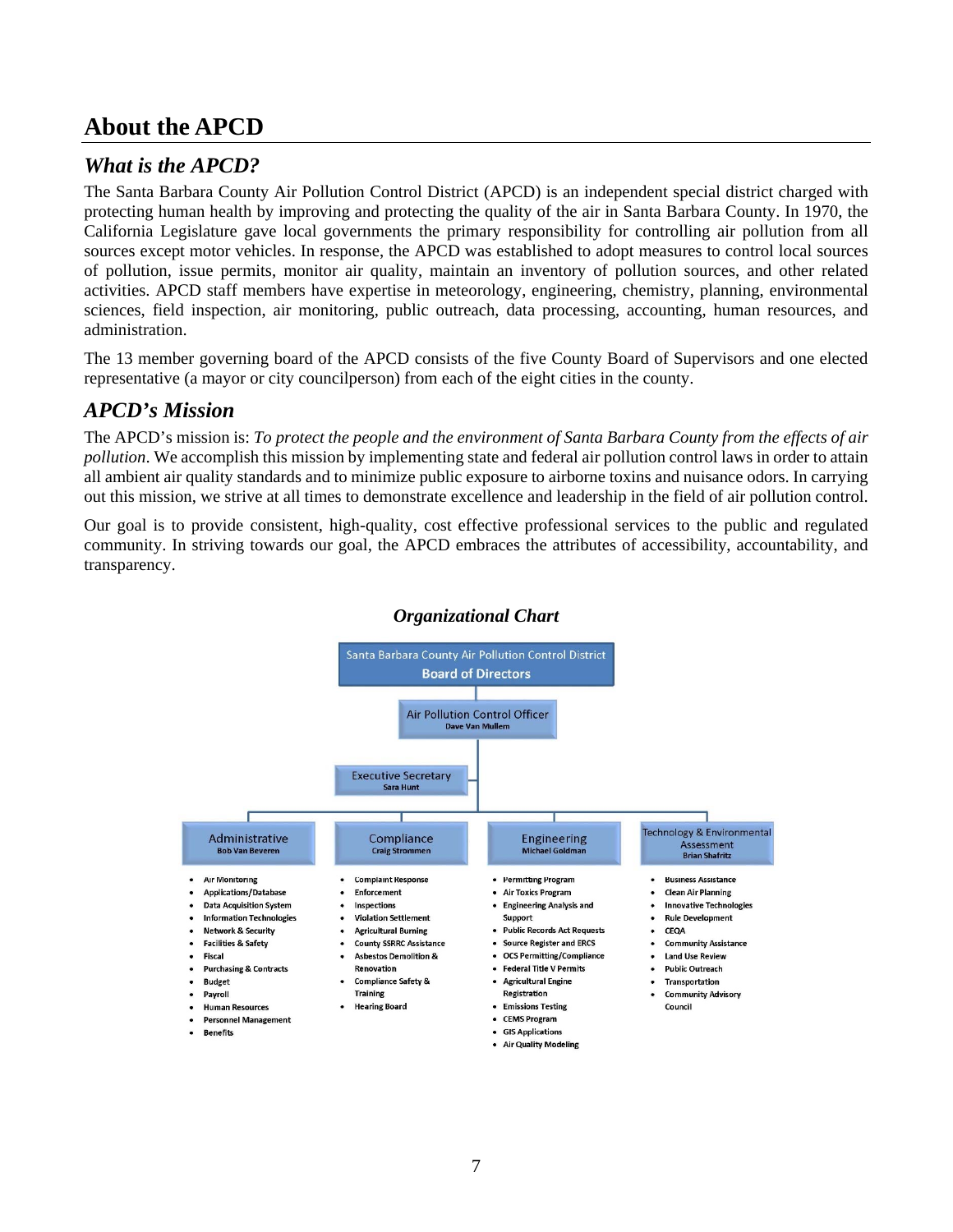## **About the APCD**

## *What is the APCD?*

The Santa Barbara County Air Pollution Control District (APCD) is an independent special district charged with protecting human health by improving and protecting the quality of the air in Santa Barbara County. In 1970, the California Legislature gave local governments the primary responsibility for controlling air pollution from all sources except motor vehicles. In response, the APCD was established to adopt measures to control local sources of pollution, issue permits, monitor air quality, maintain an inventory of pollution sources, and other related activities. APCD staff members have expertise in meteorology, engineering, chemistry, planning, environmental sciences, field inspection, air monitoring, public outreach, data processing, accounting, human resources, and administration.

The 13 member governing board of the APCD consists of the five County Board of Supervisors and one elected representative (a mayor or city councilperson) from each of the eight cities in the county.

## *APCD's Mission*

The APCD's mission is: *To protect the people and the environment of Santa Barbara County from the effects of air pollution*. We accomplish this mission by implementing state and federal air pollution control laws in order to attain all ambient air quality standards and to minimize public exposure to airborne toxins and nuisance odors. In carrying out this mission, we strive at all times to demonstrate excellence and leadership in the field of air pollution control.

Our goal is to provide consistent, high-quality, cost effective professional services to the public and regulated community. In striving towards our goal, the APCD embraces the attributes of accessibility, accountability, and transparency.



## *Organizational Chart*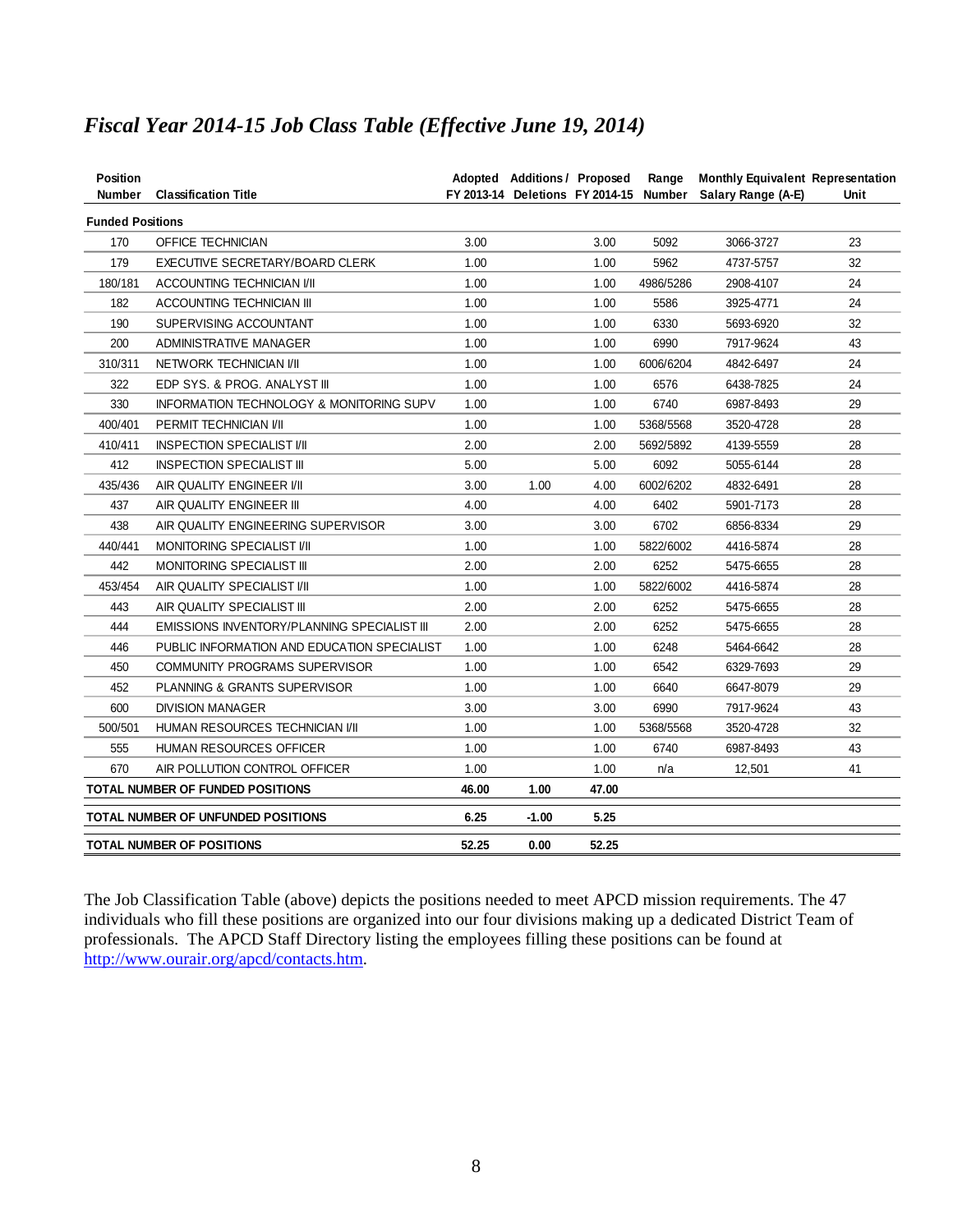| <b>Position</b><br>Number | <b>Classification Title</b>                 |       | Adopted Additions/ Proposed |       | Range     | <b>Monthly Equivalent Representation</b><br>FY 2013-14 Deletions FY 2014-15 Number Salary Range (A-E) | Unit |
|---------------------------|---------------------------------------------|-------|-----------------------------|-------|-----------|-------------------------------------------------------------------------------------------------------|------|
| <b>Funded Positions</b>   |                                             |       |                             |       |           |                                                                                                       |      |
| 170                       | OFFICE TECHNICIAN                           | 3.00  |                             | 3.00  | 5092      | 3066-3727                                                                                             | 23   |
| 179                       | EXECUTIVE SECRETARY/BOARD CLERK             | 1.00  |                             | 1.00  | 5962      | 4737-5757                                                                                             | 32   |
| 180/181                   | ACCOUNTING TECHNICIAN I/II                  | 1.00  |                             | 1.00  | 4986/5286 | 2908-4107                                                                                             | 24   |
| 182                       | ACCOUNTING TECHNICIAN III                   | 1.00  |                             | 1.00  | 5586      | 3925-4771                                                                                             | 24   |
| 190                       | SUPERVISING ACCOUNTANT                      | 1.00  |                             | 1.00  | 6330      | 5693-6920                                                                                             | 32   |
| 200                       | ADMINISTRATIVE MANAGER                      | 1.00  |                             | 1.00  | 6990      | 7917-9624                                                                                             | 43   |
| 310/311                   | <b>NETWORK TECHNICIAN VII</b>               | 1.00  |                             | 1.00  | 6006/6204 | 4842-6497                                                                                             | 24   |
| 322                       | EDP SYS. & PROG. ANALYST III                | 1.00  |                             | 1.00  | 6576      | 6438-7825                                                                                             | 24   |
| 330                       | INFORMATION TECHNOLOGY & MONITORING SUPV    | 1.00  |                             | 1.00  | 6740      | 6987-8493                                                                                             | 29   |
| 400/401                   | PERMIT TECHNICIAN I/II                      | 1.00  |                             | 1.00  | 5368/5568 | 3520-4728                                                                                             | 28   |
| 410/411                   | <b>INSPECTION SPECIALIST I/II</b>           | 2.00  |                             | 2.00  | 5692/5892 | 4139-5559                                                                                             | 28   |
| 412                       | <b>INSPECTION SPECIALIST III</b>            | 5.00  |                             | 5.00  | 6092      | 5055-6144                                                                                             | 28   |
| 435/436                   | AIR QUALITY ENGINEER I/II                   | 3.00  | 1.00                        | 4.00  | 6002/6202 | 4832-6491                                                                                             | 28   |
| 437                       | AIR QUALITY ENGINEER III                    | 4.00  |                             | 4.00  | 6402      | 5901-7173                                                                                             | 28   |
| 438                       | AIR QUALITY ENGINEERING SUPERVISOR          | 3.00  |                             | 3.00  | 6702      | 6856-8334                                                                                             | 29   |
| 440/441                   | <b>MONITORING SPECIALIST I/II</b>           | 1.00  |                             | 1.00  | 5822/6002 | 4416-5874                                                                                             | 28   |
| 442                       | MONITORING SPECIALIST III                   | 2.00  |                             | 2.00  | 6252      | 5475-6655                                                                                             | 28   |
| 453/454                   | AIR QUALITY SPECIALIST I/II                 | 1.00  |                             | 1.00  | 5822/6002 | 4416-5874                                                                                             | 28   |
| 443                       | AIR QUALITY SPECIALIST III                  | 2.00  |                             | 2.00  | 6252      | 5475-6655                                                                                             | 28   |
| 444                       | EMISSIONS INVENTORY/PLANNING SPECIALIST III | 2.00  |                             | 2.00  | 6252      | 5475-6655                                                                                             | 28   |
| 446                       | PUBLIC INFORMATION AND EDUCATION SPECIALIST | 1.00  |                             | 1.00  | 6248      | 5464-6642                                                                                             | 28   |
| 450                       | COMMUNITY PROGRAMS SUPERVISOR               | 1.00  |                             | 1.00  | 6542      | 6329-7693                                                                                             | 29   |
| 452                       | PLANNING & GRANTS SUPERVISOR                | 1.00  |                             | 1.00  | 6640      | 6647-8079                                                                                             | 29   |
| 600                       | <b>DIVISION MANAGER</b>                     | 3.00  |                             | 3.00  | 6990      | 7917-9624                                                                                             | 43   |
| 500/501                   | HUMAN RESOURCES TECHNICIAN I/II             | 1.00  |                             | 1.00  | 5368/5568 | 3520-4728                                                                                             | 32   |
| 555                       | HUMAN RESOURCES OFFICER                     | 1.00  |                             | 1.00  | 6740      | 6987-8493                                                                                             | 43   |
| 670                       | AIR POLLUTION CONTROL OFFICER               | 1.00  |                             | 1.00  | n/a       | 12,501                                                                                                | 41   |
|                           | TOTAL NUMBER OF FUNDED POSITIONS            | 46.00 | 1.00                        | 47.00 |           |                                                                                                       |      |
|                           | TOTAL NUMBER OF UNFUNDED POSITIONS          | 6.25  | $-1.00$                     | 5.25  |           |                                                                                                       |      |
|                           | <b>TOTAL NUMBER OF POSITIONS</b>            | 52.25 | 0.00                        | 52.25 |           |                                                                                                       |      |

## *Fiscal Year 2014-15 Job Class Table (Effective June 19, 2014)*

The Job Classification Table (above) depicts the positions needed to meet APCD mission requirements. The 47 individuals who fill these positions are organized into our four divisions making up a dedicated District Team of professionals. The APCD Staff Directory listing the employees filling these positions can be found at http://www.ourair.org/apcd/contacts.htm.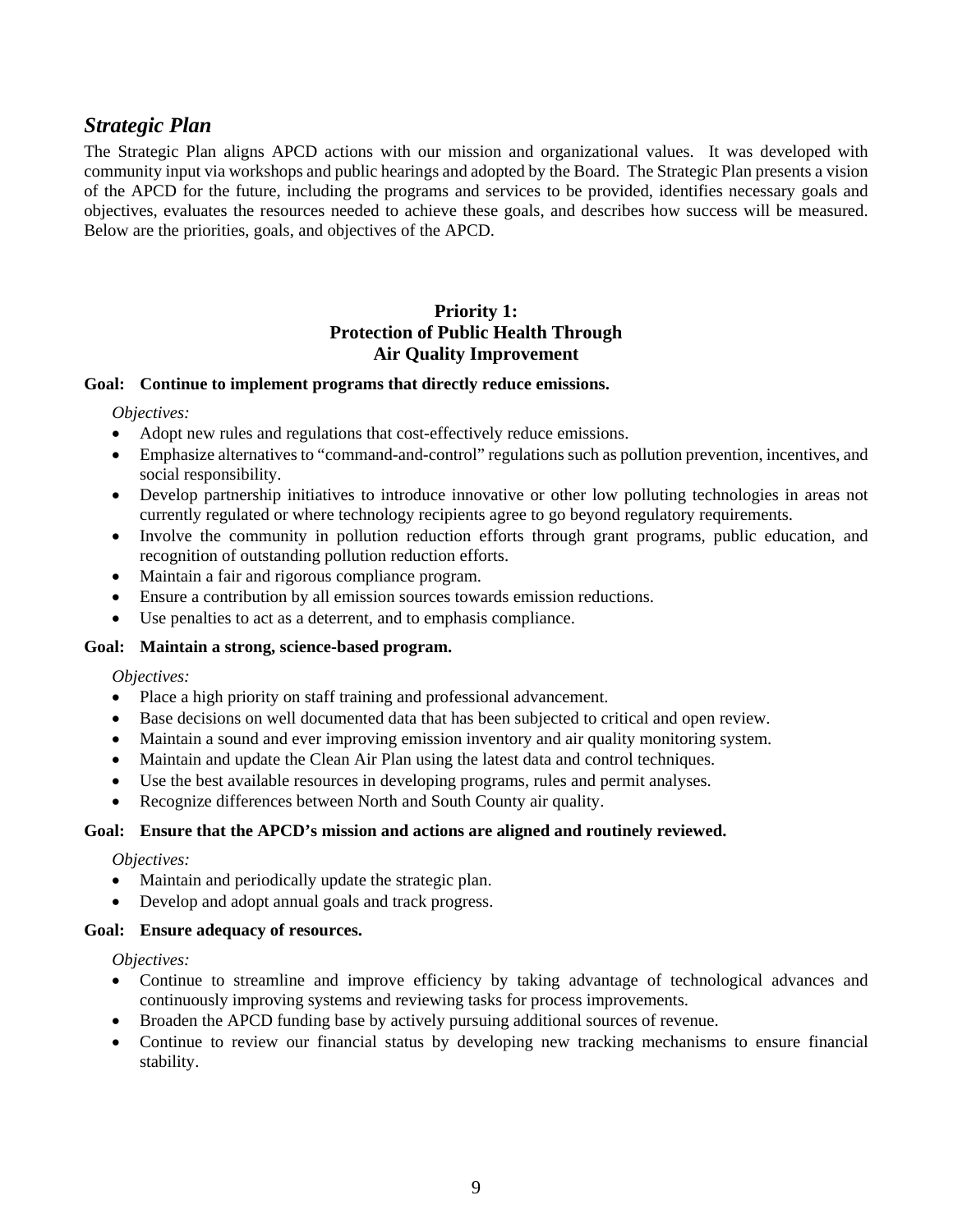## *Strategic Plan*

The Strategic Plan aligns APCD actions with our mission and organizational values. It was developed with community input via workshops and public hearings and adopted by the Board. The Strategic Plan presents a vision of the APCD for the future, including the programs and services to be provided, identifies necessary goals and objectives, evaluates the resources needed to achieve these goals, and describes how success will be measured. Below are the priorities, goals, and objectives of the APCD.

## **Priority 1: Protection of Public Health Through Air Quality Improvement**

### **Goal: Continue to implement programs that directly reduce emissions.**

#### *Objectives:*

- Adopt new rules and regulations that cost-effectively reduce emissions.
- Emphasize alternatives to "command-and-control" regulations such as pollution prevention, incentives, and social responsibility.
- Develop partnership initiatives to introduce innovative or other low polluting technologies in areas not currently regulated or where technology recipients agree to go beyond regulatory requirements.
- Involve the community in pollution reduction efforts through grant programs, public education, and recognition of outstanding pollution reduction efforts.
- Maintain a fair and rigorous compliance program.
- Ensure a contribution by all emission sources towards emission reductions.
- Use penalties to act as a deterrent, and to emphasis compliance.

#### **Goal: Maintain a strong, science-based program.**

#### *Objectives:*

- Place a high priority on staff training and professional advancement.
- Base decisions on well documented data that has been subjected to critical and open review.
- Maintain a sound and ever improving emission inventory and air quality monitoring system.
- Maintain and update the Clean Air Plan using the latest data and control techniques.
- Use the best available resources in developing programs, rules and permit analyses.
- Recognize differences between North and South County air quality.

#### **Goal: Ensure that the APCD's mission and actions are aligned and routinely reviewed.**

#### *Objectives:*

- Maintain and periodically update the strategic plan.
- Develop and adopt annual goals and track progress.

#### **Goal: Ensure adequacy of resources.**

#### *Objectives:*

- Continue to streamline and improve efficiency by taking advantage of technological advances and continuously improving systems and reviewing tasks for process improvements.
- Broaden the APCD funding base by actively pursuing additional sources of revenue.
- Continue to review our financial status by developing new tracking mechanisms to ensure financial stability.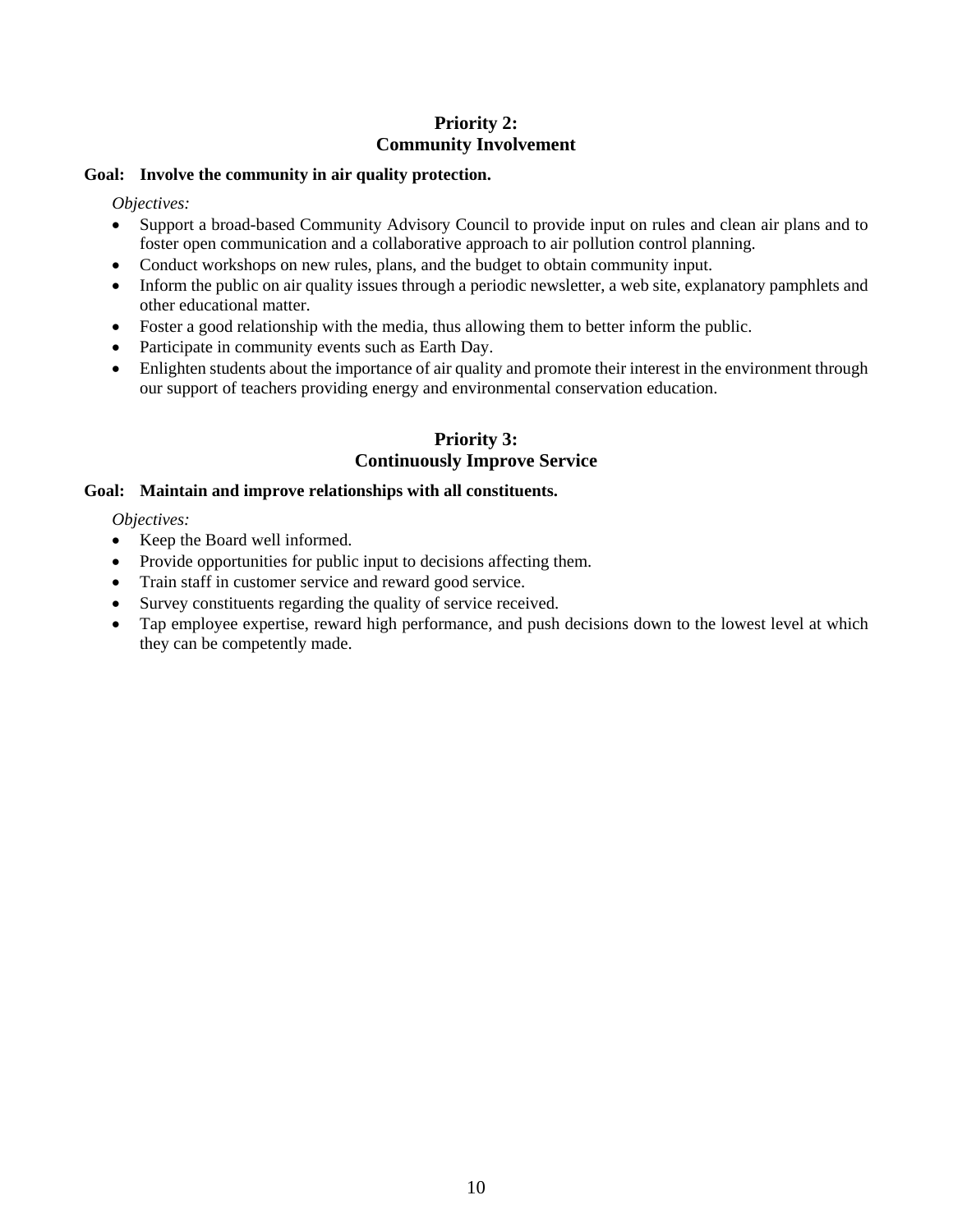## **Priority 2: Community Involvement**

### **Goal: Involve the community in air quality protection.**

*Objectives:* 

- Support a broad-based Community Advisory Council to provide input on rules and clean air plans and to foster open communication and a collaborative approach to air pollution control planning.
- Conduct workshops on new rules, plans, and the budget to obtain community input.
- Inform the public on air quality issues through a periodic newsletter, a web site, explanatory pamphlets and other educational matter.
- Foster a good relationship with the media, thus allowing them to better inform the public.
- Participate in community events such as Earth Day.
- Enlighten students about the importance of air quality and promote their interest in the environment through our support of teachers providing energy and environmental conservation education.

## **Priority 3: Continuously Improve Service**

## **Goal: Maintain and improve relationships with all constituents.**

*Objectives:* 

- Keep the Board well informed.
- Provide opportunities for public input to decisions affecting them.
- Train staff in customer service and reward good service.
- Survey constituents regarding the quality of service received.
- Tap employee expertise, reward high performance, and push decisions down to the lowest level at which they can be competently made.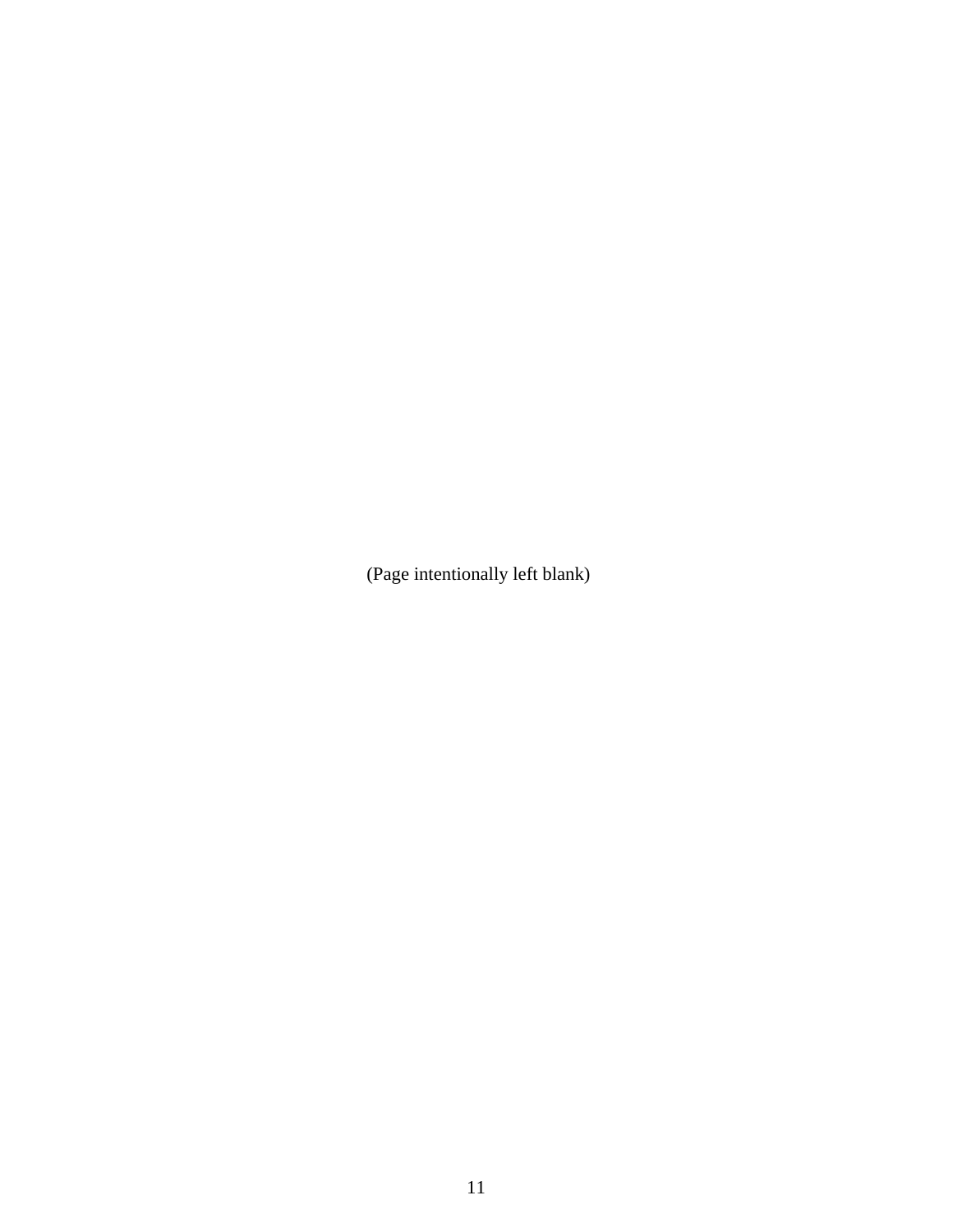(Page intentionally left blank)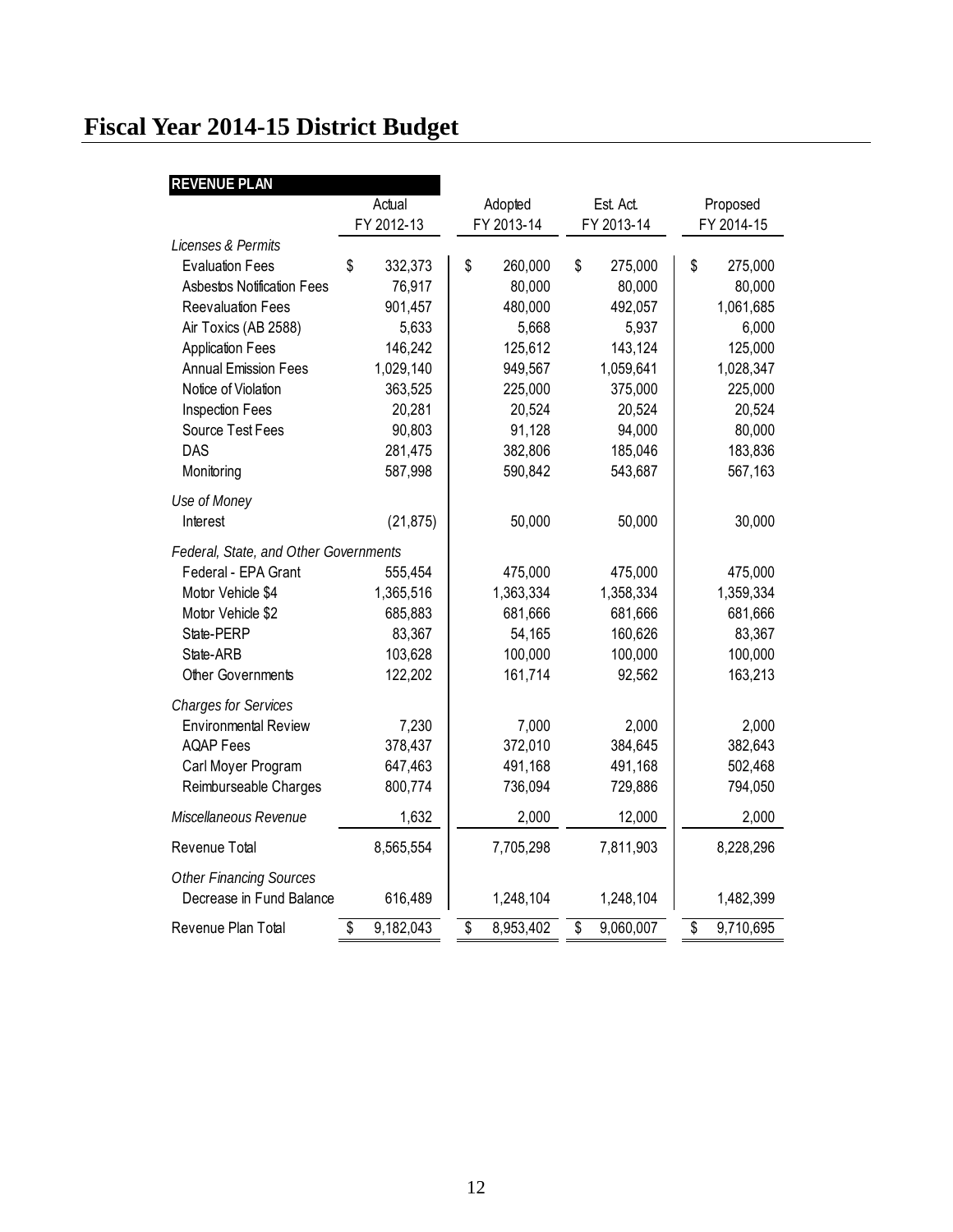# **Fiscal Year 2014-15 District Budget**

| <b>REVENUE PLAN</b> |  |  |
|---------------------|--|--|

|                                       | Actual          | Adopted         | Est. Act.       | Proposed        |  |
|---------------------------------------|-----------------|-----------------|-----------------|-----------------|--|
|                                       | FY 2012-13      | FY 2013-14      | FY 2013-14      | FY 2014-15      |  |
| Licenses & Permits                    |                 |                 |                 |                 |  |
| <b>Evaluation Fees</b>                | \$<br>332,373   | \$<br>260,000   | \$<br>275,000   | \$<br>275,000   |  |
| <b>Asbestos Notification Fees</b>     | 76,917          | 80,000          | 80,000          | 80,000          |  |
| <b>Reevaluation Fees</b>              | 901,457         | 480,000         | 492,057         | 1,061,685       |  |
| Air Toxics (AB 2588)                  | 5,633           | 5,668           | 5,937           | 6,000           |  |
| <b>Application Fees</b>               | 146,242         | 125,612         | 143,124         | 125,000         |  |
| <b>Annual Emission Fees</b>           | 1,029,140       | 949,567         | 1,059,641       | 1,028,347       |  |
| Notice of Violation                   | 363,525         | 225,000         | 375,000         | 225,000         |  |
| Inspection Fees                       | 20,281          | 20,524          | 20,524          | 20,524          |  |
| Source Test Fees                      | 90,803          | 91,128          | 94,000          | 80,000          |  |
| DAS                                   | 281,475         | 382,806         | 185,046         | 183,836         |  |
| Monitoring                            | 587,998         | 590,842         | 543,687         | 567,163         |  |
| Use of Money                          |                 |                 |                 |                 |  |
| Interest                              | (21, 875)       | 50,000          | 50,000          | 30,000          |  |
| Federal, State, and Other Governments |                 |                 |                 |                 |  |
| Federal - EPA Grant                   | 555,454         | 475,000         | 475,000         | 475,000         |  |
| Motor Vehicle \$4                     | 1,365,516       | 1,363,334       | 1,358,334       | 1,359,334       |  |
| Motor Vehicle \$2                     | 685,883         | 681,666         | 681,666         | 681,666         |  |
| State-PERP                            | 83,367          | 54,165          | 160,626         | 83,367          |  |
| State-ARB                             | 103,628         | 100,000         | 100,000         | 100,000         |  |
| Other Governments                     | 122,202         | 161,714         | 92,562          | 163,213         |  |
| Charges for Services                  |                 |                 |                 |                 |  |
| <b>Environmental Review</b>           | 7,230           | 7,000           | 2,000           | 2,000           |  |
| <b>AQAP Fees</b>                      | 378,437         | 372,010         | 384,645         | 382,643         |  |
| Carl Moyer Program                    | 647,463         | 491,168         | 491,168         | 502,468         |  |
| Reimburseable Charges                 | 800,774         | 736,094         | 729,886         | 794,050         |  |
| Miscellaneous Revenue                 | 1,632           | 2,000           | 12,000          | 2,000           |  |
| Revenue Total                         | 8,565,554       | 7,705,298       | 7,811,903       | 8,228,296       |  |
| <b>Other Financing Sources</b>        |                 |                 |                 |                 |  |
| Decrease in Fund Balance              | 616,489         | 1,248,104       | 1,248,104       | 1,482,399       |  |
| Revenue Plan Total                    | 9,182,043<br>\$ | 8,953,402<br>\$ | 9,060,007<br>\$ | 9,710,695<br>\$ |  |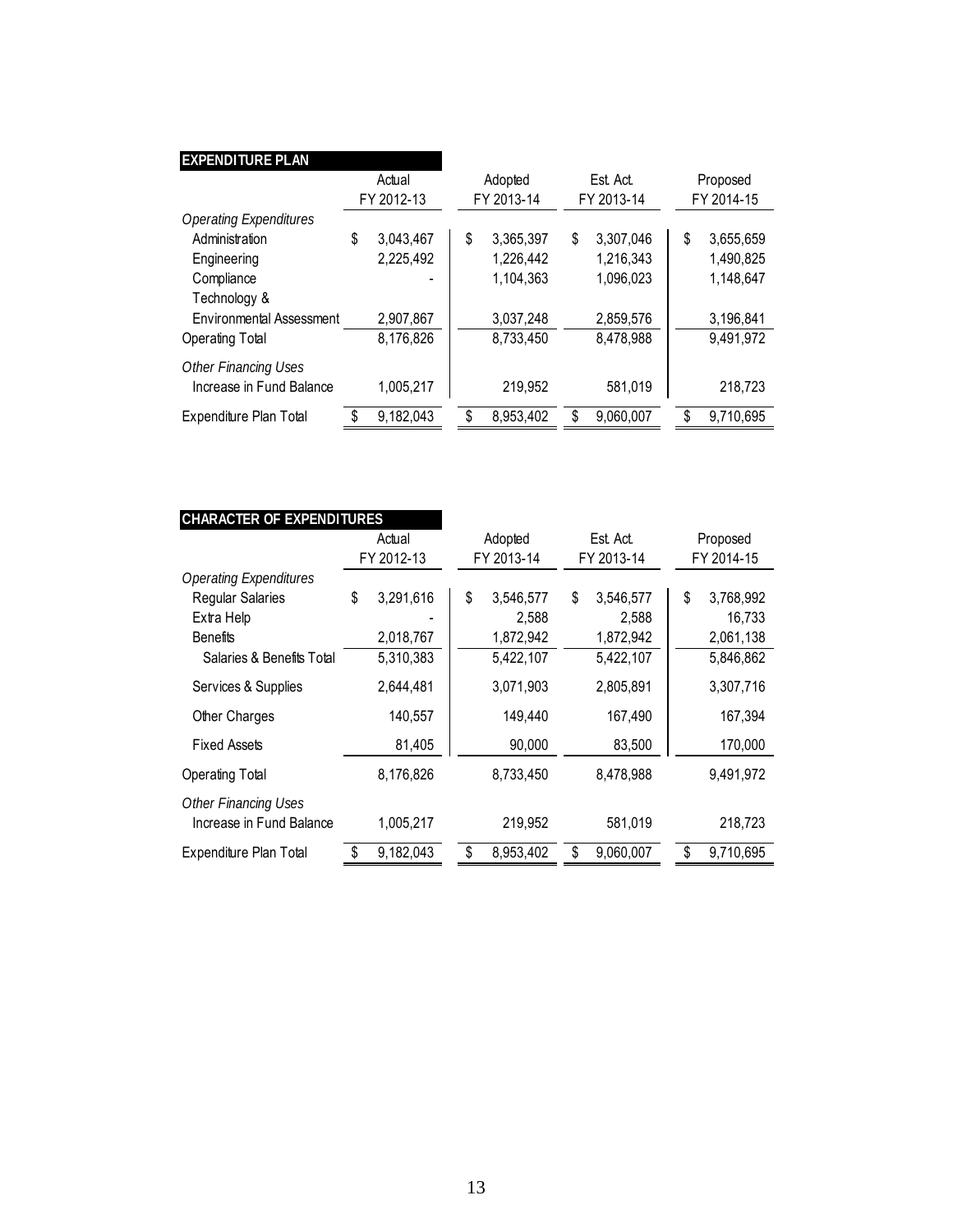| Actual          |            | Adopted |           | Est. Act.  |           |            | Proposed   |  |
|-----------------|------------|---------|-----------|------------|-----------|------------|------------|--|
|                 |            |         |           |            |           |            | FY 2014-15 |  |
|                 |            |         |           |            |           |            |            |  |
| \$<br>3,043,467 |            | \$      | 3,365,397 | \$         | 3,307,046 | \$         | 3,655,659  |  |
| 2,225,492       |            |         | 1,226,442 |            | 1,216,343 |            | 1,490,825  |  |
|                 |            |         | 1,104,363 |            | 1,096,023 |            | 1,148,647  |  |
|                 |            |         |           |            |           |            |            |  |
| 2,907,867       |            |         | 3,037,248 |            | 2,859,576 |            | 3,196,841  |  |
| 8,176,826       |            |         | 8,733,450 |            | 8,478,988 |            | 9,491,972  |  |
|                 |            |         |           |            |           |            |            |  |
| 1,005,217       |            |         | 219,952   |            | 581,019   |            | 218,723    |  |
| 9,182,043       |            | \$      | 8,953,402 | \$         | 9,060,007 |            | 9,710,695  |  |
|                 | FY 2012-13 |         |           | FY 2013-14 |           | FY 2013-14 |            |  |

| <b>CHARACTER OF EXPENDITURES</b> |    |            |  |            |           |            |           |    |            |  |
|----------------------------------|----|------------|--|------------|-----------|------------|-----------|----|------------|--|
|                                  |    | Actual     |  | Adopted    |           |            | Est. Act. |    | Proposed   |  |
|                                  |    | FY 2012-13 |  | FY 2013-14 |           | FY 2013-14 |           |    | FY 2014-15 |  |
| <b>Operating Expenditures</b>    |    |            |  |            |           |            |           |    |            |  |
| <b>Regular Salaries</b>          | \$ | 3,291,616  |  | \$         | 3,546,577 | \$         | 3,546,577 | \$ | 3,768,992  |  |
| Extra Help                       |    |            |  |            | 2,588     |            | 2,588     |    | 16,733     |  |
| <b>Benefits</b>                  |    | 2,018,767  |  |            | 1,872,942 |            | 1,872,942 |    | 2,061,138  |  |
| Salaries & Benefits Total        |    | 5,310,383  |  |            | 5,422,107 |            | 5,422,107 |    | 5,846,862  |  |
| Services & Supplies              |    | 2,644,481  |  |            | 3,071,903 |            | 2,805,891 |    | 3,307,716  |  |
| Other Charges                    |    | 140,557    |  |            | 149,440   |            | 167,490   |    | 167,394    |  |
| <b>Fixed Assets</b>              |    | 81,405     |  |            | 90,000    |            | 83,500    |    | 170,000    |  |
| Operating Total                  |    | 8,176,826  |  |            | 8,733,450 |            | 8,478,988 |    | 9,491,972  |  |
| <b>Other Financing Uses</b>      |    |            |  |            |           |            |           |    |            |  |
| Increase in Fund Balance         |    | 1,005,217  |  |            | 219,952   |            | 581,019   |    | 218,723    |  |
| Expenditure Plan Total           |    | 9,182,043  |  | \$         | 8,953,402 | \$         | 9,060,007 | \$ | 9,710,695  |  |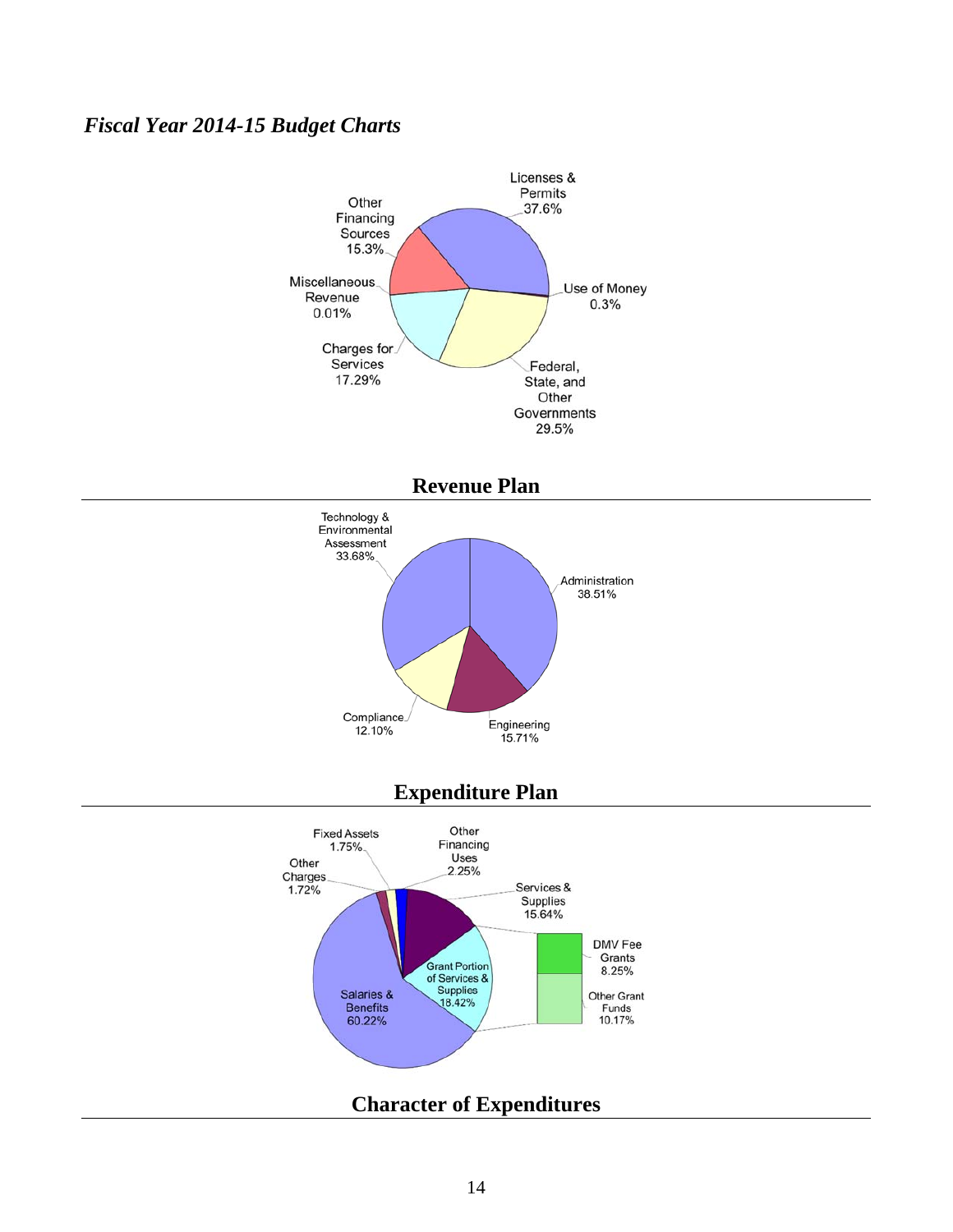## *Fiscal Year 2014-15 Budget Charts*

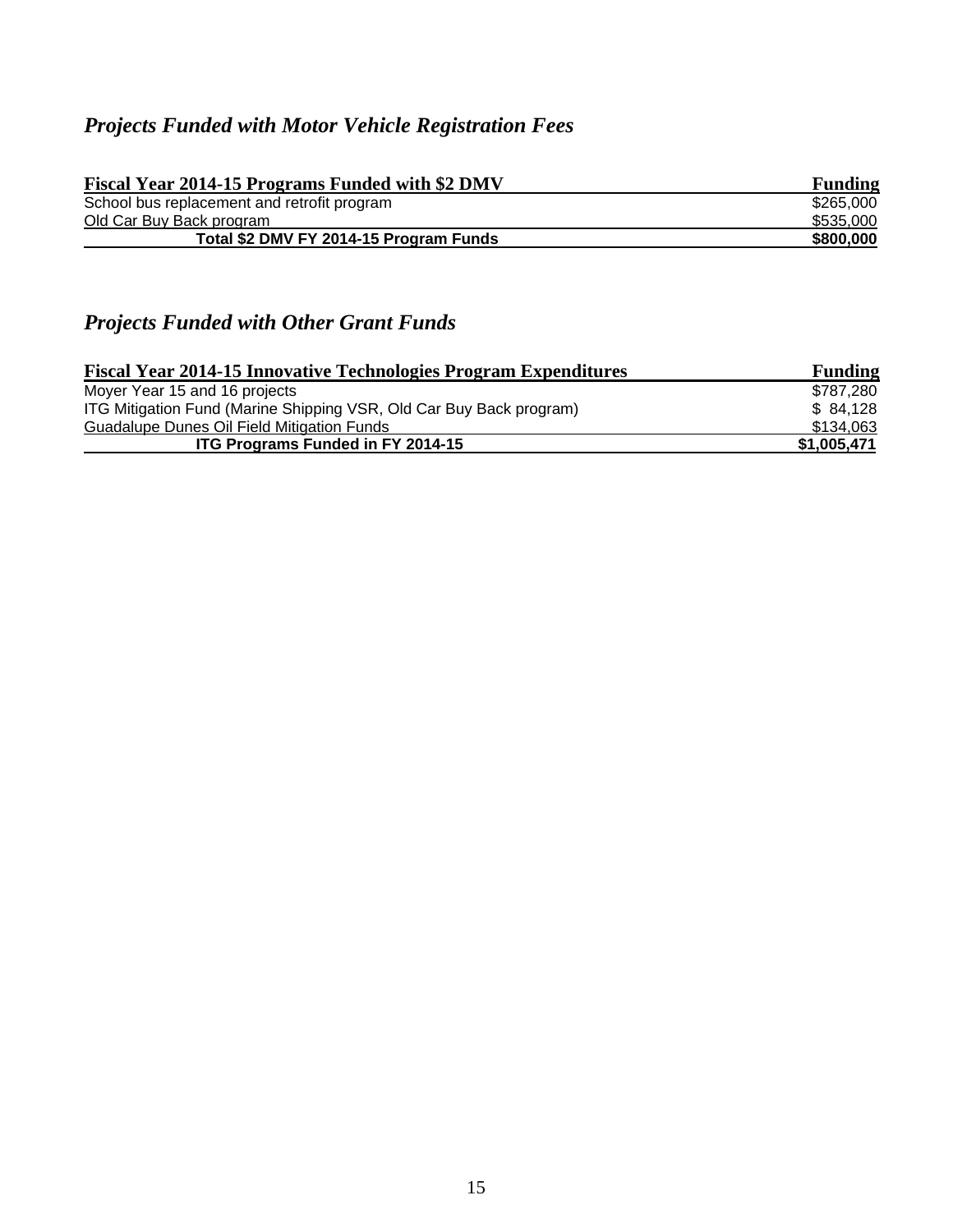# *Projects Funded with Motor Vehicle Registration Fees*

| Fiscal Year 2014-15 Programs Funded with \$2 DMV | <b>Funding</b> |
|--------------------------------------------------|----------------|
| School bus replacement and retrofit program      | \$265,000      |
| Old Car Buy Back program                         | \$535,000      |
| Total \$2 DMV FY 2014-15 Program Funds           | \$800,000      |

# *Projects Funded with Other Grant Funds*

| <b>Fiscal Year 2014-15 Innovative Technologies Program Expenditures</b> | <b>Funding</b> |
|-------------------------------------------------------------------------|----------------|
| Moyer Year 15 and 16 projects                                           | \$787.280      |
| ITG Mitigation Fund (Marine Shipping VSR, Old Car Buy Back program)     | \$84,128       |
| Guadalupe Dunes Oil Field Mitigation Funds                              | \$134.063      |
| <b>ITG Programs Funded in FY 2014-15</b>                                | \$1,005,471    |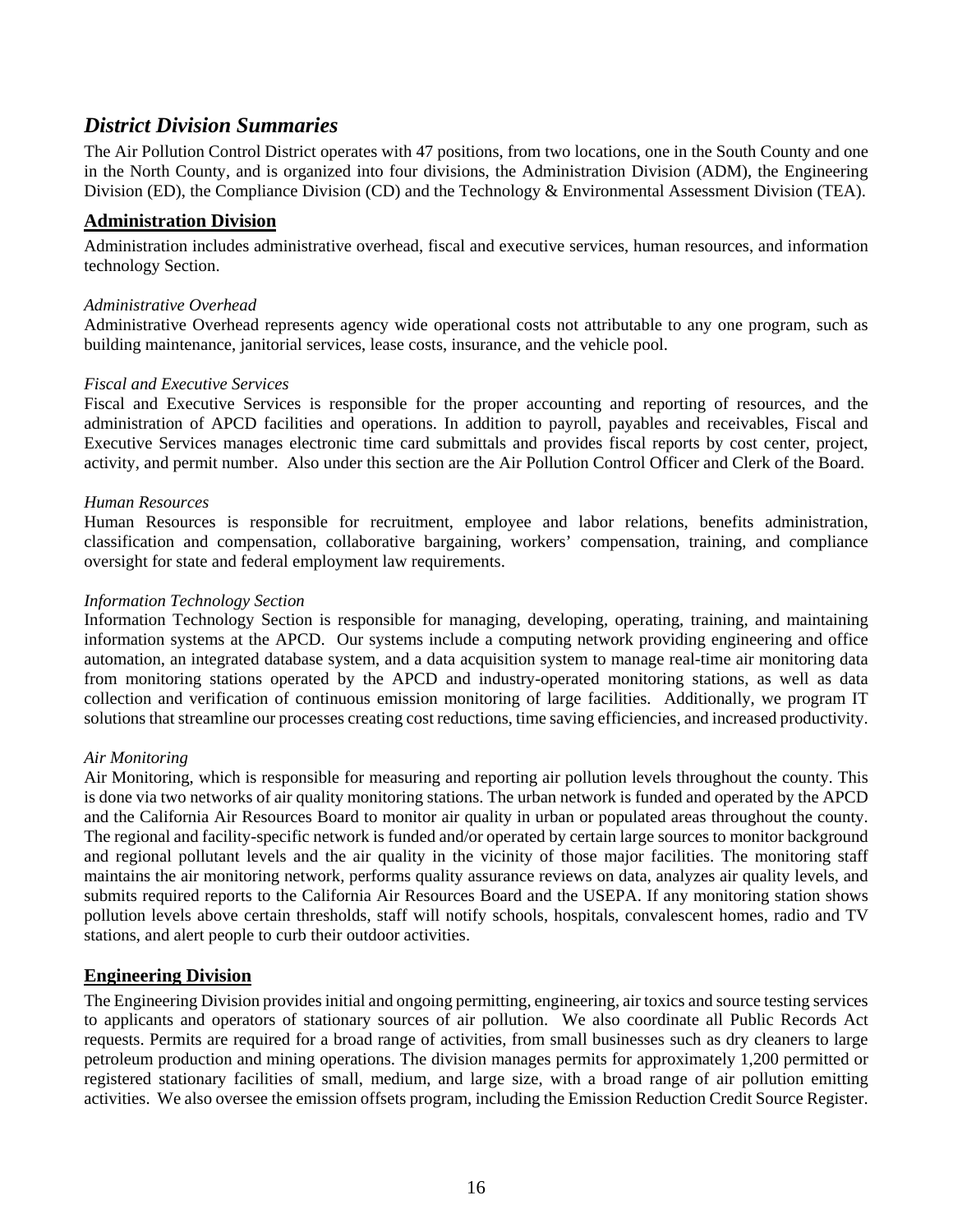## *District Division Summaries*

The Air Pollution Control District operates with 47 positions, from two locations, one in the South County and one in the North County, and is organized into four divisions, the Administration Division (ADM), the Engineering Division (ED), the Compliance Division (CD) and the Technology & Environmental Assessment Division (TEA).

## **Administration Division**

Administration includes administrative overhead, fiscal and executive services, human resources, and information technology Section.

### *Administrative Overhead*

Administrative Overhead represents agency wide operational costs not attributable to any one program, such as building maintenance, janitorial services, lease costs, insurance, and the vehicle pool.

### *Fiscal and Executive Services*

Fiscal and Executive Services is responsible for the proper accounting and reporting of resources, and the administration of APCD facilities and operations. In addition to payroll, payables and receivables, Fiscal and Executive Services manages electronic time card submittals and provides fiscal reports by cost center, project, activity, and permit number. Also under this section are the Air Pollution Control Officer and Clerk of the Board.

#### *Human Resources*

Human Resources is responsible for recruitment, employee and labor relations, benefits administration, classification and compensation, collaborative bargaining, workers' compensation, training, and compliance oversight for state and federal employment law requirements.

#### *Information Technology Section*

Information Technology Section is responsible for managing, developing, operating, training, and maintaining information systems at the APCD. Our systems include a computing network providing engineering and office automation, an integrated database system, and a data acquisition system to manage real-time air monitoring data from monitoring stations operated by the APCD and industry-operated monitoring stations, as well as data collection and verification of continuous emission monitoring of large facilities. Additionally, we program IT solutions that streamline our processes creating cost reductions, time saving efficiencies, and increased productivity.

### *Air Monitoring*

Air Monitoring, which is responsible for measuring and reporting air pollution levels throughout the county. This is done via two networks of air quality monitoring stations. The urban network is funded and operated by the APCD and the California Air Resources Board to monitor air quality in urban or populated areas throughout the county. The regional and facility-specific network is funded and/or operated by certain large sources to monitor background and regional pollutant levels and the air quality in the vicinity of those major facilities. The monitoring staff maintains the air monitoring network, performs quality assurance reviews on data, analyzes air quality levels, and submits required reports to the California Air Resources Board and the USEPA. If any monitoring station shows pollution levels above certain thresholds, staff will notify schools, hospitals, convalescent homes, radio and TV stations, and alert people to curb their outdoor activities.

### **Engineering Division**

The Engineering Division provides initial and ongoing permitting, engineering, air toxics and source testing services to applicants and operators of stationary sources of air pollution. We also coordinate all Public Records Act requests. Permits are required for a broad range of activities, from small businesses such as dry cleaners to large petroleum production and mining operations. The division manages permits for approximately 1,200 permitted or registered stationary facilities of small, medium, and large size, with a broad range of air pollution emitting activities. We also oversee the emission offsets program, including the Emission Reduction Credit Source Register.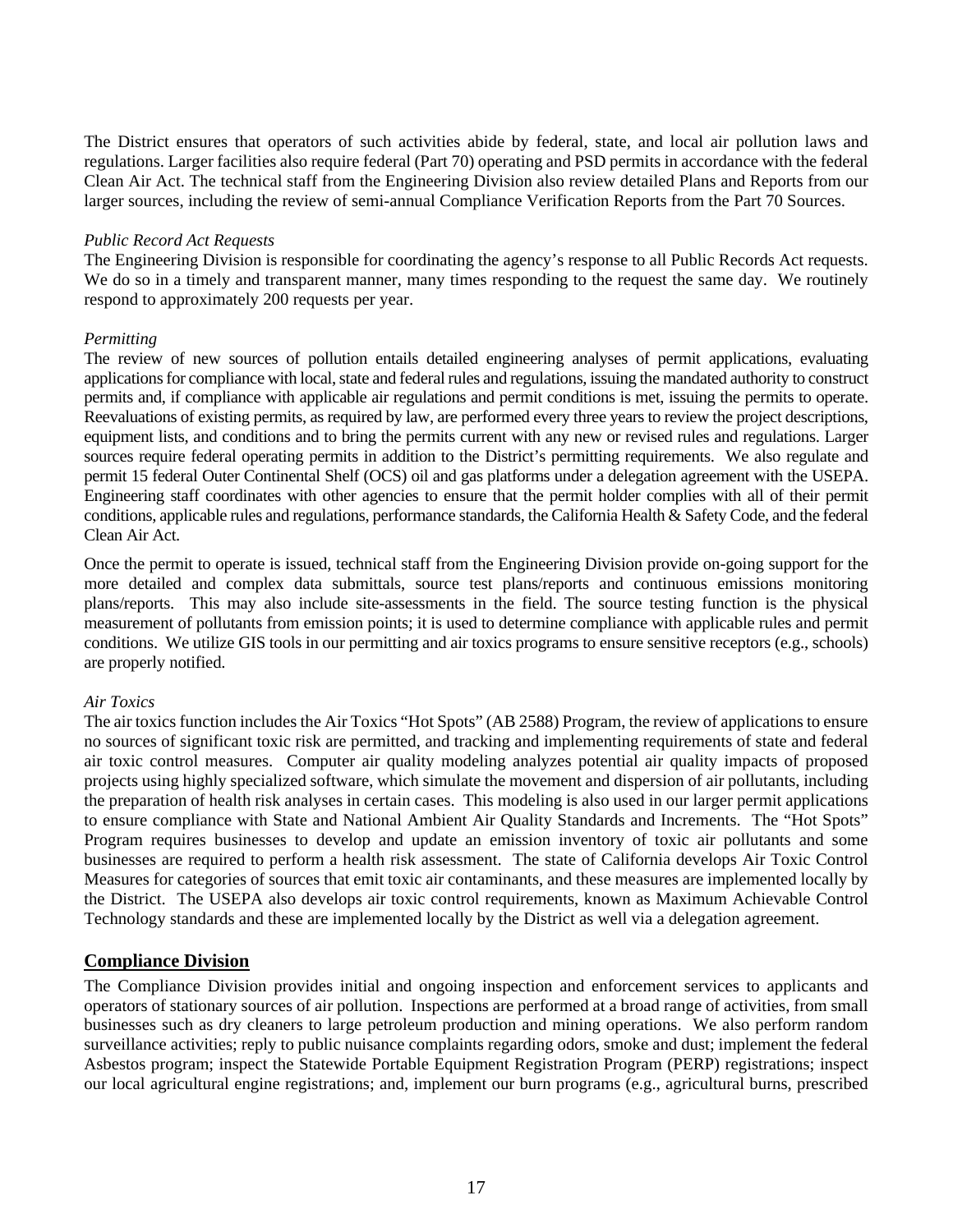The District ensures that operators of such activities abide by federal, state, and local air pollution laws and regulations. Larger facilities also require federal (Part 70) operating and PSD permits in accordance with the federal Clean Air Act. The technical staff from the Engineering Division also review detailed Plans and Reports from our larger sources, including the review of semi-annual Compliance Verification Reports from the Part 70 Sources.

#### *Public Record Act Requests*

The Engineering Division is responsible for coordinating the agency's response to all Public Records Act requests. We do so in a timely and transparent manner, many times responding to the request the same day. We routinely respond to approximately 200 requests per year.

### *Permitting*

The review of new sources of pollution entails detailed engineering analyses of permit applications, evaluating applications for compliance with local, state and federal rules and regulations, issuing the mandated authority to construct permits and, if compliance with applicable air regulations and permit conditions is met, issuing the permits to operate. Reevaluations of existing permits, as required by law, are performed every three years to review the project descriptions, equipment lists, and conditions and to bring the permits current with any new or revised rules and regulations. Larger sources require federal operating permits in addition to the District's permitting requirements. We also regulate and permit 15 federal Outer Continental Shelf (OCS) oil and gas platforms under a delegation agreement with the USEPA. Engineering staff coordinates with other agencies to ensure that the permit holder complies with all of their permit conditions, applicable rules and regulations, performance standards, the California Health & Safety Code, and the federal Clean Air Act.

Once the permit to operate is issued, technical staff from the Engineering Division provide on-going support for the more detailed and complex data submittals, source test plans/reports and continuous emissions monitoring plans/reports. This may also include site-assessments in the field. The source testing function is the physical measurement of pollutants from emission points; it is used to determine compliance with applicable rules and permit conditions. We utilize GIS tools in our permitting and air toxics programs to ensure sensitive receptors (e.g., schools) are properly notified.

#### *Air Toxics*

The air toxics function includes the Air Toxics "Hot Spots" (AB 2588) Program, the review of applications to ensure no sources of significant toxic risk are permitted, and tracking and implementing requirements of state and federal air toxic control measures. Computer air quality modeling analyzes potential air quality impacts of proposed projects using highly specialized software, which simulate the movement and dispersion of air pollutants, including the preparation of health risk analyses in certain cases. This modeling is also used in our larger permit applications to ensure compliance with State and National Ambient Air Quality Standards and Increments. The "Hot Spots" Program requires businesses to develop and update an emission inventory of toxic air pollutants and some businesses are required to perform a health risk assessment. The state of California develops Air Toxic Control Measures for categories of sources that emit toxic air contaminants, and these measures are implemented locally by the District. The USEPA also develops air toxic control requirements, known as Maximum Achievable Control Technology standards and these are implemented locally by the District as well via a delegation agreement.

### **Compliance Division**

The Compliance Division provides initial and ongoing inspection and enforcement services to applicants and operators of stationary sources of air pollution. Inspections are performed at a broad range of activities, from small businesses such as dry cleaners to large petroleum production and mining operations. We also perform random surveillance activities; reply to public nuisance complaints regarding odors, smoke and dust; implement the federal Asbestos program; inspect the Statewide Portable Equipment Registration Program (PERP) registrations; inspect our local agricultural engine registrations; and, implement our burn programs (e.g., agricultural burns, prescribed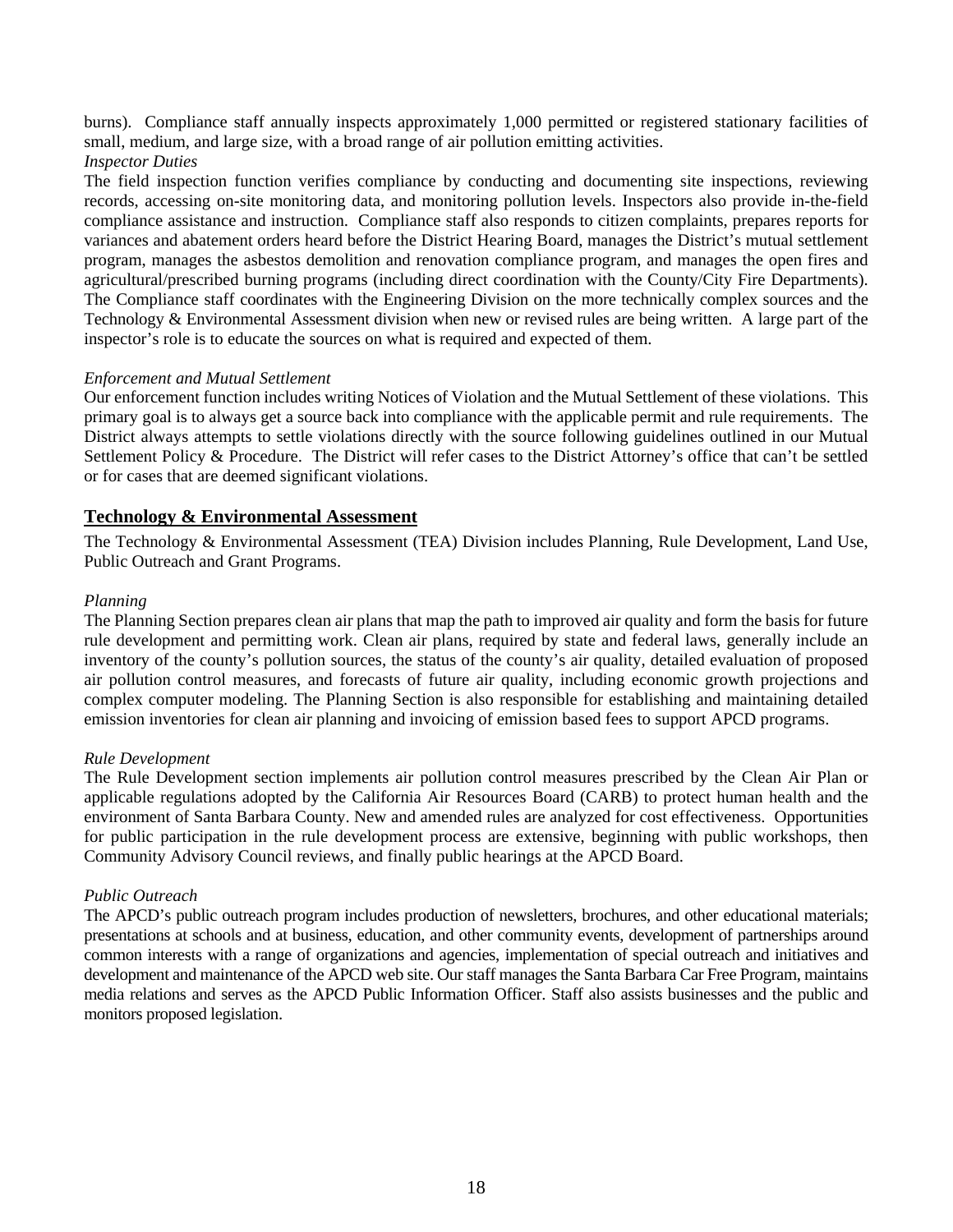burns). Compliance staff annually inspects approximately 1,000 permitted or registered stationary facilities of small, medium, and large size, with a broad range of air pollution emitting activities.

### *Inspector Duties*

The field inspection function verifies compliance by conducting and documenting site inspections, reviewing records, accessing on-site monitoring data, and monitoring pollution levels. Inspectors also provide in-the-field compliance assistance and instruction. Compliance staff also responds to citizen complaints, prepares reports for variances and abatement orders heard before the District Hearing Board, manages the District's mutual settlement program, manages the asbestos demolition and renovation compliance program, and manages the open fires and agricultural/prescribed burning programs (including direct coordination with the County/City Fire Departments). The Compliance staff coordinates with the Engineering Division on the more technically complex sources and the Technology & Environmental Assessment division when new or revised rules are being written. A large part of the inspector's role is to educate the sources on what is required and expected of them.

## *Enforcement and Mutual Settlement*

Our enforcement function includes writing Notices of Violation and the Mutual Settlement of these violations. This primary goal is to always get a source back into compliance with the applicable permit and rule requirements. The District always attempts to settle violations directly with the source following guidelines outlined in our Mutual Settlement Policy & Procedure. The District will refer cases to the District Attorney's office that can't be settled or for cases that are deemed significant violations.

## **Technology & Environmental Assessment**

The Technology & Environmental Assessment (TEA) Division includes Planning, Rule Development, Land Use, Public Outreach and Grant Programs.

## *Planning*

The Planning Section prepares clean air plans that map the path to improved air quality and form the basis for future rule development and permitting work. Clean air plans, required by state and federal laws, generally include an inventory of the county's pollution sources, the status of the county's air quality, detailed evaluation of proposed air pollution control measures, and forecasts of future air quality, including economic growth projections and complex computer modeling. The Planning Section is also responsible for establishing and maintaining detailed emission inventories for clean air planning and invoicing of emission based fees to support APCD programs.

### *Rule Development*

The Rule Development section implements air pollution control measures prescribed by the Clean Air Plan or applicable regulations adopted by the California Air Resources Board (CARB) to protect human health and the environment of Santa Barbara County. New and amended rules are analyzed for cost effectiveness. Opportunities for public participation in the rule development process are extensive, beginning with public workshops, then Community Advisory Council reviews, and finally public hearings at the APCD Board.

### *Public Outreach*

The APCD's public outreach program includes production of newsletters, brochures, and other educational materials; presentations at schools and at business, education, and other community events, development of partnerships around common interests with a range of organizations and agencies, implementation of special outreach and initiatives and development and maintenance of the APCD web site. Our staff manages the Santa Barbara Car Free Program, maintains media relations and serves as the APCD Public Information Officer. Staff also assists businesses and the public and monitors proposed legislation.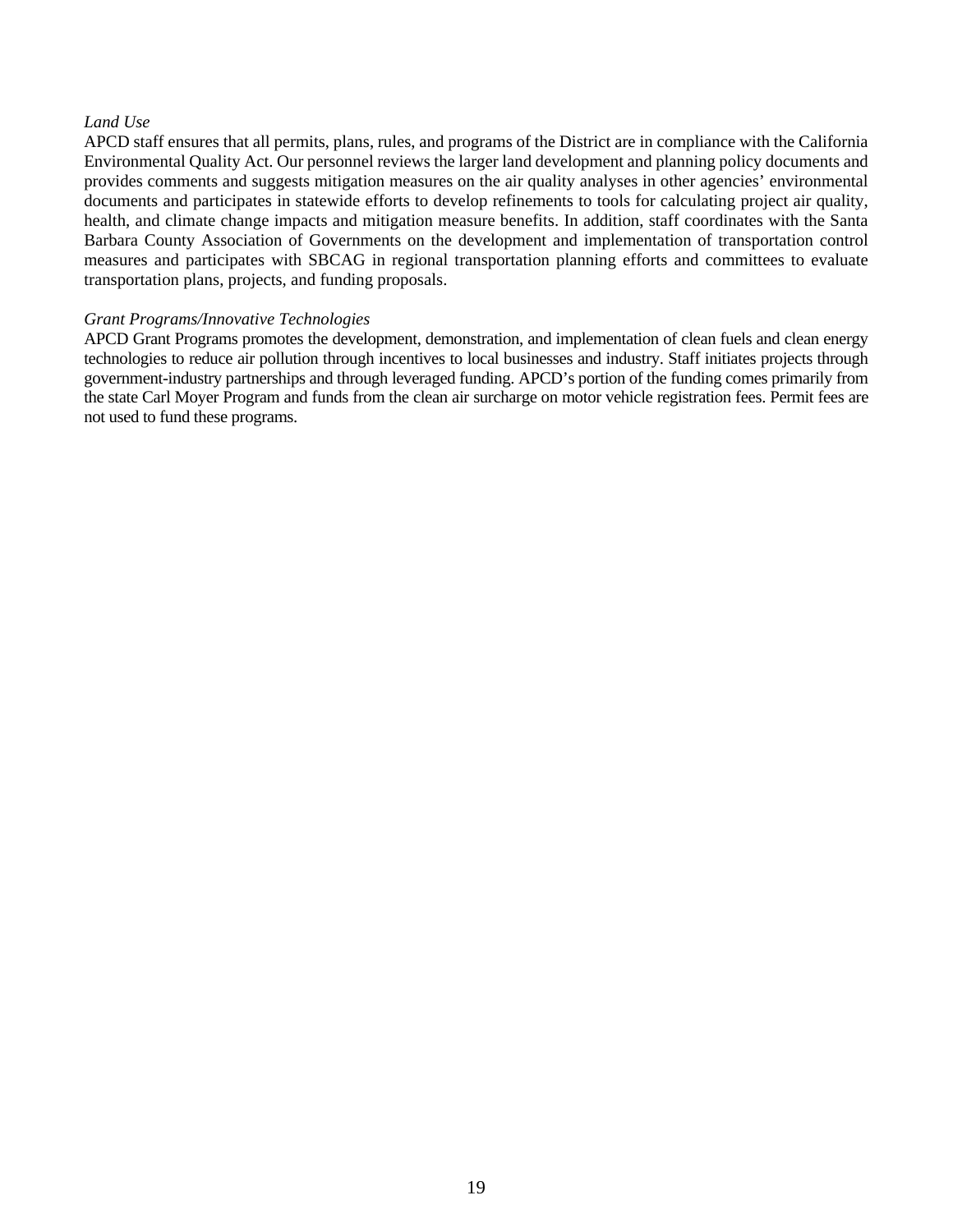#### *Land Use*

APCD staff ensures that all permits, plans, rules, and programs of the District are in compliance with the California Environmental Quality Act. Our personnel reviews the larger land development and planning policy documents and provides comments and suggests mitigation measures on the air quality analyses in other agencies' environmental documents and participates in statewide efforts to develop refinements to tools for calculating project air quality, health, and climate change impacts and mitigation measure benefits. In addition, staff coordinates with the Santa Barbara County Association of Governments on the development and implementation of transportation control measures and participates with SBCAG in regional transportation planning efforts and committees to evaluate transportation plans, projects, and funding proposals.

#### *Grant Programs/Innovative Technologies*

APCD Grant Programs promotes the development, demonstration, and implementation of clean fuels and clean energy technologies to reduce air pollution through incentives to local businesses and industry. Staff initiates projects through government-industry partnerships and through leveraged funding. APCD's portion of the funding comes primarily from the state Carl Moyer Program and funds from the clean air surcharge on motor vehicle registration fees. Permit fees are not used to fund these programs.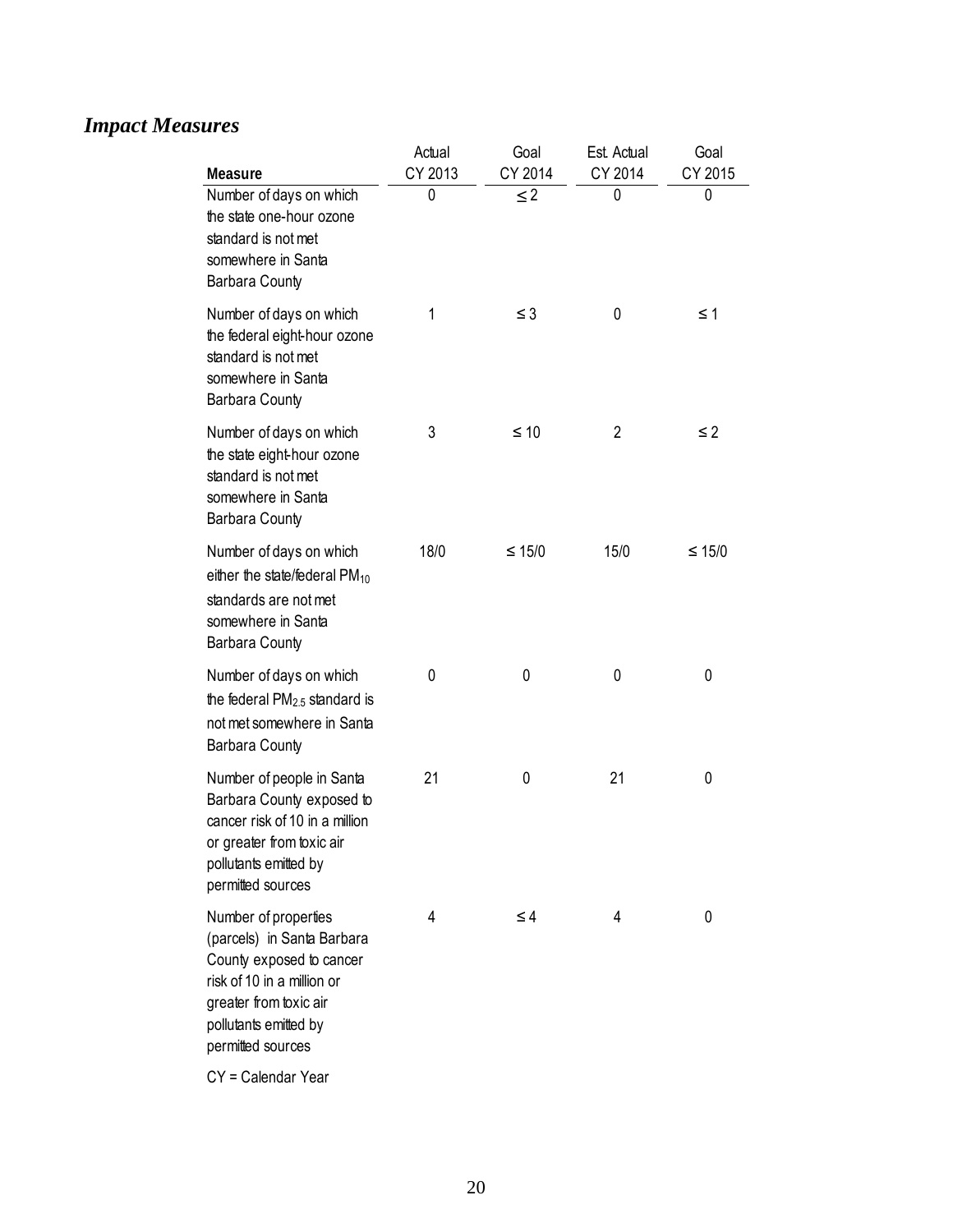# *Impact Measures*

| Actual  | Goal      | Est. Actual | Goal     |
|---------|-----------|-------------|----------|
| CY 2013 | CY 2014   | CY 2014     | CY 2015  |
| 0       | $\leq$ 2  | 0           | 0        |
| 1       | $\leq 3$  | 0           | $\leq$ 1 |
| 3       | $\leq 10$ | 2           | $\leq$ 2 |
| 18/0    | $≤ 15/0$  | 15/0        | $≤ 15/0$ |
| 0       | 0         | 0           | 0        |
| 21      | 0         | 21          | 0        |
| 4       | $\leq 4$  | 4           | 0        |
|         |           |             |          |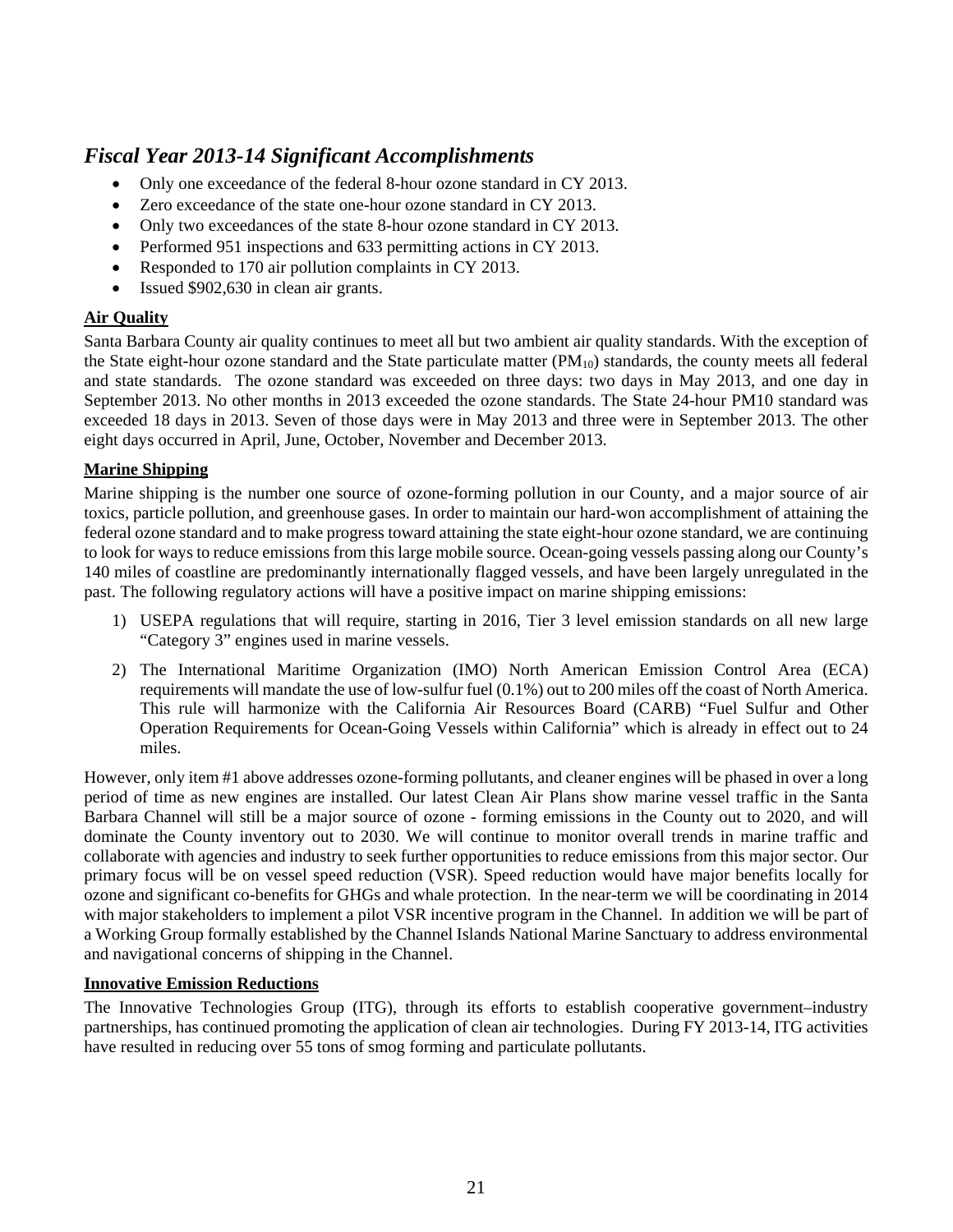## *Fiscal Year 2013-14 Significant Accomplishments*

- Only one exceedance of the federal 8-hour ozone standard in CY 2013.
- Zero exceedance of the state one-hour ozone standard in CY 2013.
- Only two exceedances of the state 8-hour ozone standard in CY 2013.
- Performed 951 inspections and 633 permitting actions in CY 2013.
- Responded to 170 air pollution complaints in CY 2013.
- Issued \$902,630 in clean air grants.

## **Air Quality**

Santa Barbara County air quality continues to meet all but two ambient air quality standards. With the exception of the State eight-hour ozone standard and the State particulate matter (PM10) standards, the county meets all federal and state standards. The ozone standard was exceeded on three days: two days in May 2013, and one day in September 2013. No other months in 2013 exceeded the ozone standards. The State 24-hour PM10 standard was exceeded 18 days in 2013. Seven of those days were in May 2013 and three were in September 2013. The other eight days occurred in April, June, October, November and December 2013.

## **Marine Shipping**

Marine shipping is the number one source of ozone-forming pollution in our County, and a major source of air toxics, particle pollution, and greenhouse gases. In order to maintain our hard-won accomplishment of attaining the federal ozone standard and to make progress toward attaining the state eight-hour ozone standard, we are continuing to look for ways to reduce emissions from this large mobile source. Ocean-going vessels passing along our County's 140 miles of coastline are predominantly internationally flagged vessels, and have been largely unregulated in the past. The following regulatory actions will have a positive impact on marine shipping emissions:

- 1) USEPA regulations that will require, starting in 2016, Tier 3 level emission standards on all new large "Category 3" engines used in marine vessels.
- 2) The International Maritime Organization (IMO) North American Emission Control Area (ECA) requirements will mandate the use of low-sulfur fuel (0.1%) out to 200 miles off the coast of North America. This rule will harmonize with the California Air Resources Board (CARB) "Fuel Sulfur and Other Operation Requirements for Ocean-Going Vessels within California" which is already in effect out to 24 miles.

However, only item #1 above addresses ozone-forming pollutants, and cleaner engines will be phased in over a long period of time as new engines are installed. Our latest Clean Air Plans show marine vessel traffic in the Santa Barbara Channel will still be a major source of ozone - forming emissions in the County out to 2020, and will dominate the County inventory out to 2030. We will continue to monitor overall trends in marine traffic and collaborate with agencies and industry to seek further opportunities to reduce emissions from this major sector. Our primary focus will be on vessel speed reduction (VSR). Speed reduction would have major benefits locally for ozone and significant co-benefits for GHGs and whale protection. In the near-term we will be coordinating in 2014 with major stakeholders to implement a pilot VSR incentive program in the Channel. In addition we will be part of a Working Group formally established by the Channel Islands National Marine Sanctuary to address environmental and navigational concerns of shipping in the Channel.

## **Innovative Emission Reductions**

The Innovative Technologies Group (ITG), through its efforts to establish cooperative government–industry partnerships, has continued promoting the application of clean air technologies. During FY 2013-14, ITG activities have resulted in reducing over 55 tons of smog forming and particulate pollutants.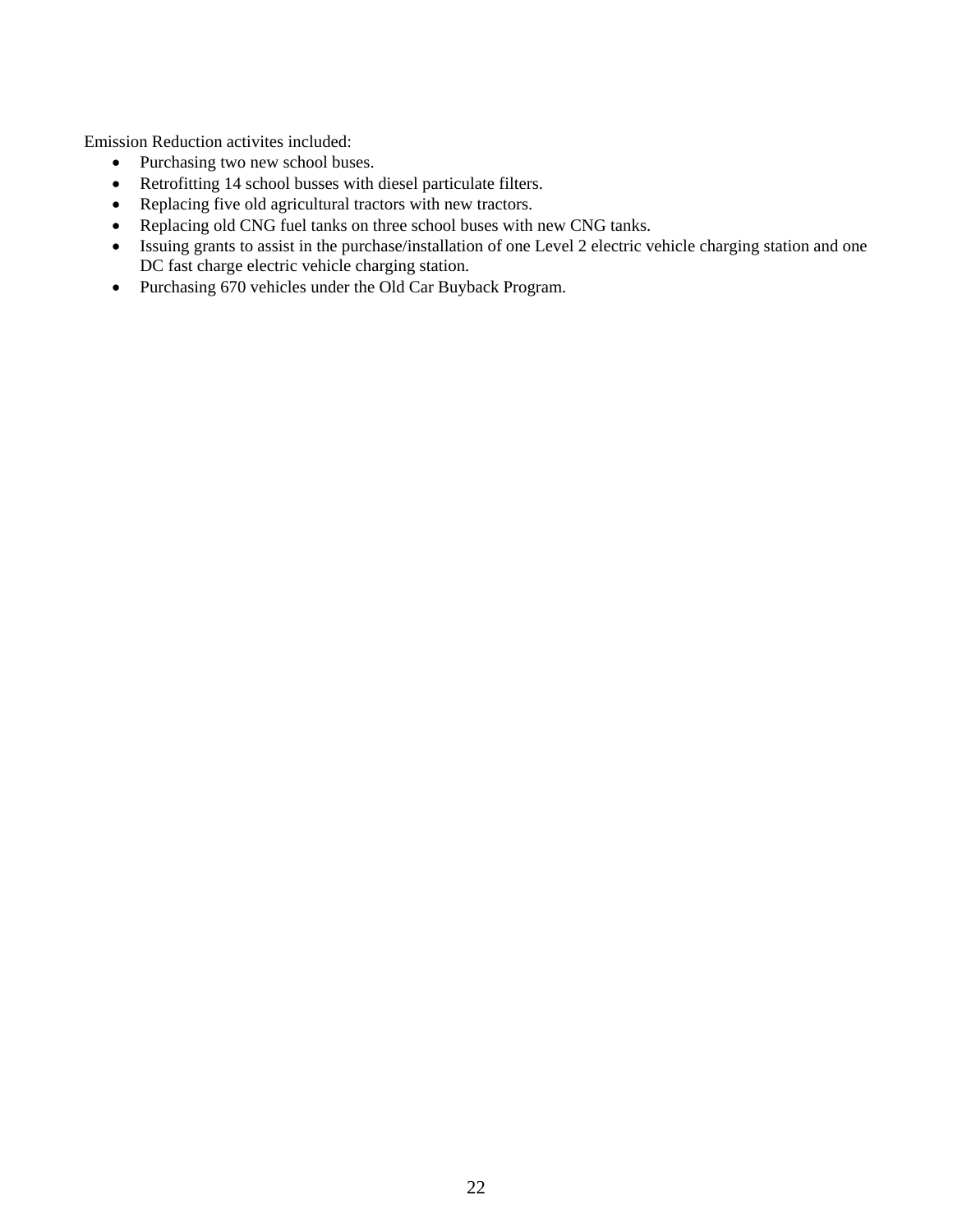Emission Reduction activites included:

- Purchasing two new school buses.
- Retrofitting 14 school busses with diesel particulate filters.
- Replacing five old agricultural tractors with new tractors.
- Replacing old CNG fuel tanks on three school buses with new CNG tanks.
- Issuing grants to assist in the purchase/installation of one Level 2 electric vehicle charging station and one DC fast charge electric vehicle charging station.
- Purchasing 670 vehicles under the Old Car Buyback Program.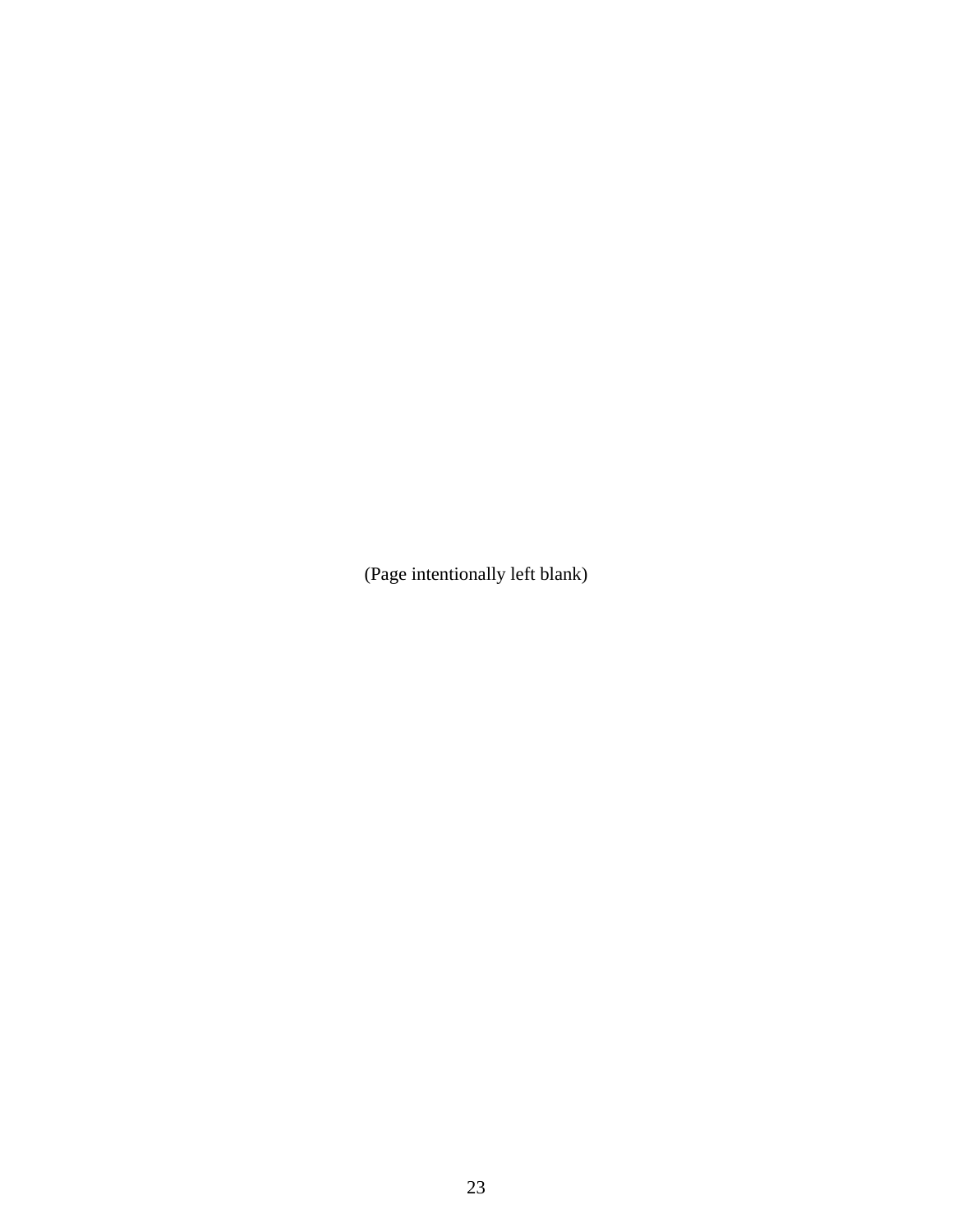(Page intentionally left blank)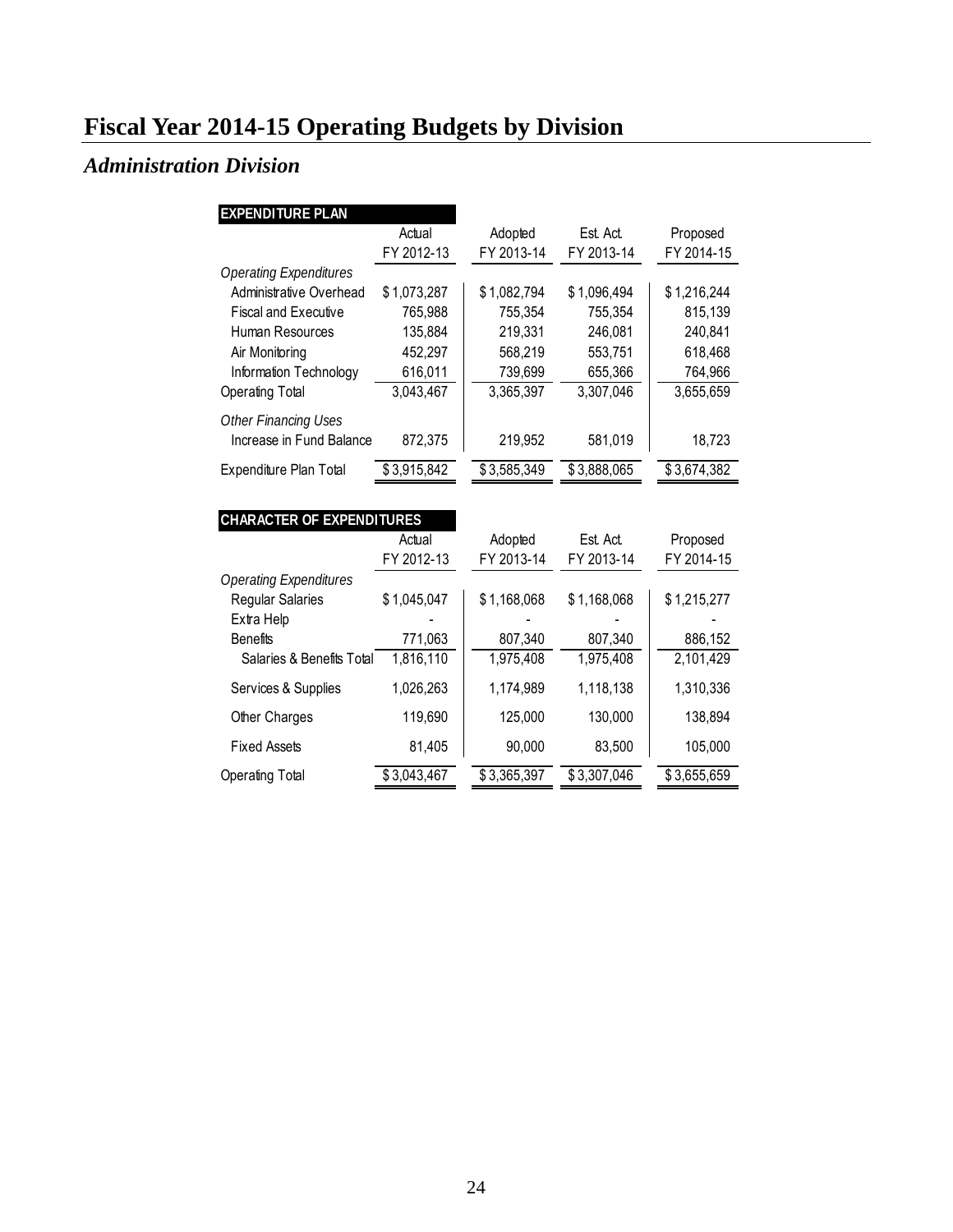# **Fiscal Year 2014-15 Operating Budgets by Division**

## *Administration Division*

| <b>EXPENDITURE PLAN</b>          |             |             |             |             |
|----------------------------------|-------------|-------------|-------------|-------------|
|                                  | Actual      | Adopted     | Est. Act.   | Proposed    |
|                                  | FY 2012-13  | FY 2013-14  | FY 2013-14  | FY 2014-15  |
| <b>Operating Expenditures</b>    |             |             |             |             |
| Administrative Overhead          | \$1,073,287 | \$1,082,794 | \$1,096,494 | \$1,216,244 |
| <b>Fiscal and Executive</b>      | 765,988     | 755,354     | 755,354     | 815,139     |
| Human Resources                  | 135,884     | 219,331     | 246,081     | 240,841     |
| Air Monitoring                   | 452,297     | 568,219     | 553,751     | 618,468     |
| Information Technology           | 616,011     | 739,699     | 655,366     | 764,966     |
| <b>Operating Total</b>           | 3,043,467   | 3,365,397   | 3,307,046   | 3,655,659   |
| Other Financing Uses             |             |             |             |             |
| Increase in Fund Balance         | 872,375     | 219,952     | 581,019     | 18,723      |
| Expenditure Plan Total           | \$3,915,842 | \$3,585,349 | \$3,888,065 | \$3,674,382 |
|                                  |             |             |             |             |
| <b>CHARACTER OF EXPENDITURES</b> |             |             |             |             |
|                                  | Actual      | Adopted     | Est Act     | Proposed    |
|                                  | FY 2012-13  | FY 2013-14  | FY 2013-14  | FY 2014-15  |
| <b>Operating Expenditures</b>    |             |             |             |             |
| Regular Salaries                 | \$1,045,047 | \$1,168,068 | \$1,168,068 | \$1,215,277 |
| Extra Help                       |             |             |             |             |
| <b>Benefits</b>                  | 771,063     | 807,340     | 807,340     | 886,152     |
| Salaries & Benefits Total        | 1,816,110   | 1,975,408   | 1,975,408   | 2,101,429   |

Services & Supplies 1,026,263 1,174,989 1,118,138 1,310,336 Other Charges 119,690 | 125,000 130,000 | 138,894 Fixed Assets 81,405 90,000 83,500 105,000 Operating Total **3** 3,043,467 **\$ 3,365,397** \$ 3,307,046 \$ 3,655,659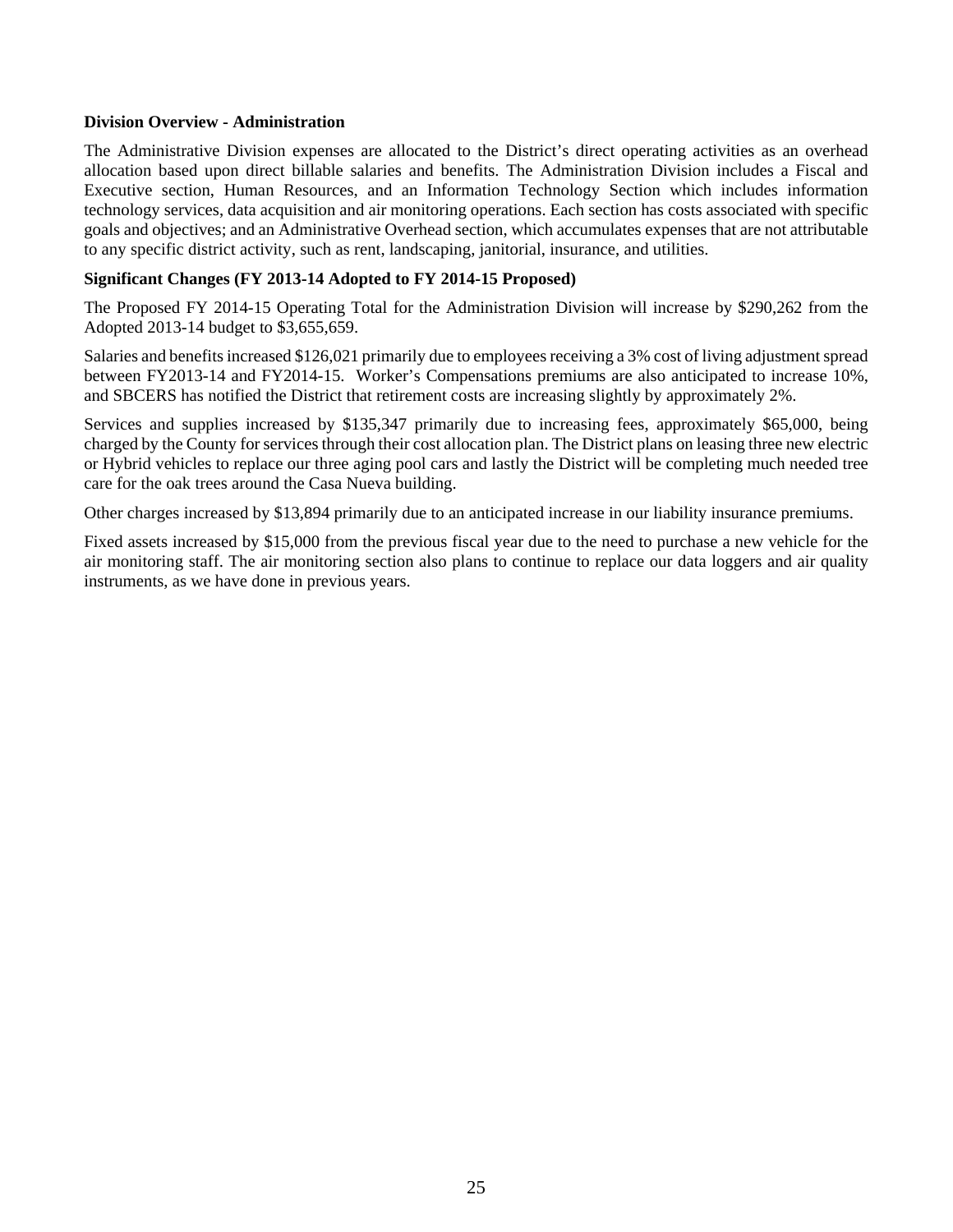#### **Division Overview - Administration**

The Administrative Division expenses are allocated to the District's direct operating activities as an overhead allocation based upon direct billable salaries and benefits. The Administration Division includes a Fiscal and Executive section, Human Resources, and an Information Technology Section which includes information technology services, data acquisition and air monitoring operations. Each section has costs associated with specific goals and objectives; and an Administrative Overhead section, which accumulates expenses that are not attributable to any specific district activity, such as rent, landscaping, janitorial, insurance, and utilities.

### **Significant Changes (FY 2013-14 Adopted to FY 2014-15 Proposed)**

The Proposed FY 2014-15 Operating Total for the Administration Division will increase by \$290,262 from the Adopted 2013-14 budget to \$3,655,659.

Salaries and benefits increased \$126,021 primarily due to employees receiving a 3% cost of living adjustment spread between FY2013-14 and FY2014-15. Worker's Compensations premiums are also anticipated to increase 10%, and SBCERS has notified the District that retirement costs are increasing slightly by approximately 2%.

Services and supplies increased by \$135,347 primarily due to increasing fees, approximately \$65,000, being charged by the County for services through their cost allocation plan. The District plans on leasing three new electric or Hybrid vehicles to replace our three aging pool cars and lastly the District will be completing much needed tree care for the oak trees around the Casa Nueva building.

Other charges increased by \$13,894 primarily due to an anticipated increase in our liability insurance premiums.

Fixed assets increased by \$15,000 from the previous fiscal year due to the need to purchase a new vehicle for the air monitoring staff. The air monitoring section also plans to continue to replace our data loggers and air quality instruments, as we have done in previous years.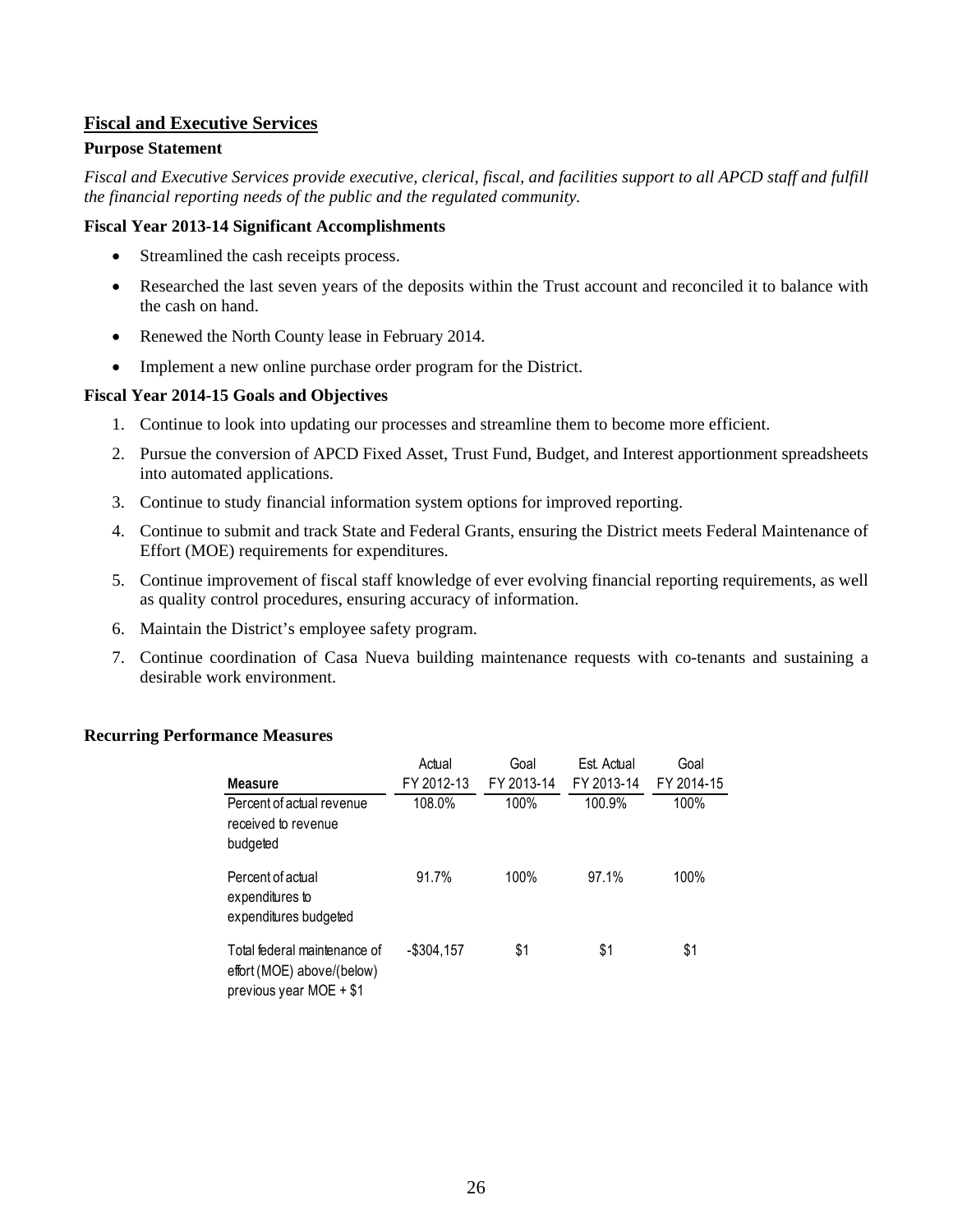## **Fiscal and Executive Services**

### **Purpose Statement**

*Fiscal and Executive Services provide executive, clerical, fiscal, and facilities support to all APCD staff and fulfill the financial reporting needs of the public and the regulated community.* 

#### **Fiscal Year 2013-14 Significant Accomplishments**

- Streamlined the cash receipts process.
- Researched the last seven years of the deposits within the Trust account and reconciled it to balance with the cash on hand.
- Renewed the North County lease in February 2014.
- Implement a new online purchase order program for the District.

#### **Fiscal Year 2014-15 Goals and Objectives**

- 1. Continue to look into updating our processes and streamline them to become more efficient.
- 2. Pursue the conversion of APCD Fixed Asset, Trust Fund, Budget, and Interest apportionment spreadsheets into automated applications.
- 3. Continue to study financial information system options for improved reporting.
- 4. Continue to submit and track State and Federal Grants, ensuring the District meets Federal Maintenance of Effort (MOE) requirements for expenditures.
- 5. Continue improvement of fiscal staff knowledge of ever evolving financial reporting requirements, as well as quality control procedures, ensuring accuracy of information.
- 6. Maintain the District's employee safety program.
- 7. Continue coordination of Casa Nueva building maintenance requests with co-tenants and sustaining a desirable work environment.

#### **Recurring Performance Measures**

| Measure                                                                                | Actual<br>FY 2012-13 | Goal<br>FY 2013-14 | Est. Actual<br>FY 2013-14 | Goal<br>FY 2014-15 |
|----------------------------------------------------------------------------------------|----------------------|--------------------|---------------------------|--------------------|
| Percent of actual revenue<br>received to revenue<br>budgeted                           | 108.0%               | 100%               | 100.9%                    | 100%               |
| Percent of actual<br>expenditures to<br>expenditures budgeted                          | 91.7%                | 100%               | 97.1%                     | 100%               |
| Total federal maintenance of<br>effort (MOE) above/(below)<br>previous year MOE $+ $1$ | -\$304.157           | \$1                | \$1                       | \$1                |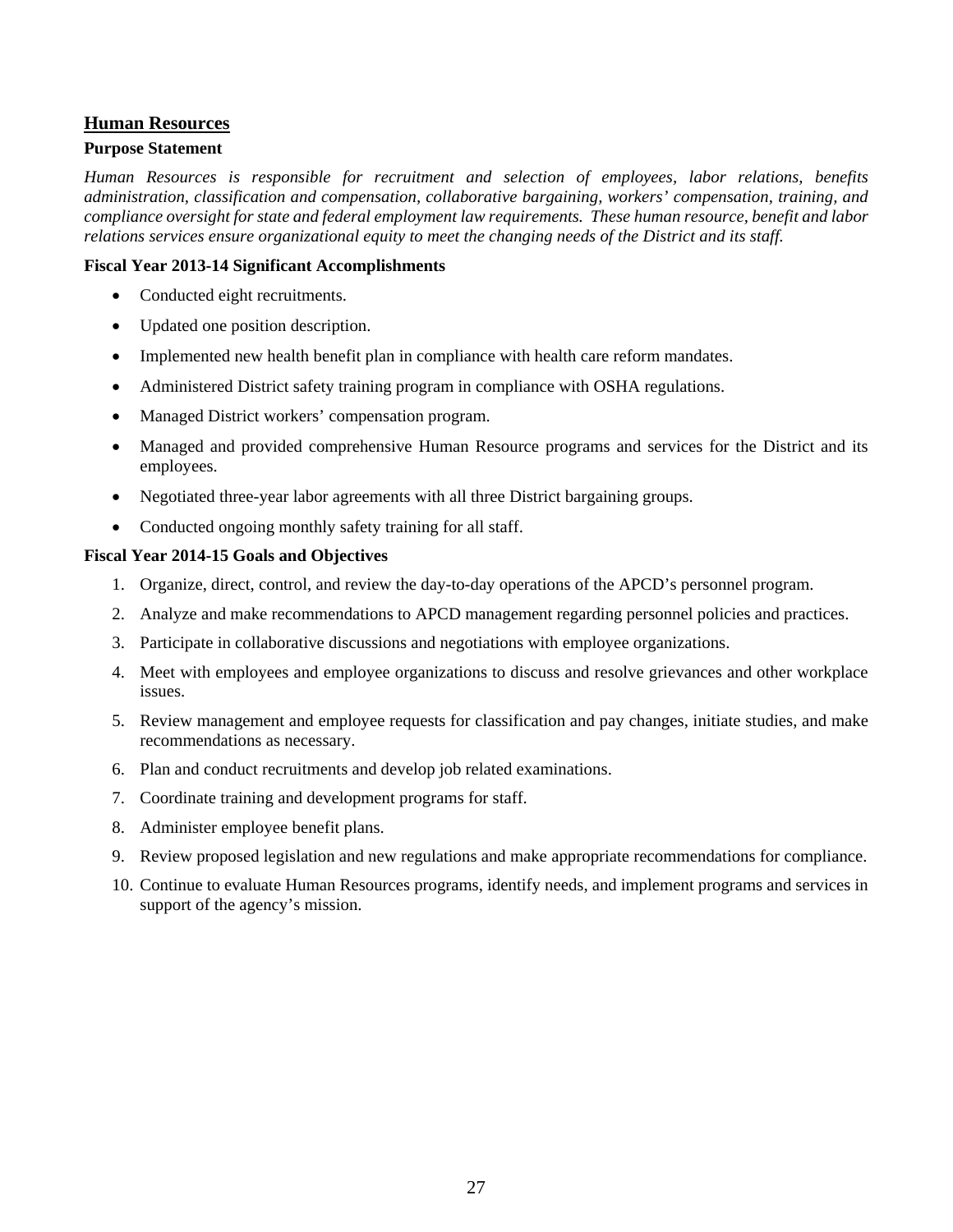## **Human Resources**

### **Purpose Statement**

*Human Resources is responsible for recruitment and selection of employees, labor relations, benefits administration, classification and compensation, collaborative bargaining, workers' compensation, training, and compliance oversight for state and federal employment law requirements. These human resource, benefit and labor relations services ensure organizational equity to meet the changing needs of the District and its staff.* 

#### **Fiscal Year 2013-14 Significant Accomplishments**

- Conducted eight recruitments.
- Updated one position description.
- Implemented new health benefit plan in compliance with health care reform mandates.
- Administered District safety training program in compliance with OSHA regulations.
- Managed District workers' compensation program.
- Managed and provided comprehensive Human Resource programs and services for the District and its employees.
- Negotiated three-year labor agreements with all three District bargaining groups.
- Conducted ongoing monthly safety training for all staff.

### **Fiscal Year 2014-15 Goals and Objectives**

- 1. Organize, direct, control, and review the day-to-day operations of the APCD's personnel program.
- 2. Analyze and make recommendations to APCD management regarding personnel policies and practices.
- 3. Participate in collaborative discussions and negotiations with employee organizations.
- 4. Meet with employees and employee organizations to discuss and resolve grievances and other workplace issues.
- 5. Review management and employee requests for classification and pay changes, initiate studies, and make recommendations as necessary.
- 6. Plan and conduct recruitments and develop job related examinations.
- 7. Coordinate training and development programs for staff.
- 8. Administer employee benefit plans.
- 9. Review proposed legislation and new regulations and make appropriate recommendations for compliance.
- 10. Continue to evaluate Human Resources programs, identify needs, and implement programs and services in support of the agency's mission.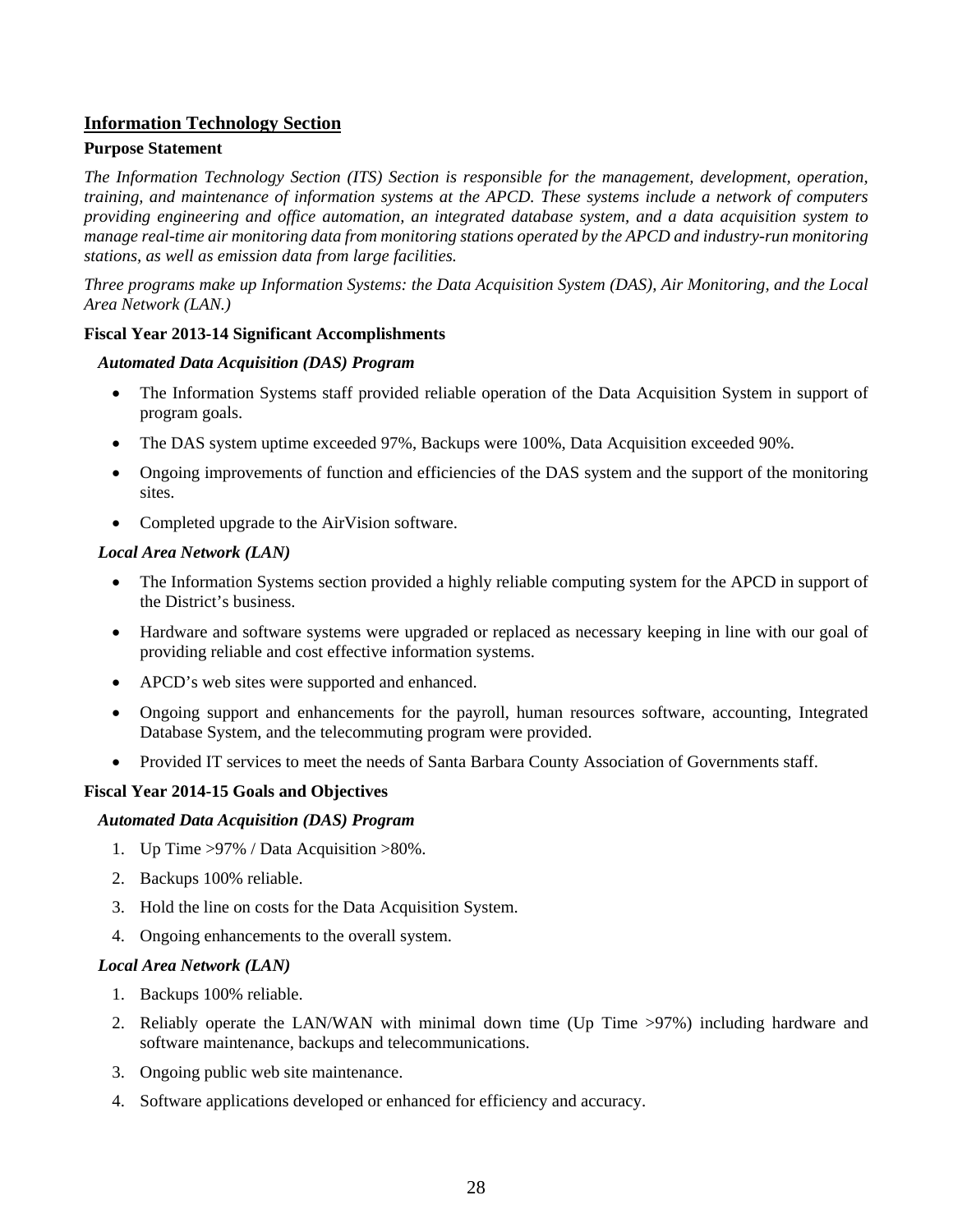## **Information Technology Section**

## **Purpose Statement**

*The Information Technology Section (ITS) Section is responsible for the management, development, operation, training, and maintenance of information systems at the APCD. These systems include a network of computers providing engineering and office automation, an integrated database system, and a data acquisition system to manage real-time air monitoring data from monitoring stations operated by the APCD and industry-run monitoring stations, as well as emission data from large facilities.* 

*Three programs make up Information Systems: the Data Acquisition System (DAS), Air Monitoring, and the Local Area Network (LAN.)* 

## **Fiscal Year 2013-14 Significant Accomplishments**

### *Automated Data Acquisition (DAS) Program*

- The Information Systems staff provided reliable operation of the Data Acquisition System in support of program goals.
- The DAS system uptime exceeded 97%, Backups were 100%, Data Acquisition exceeded 90%.
- Ongoing improvements of function and efficiencies of the DAS system and the support of the monitoring sites.
- Completed upgrade to the AirVision software.

## *Local Area Network (LAN)*

- The Information Systems section provided a highly reliable computing system for the APCD in support of the District's business.
- Hardware and software systems were upgraded or replaced as necessary keeping in line with our goal of providing reliable and cost effective information systems.
- APCD's web sites were supported and enhanced.
- Ongoing support and enhancements for the payroll, human resources software, accounting, Integrated Database System, and the telecommuting program were provided.
- Provided IT services to meet the needs of Santa Barbara County Association of Governments staff.

### **Fiscal Year 2014-15 Goals and Objectives**

### *Automated Data Acquisition (DAS) Program*

- 1. Up Time >97% / Data Acquisition >80%.
- 2. Backups 100% reliable.
- 3. Hold the line on costs for the Data Acquisition System.
- 4. Ongoing enhancements to the overall system.

### *Local Area Network (LAN)*

- 1. Backups 100% reliable.
- 2. Reliably operate the LAN/WAN with minimal down time (Up Time >97%) including hardware and software maintenance, backups and telecommunications.
- 3. Ongoing public web site maintenance.
- 4. Software applications developed or enhanced for efficiency and accuracy.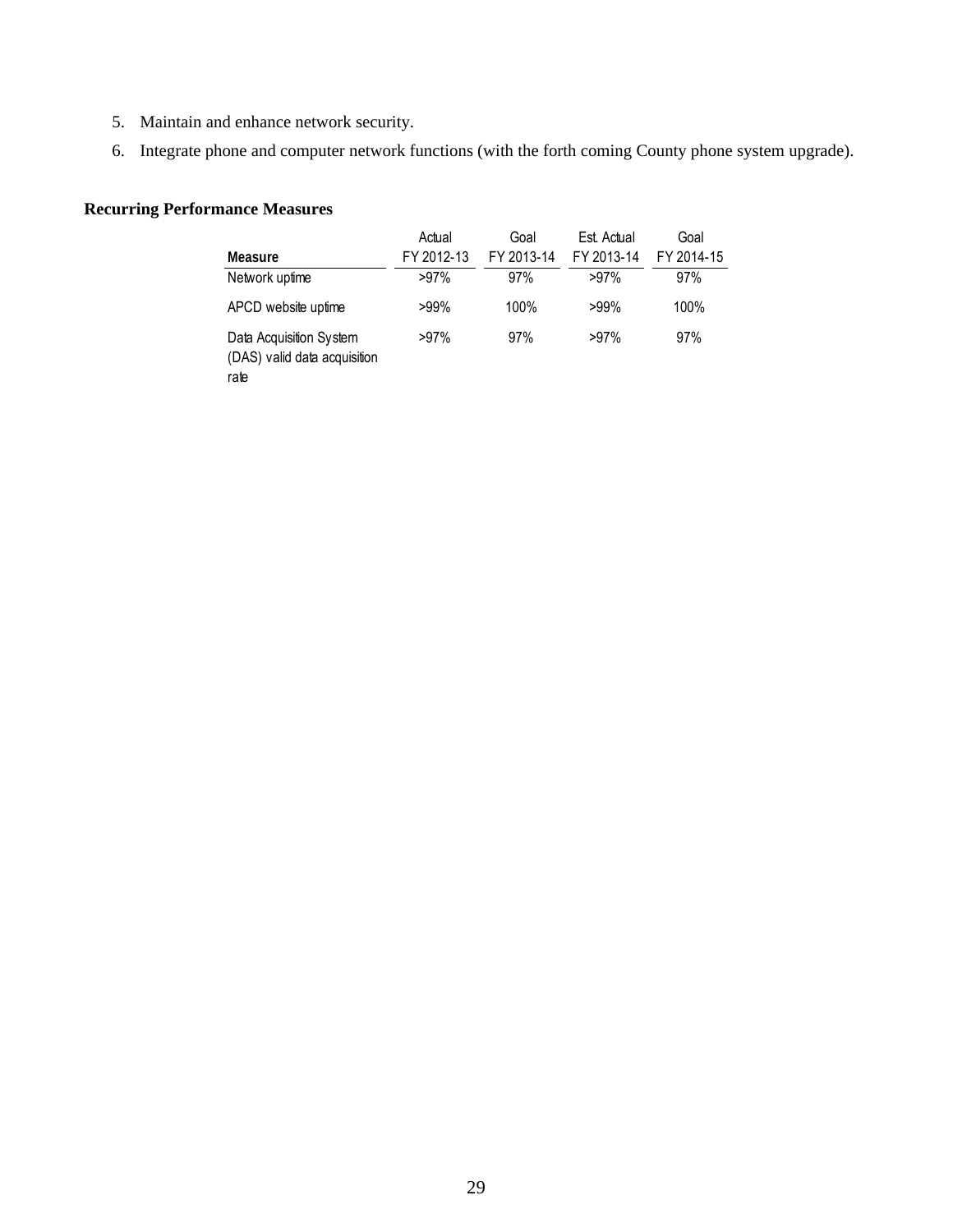- 5. Maintain and enhance network security.
- 6. Integrate phone and computer network functions (with the forth coming County phone system upgrade).

## **Recurring Performance Measures**

|                                                                 | Actual     | Goal       | Est. Actual | Goal       |
|-----------------------------------------------------------------|------------|------------|-------------|------------|
| Measure                                                         | FY 2012-13 | FY 2013-14 | FY 2013-14  | FY 2014-15 |
| Network uptime                                                  | $>97\%$    | 97%        | $>97\%$     | 97%        |
| APCD website uptime                                             | $>99\%$    | 100%       | $>99\%$     | 100%       |
| Data Acquisition System<br>(DAS) valid data acquisition<br>rate | $>97\%$    | 97%        | $>97\%$     | 97%        |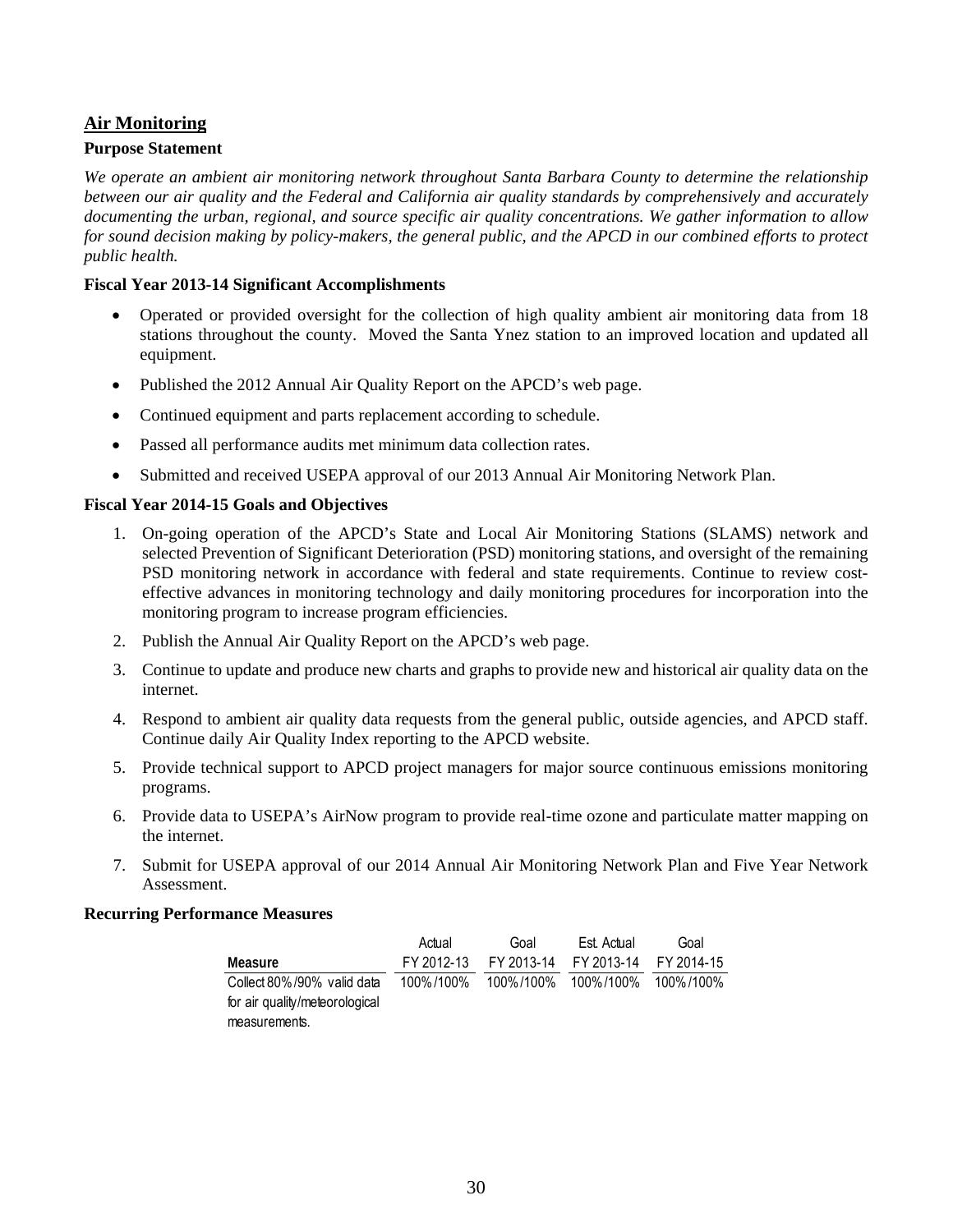## **Air Monitoring**

### **Purpose Statement**

*We operate an ambient air monitoring network throughout Santa Barbara County to determine the relationship between our air quality and the Federal and California air quality standards by comprehensively and accurately documenting the urban, regional, and source specific air quality concentrations. We gather information to allow for sound decision making by policy-makers, the general public, and the APCD in our combined efforts to protect public health.*

### **Fiscal Year 2013-14 Significant Accomplishments**

- Operated or provided oversight for the collection of high quality ambient air monitoring data from 18 stations throughout the county. Moved the Santa Ynez station to an improved location and updated all equipment.
- Published the 2012 Annual Air Quality Report on the APCD's web page.
- Continued equipment and parts replacement according to schedule.
- Passed all performance audits met minimum data collection rates.
- Submitted and received USEPA approval of our 2013 Annual Air Monitoring Network Plan.

### **Fiscal Year 2014-15 Goals and Objectives**

- 1. On-going operation of the APCD's State and Local Air Monitoring Stations (SLAMS) network and selected Prevention of Significant Deterioration (PSD) monitoring stations, and oversight of the remaining PSD monitoring network in accordance with federal and state requirements. Continue to review costeffective advances in monitoring technology and daily monitoring procedures for incorporation into the monitoring program to increase program efficiencies.
- 2. Publish the Annual Air Quality Report on the APCD's web page.
- 3. Continue to update and produce new charts and graphs to provide new and historical air quality data on the internet.
- 4. Respond to ambient air quality data requests from the general public, outside agencies, and APCD staff. Continue daily Air Quality Index reporting to the APCD website.
- 5. Provide technical support to APCD project managers for major source continuous emissions monitoring programs.
- 6. Provide data to USEPA's AirNow program to provide real-time ozone and particulate matter mapping on the internet.
- 7. Submit for USEPA approval of our 2014 Annual Air Monitoring Network Plan and Five Year Network Assessment.

#### **Recurring Performance Measures**

|                                | Actual     | Goal       | Est. Actual | Goal       |
|--------------------------------|------------|------------|-------------|------------|
| Measure                        | FY 2012-13 | FY 2013-14 | FY 2013-14  | FY 2014-15 |
| Collect 80%/90% valid data     | 100%/100%  | 100%/100%  | 100%/100%   | 100%/100%  |
| for air quality/meteorological |            |            |             |            |
| measurements.                  |            |            |             |            |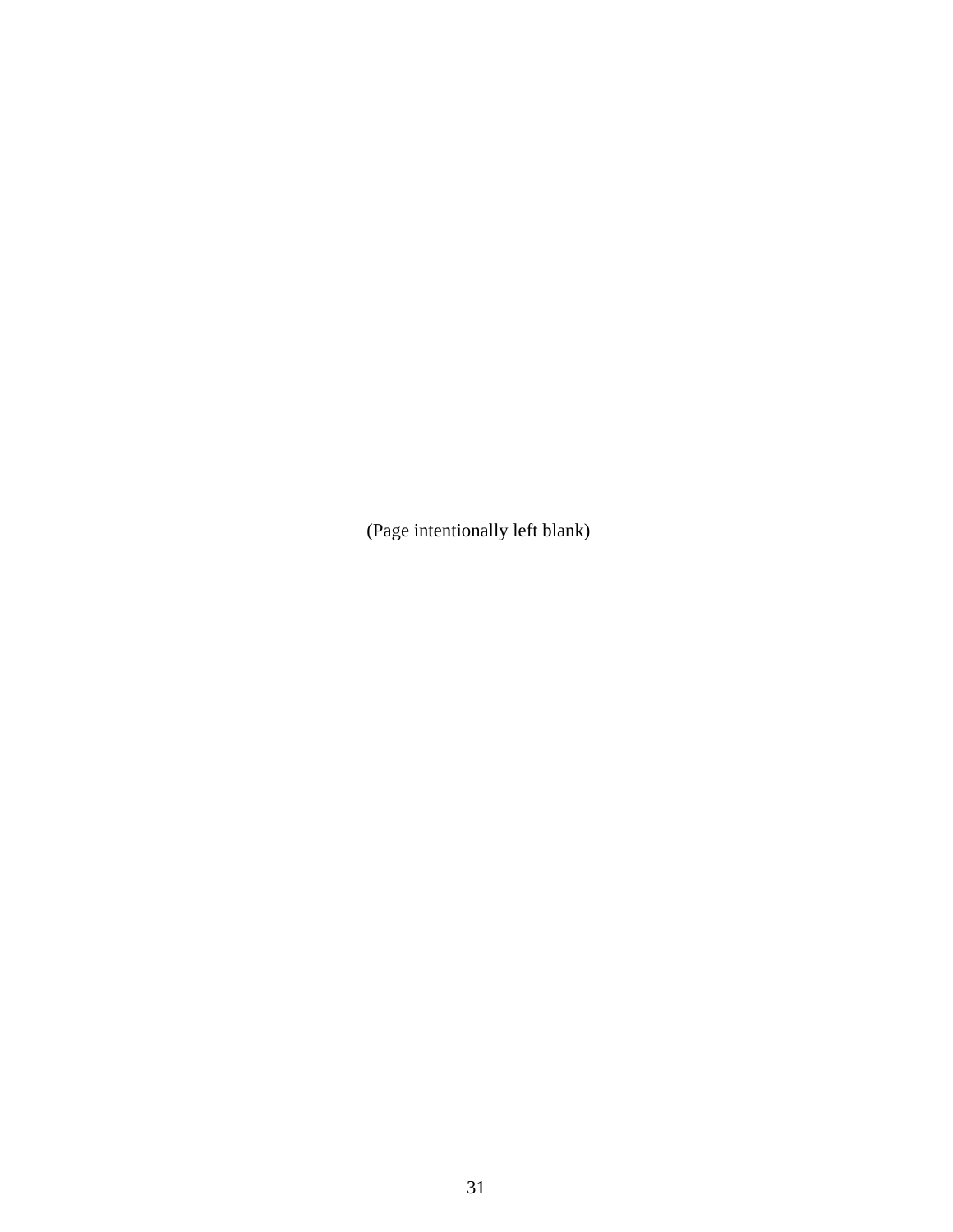(Page intentionally left blank)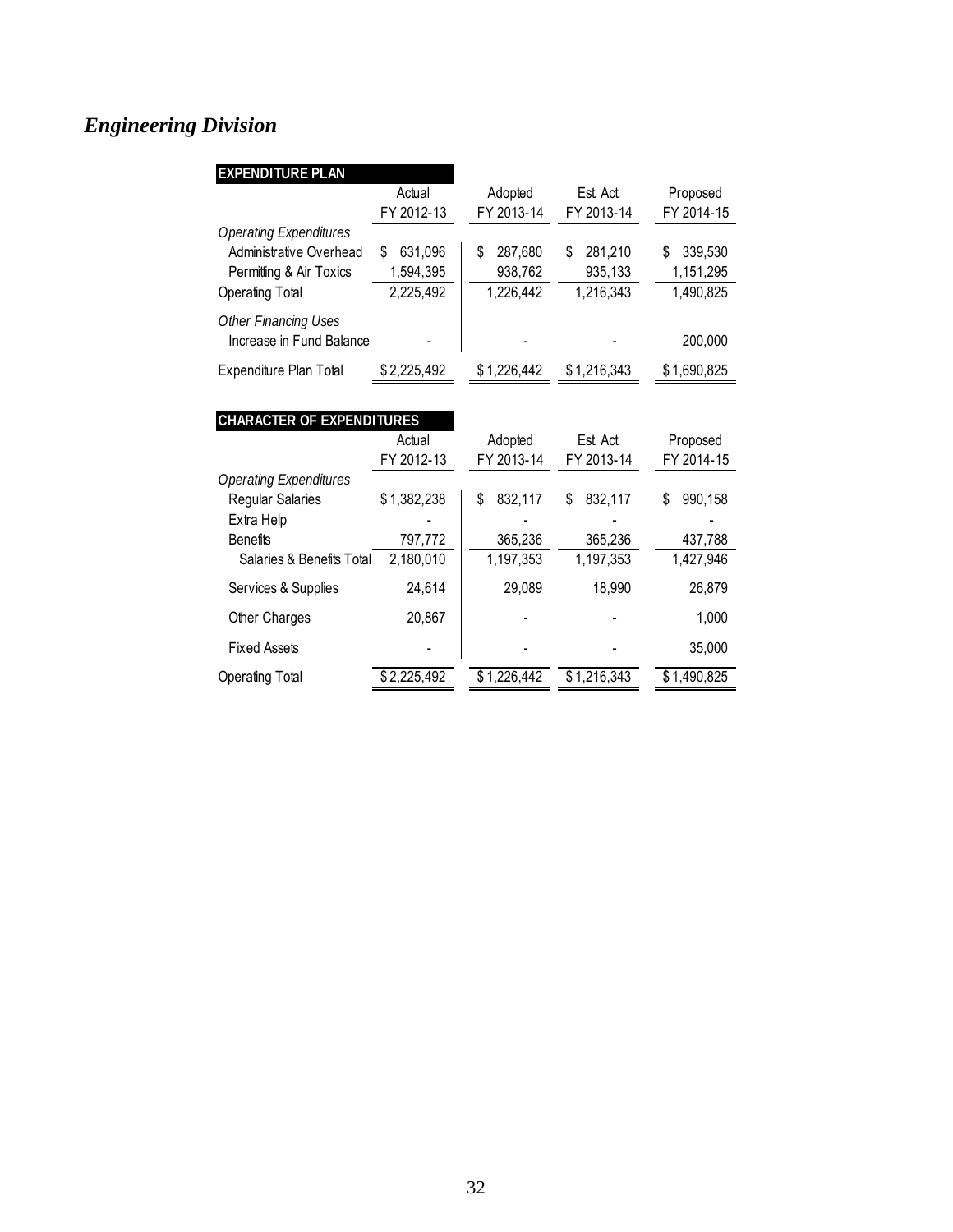# *Engineering Division*

| <b>EXPENDITURE PLAN</b>                          |               |               |               |               |
|--------------------------------------------------|---------------|---------------|---------------|---------------|
|                                                  | Actual        | Adopted       | Est. Act.     | Proposed      |
|                                                  | FY 2012-13    | FY 2013-14    | FY 2013-14    | FY 2014-15    |
| <b>Operating Expenditures</b>                    |               |               |               |               |
| Administrative Overhead                          | 631,096<br>\$ | 287,680<br>\$ | 281,210<br>\$ | 339,530<br>S  |
| Permitting & Air Toxics                          | 1,594,395     | 938,762       | 935,133       | 1,151,295     |
| <b>Operating Total</b>                           | 2,225,492     | 1,226,442     | 1,216,343     | 1,490,825     |
| Other Financing Uses<br>Increase in Fund Balance |               |               |               | 200,000       |
| Expenditure Plan Total                           | \$2,225,492   | \$1,226,442   | \$1,216,343   | \$1,690,825   |
|                                                  |               |               |               |               |
| <b>CHARACTER OF EXPENDITURES</b>                 |               |               |               |               |
|                                                  | Actual        | Adopted       | Est. Act.     | Proposed      |
|                                                  | FY 2012-13    | FY 2013-14    | FY 2013-14    | FY 2014-15    |
| <b>Operating Expenditures</b>                    |               |               |               |               |
| Regular Salaries                                 | \$1,382,238   | 832,117<br>\$ | 832,117<br>\$ | 990,158<br>\$ |
| Extra Help                                       |               |               |               |               |
| <b>Benefits</b>                                  | 797,772       | 365,236       | 365,236       | 437,788       |
| Salaries & Benefits Total                        | 2,180,010     | 1,197,353     | 1,197,353     | 1,427,946     |
| Services & Supplies                              | 24,614        | 29,089        | 18,990        | 26,879        |
| Other Charges                                    | 20,867        |               |               | 1,000         |
| <b>Fixed Assets</b>                              |               |               |               | 35,000        |
| <b>Operating Total</b>                           | \$2,225,492   | \$1,226,442   | \$1,216,343   | \$1,490,825   |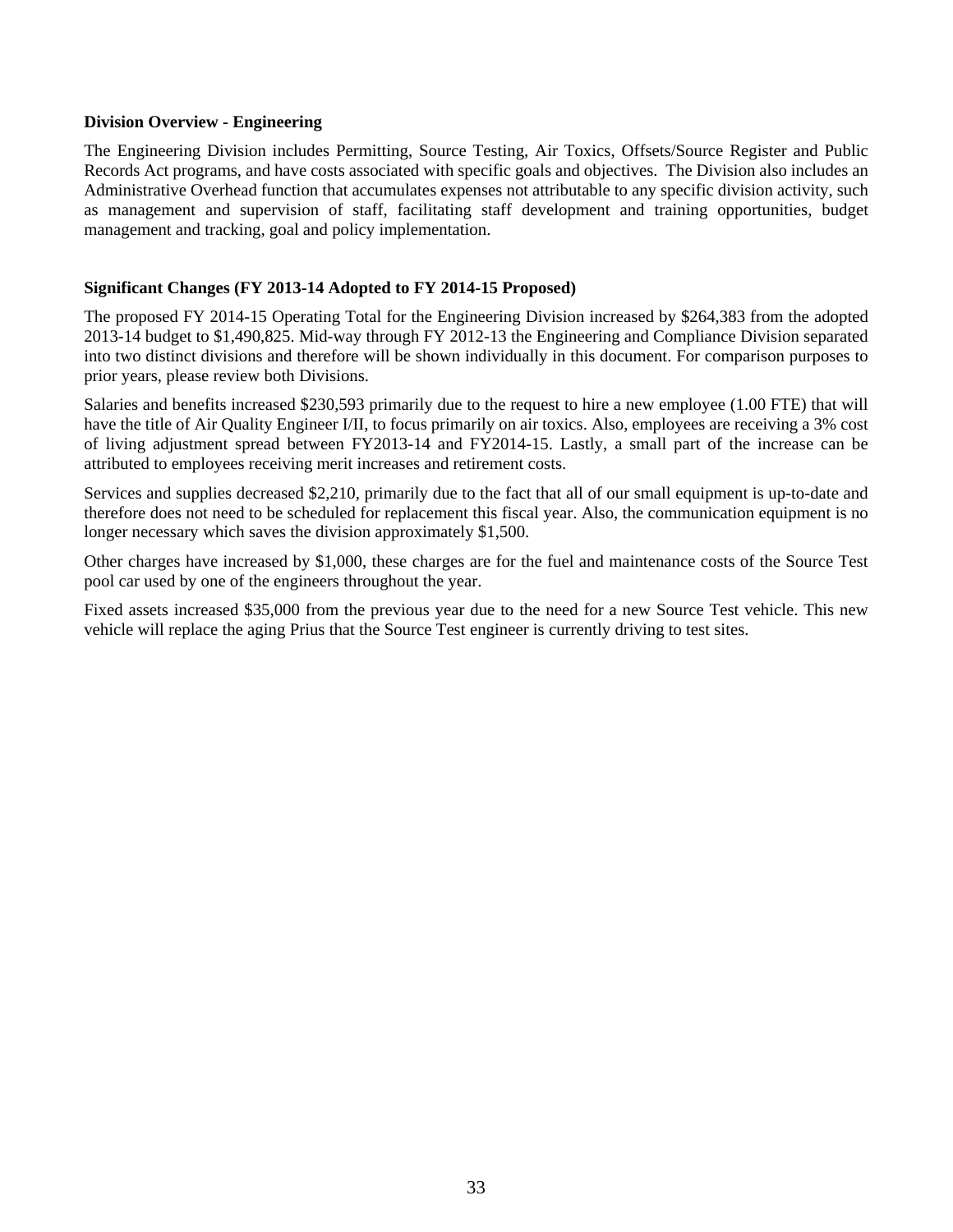#### **Division Overview - Engineering**

The Engineering Division includes Permitting, Source Testing, Air Toxics, Offsets/Source Register and Public Records Act programs, and have costs associated with specific goals and objectives. The Division also includes an Administrative Overhead function that accumulates expenses not attributable to any specific division activity, such as management and supervision of staff, facilitating staff development and training opportunities, budget management and tracking, goal and policy implementation.

#### **Significant Changes (FY 2013-14 Adopted to FY 2014-15 Proposed)**

The proposed FY 2014-15 Operating Total for the Engineering Division increased by \$264,383 from the adopted 2013-14 budget to \$1,490,825. Mid-way through FY 2012-13 the Engineering and Compliance Division separated into two distinct divisions and therefore will be shown individually in this document. For comparison purposes to prior years, please review both Divisions.

Salaries and benefits increased \$230,593 primarily due to the request to hire a new employee (1.00 FTE) that will have the title of Air Quality Engineer I/II, to focus primarily on air toxics. Also, employees are receiving a 3% cost of living adjustment spread between FY2013-14 and FY2014-15. Lastly, a small part of the increase can be attributed to employees receiving merit increases and retirement costs.

Services and supplies decreased \$2,210, primarily due to the fact that all of our small equipment is up-to-date and therefore does not need to be scheduled for replacement this fiscal year. Also, the communication equipment is no longer necessary which saves the division approximately \$1,500.

Other charges have increased by \$1,000, these charges are for the fuel and maintenance costs of the Source Test pool car used by one of the engineers throughout the year.

Fixed assets increased \$35,000 from the previous year due to the need for a new Source Test vehicle. This new vehicle will replace the aging Prius that the Source Test engineer is currently driving to test sites.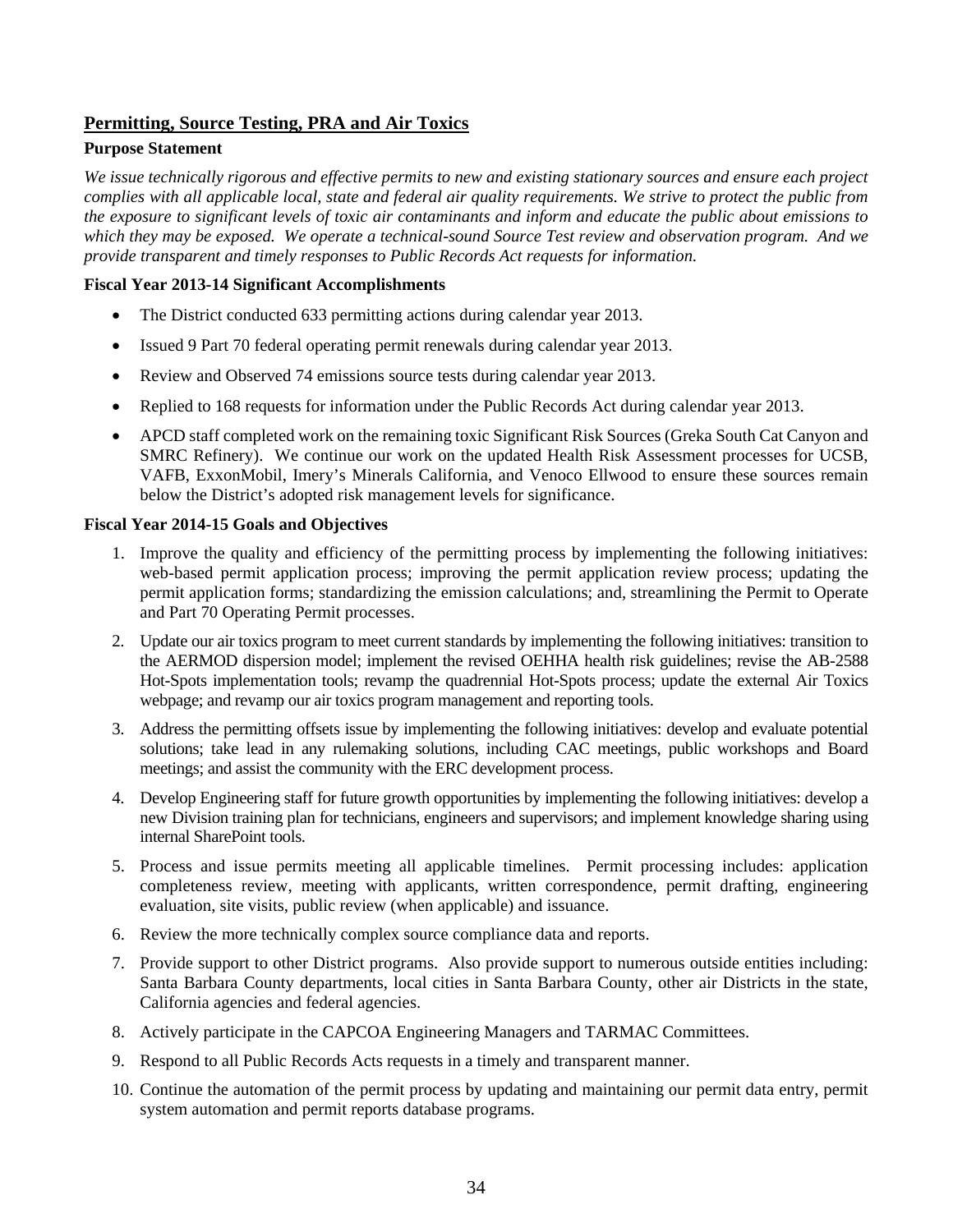## **Permitting, Source Testing, PRA and Air Toxics**

## **Purpose Statement**

*We issue technically rigorous and effective permits to new and existing stationary sources and ensure each project complies with all applicable local, state and federal air quality requirements. We strive to protect the public from the exposure to significant levels of toxic air contaminants and inform and educate the public about emissions to which they may be exposed. We operate a technical-sound Source Test review and observation program. And we provide transparent and timely responses to Public Records Act requests for information.* 

## **Fiscal Year 2013-14 Significant Accomplishments**

- The District conducted 633 permitting actions during calendar year 2013.
- Issued 9 Part 70 federal operating permit renewals during calendar year 2013.
- Review and Observed 74 emissions source tests during calendar year 2013.
- Replied to 168 requests for information under the Public Records Act during calendar year 2013.
- APCD staff completed work on the remaining toxic Significant Risk Sources (Greka South Cat Canyon and SMRC Refinery). We continue our work on the updated Health Risk Assessment processes for UCSB, VAFB, ExxonMobil, Imery's Minerals California, and Venoco Ellwood to ensure these sources remain below the District's adopted risk management levels for significance.

### **Fiscal Year 2014-15 Goals and Objectives**

- 1. Improve the quality and efficiency of the permitting process by implementing the following initiatives: web-based permit application process; improving the permit application review process; updating the permit application forms; standardizing the emission calculations; and, streamlining the Permit to Operate and Part 70 Operating Permit processes.
- 2. Update our air toxics program to meet current standards by implementing the following initiatives: transition to the AERMOD dispersion model; implement the revised OEHHA health risk guidelines; revise the AB-2588 Hot-Spots implementation tools; revamp the quadrennial Hot-Spots process; update the external Air Toxics webpage; and revamp our air toxics program management and reporting tools.
- 3. Address the permitting offsets issue by implementing the following initiatives: develop and evaluate potential solutions; take lead in any rulemaking solutions, including CAC meetings, public workshops and Board meetings; and assist the community with the ERC development process.
- 4. Develop Engineering staff for future growth opportunities by implementing the following initiatives: develop a new Division training plan for technicians, engineers and supervisors; and implement knowledge sharing using internal SharePoint tools.
- 5. Process and issue permits meeting all applicable timelines. Permit processing includes: application completeness review, meeting with applicants, written correspondence, permit drafting, engineering evaluation, site visits, public review (when applicable) and issuance.
- 6. Review the more technically complex source compliance data and reports.
- 7. Provide support to other District programs. Also provide support to numerous outside entities including: Santa Barbara County departments, local cities in Santa Barbara County, other air Districts in the state, California agencies and federal agencies.
- 8. Actively participate in the CAPCOA Engineering Managers and TARMAC Committees.
- 9. Respond to all Public Records Acts requests in a timely and transparent manner.
- 10. Continue the automation of the permit process by updating and maintaining our permit data entry, permit system automation and permit reports database programs.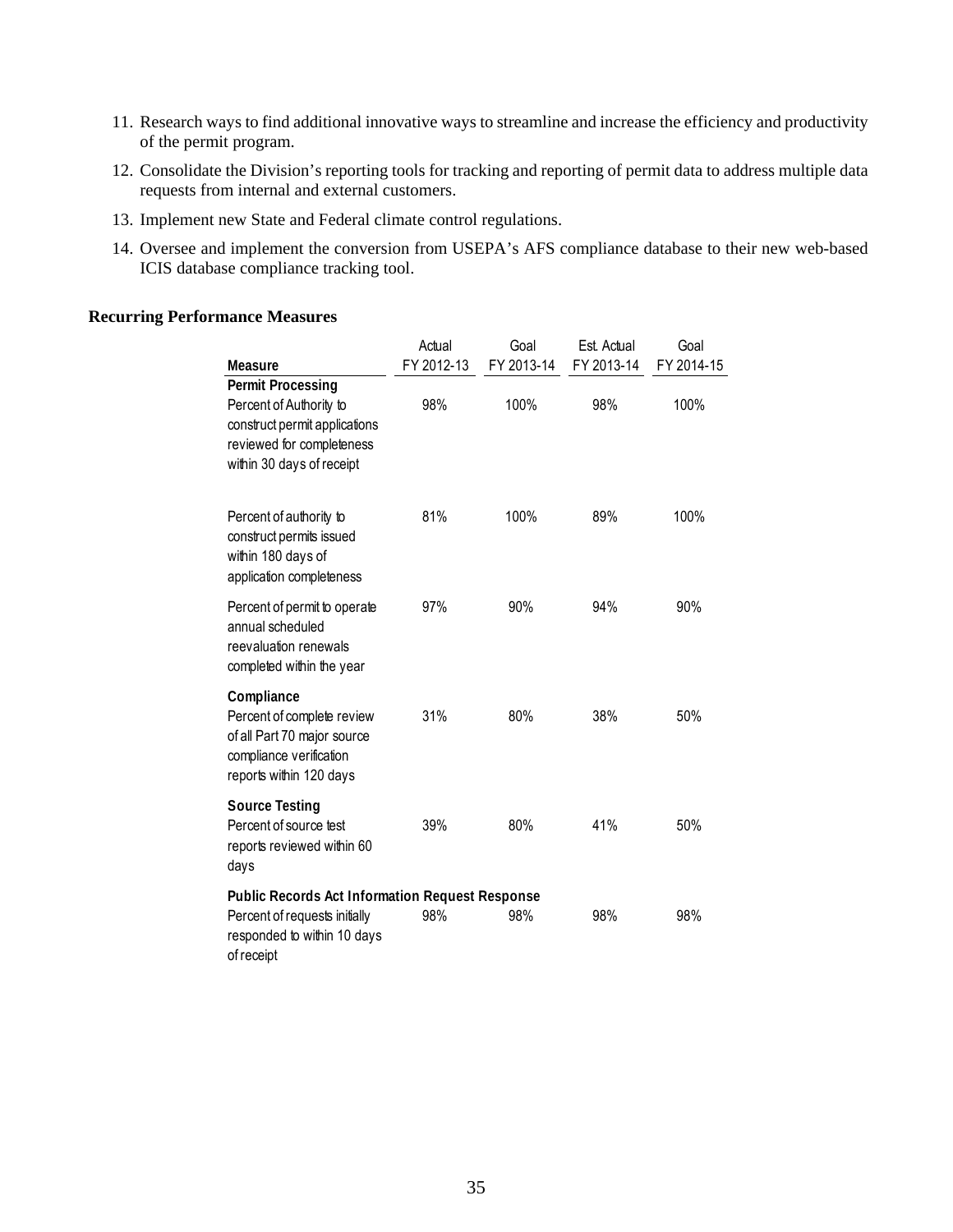- 11. Research ways to find additional innovative ways to streamline and increase the efficiency and productivity of the permit program.
- 12. Consolidate the Division's reporting tools for tracking and reporting of permit data to address multiple data requests from internal and external customers.
- 13. Implement new State and Federal climate control regulations.
- 14. Oversee and implement the conversion from USEPA's AFS compliance database to their new web-based ICIS database compliance tracking tool.

## **Recurring Performance Measures**

|                                                                                                                                                | Actual     | Goal       | Est. Actual | Goal       |
|------------------------------------------------------------------------------------------------------------------------------------------------|------------|------------|-------------|------------|
| <b>Measure</b>                                                                                                                                 | FY 2012-13 | FY 2013-14 | FY 2013-14  | FY 2014-15 |
| <b>Permit Processing</b><br>Percent of Authority to<br>construct permit applications<br>reviewed for completeness<br>within 30 days of receipt | 98%        | 100%       | 98%         | 100%       |
| Percent of authority to<br>construct permits issued<br>within 180 days of<br>application completeness                                          | 81%        | 100%       | 89%         | 100%       |
| Percent of permit to operate<br>annual scheduled<br>reevaluation renewals<br>completed within the year                                         | 97%        | 90%        | 94%         | 90%        |
| Compliance<br>Percent of complete review<br>of all Part 70 major source<br>compliance verification<br>reports within 120 days                  | 31%        | 80%        | 38%         | 50%        |
| <b>Source Testing</b><br>Percent of source test<br>reports reviewed within 60<br>days                                                          | 39%        | 80%        | 41%         | 50%        |
| <b>Public Records Act Information Request Response</b><br>Percent of requests initially<br>responded to within 10 days<br>of receipt           | 98%        | 98%        | 98%         | 98%        |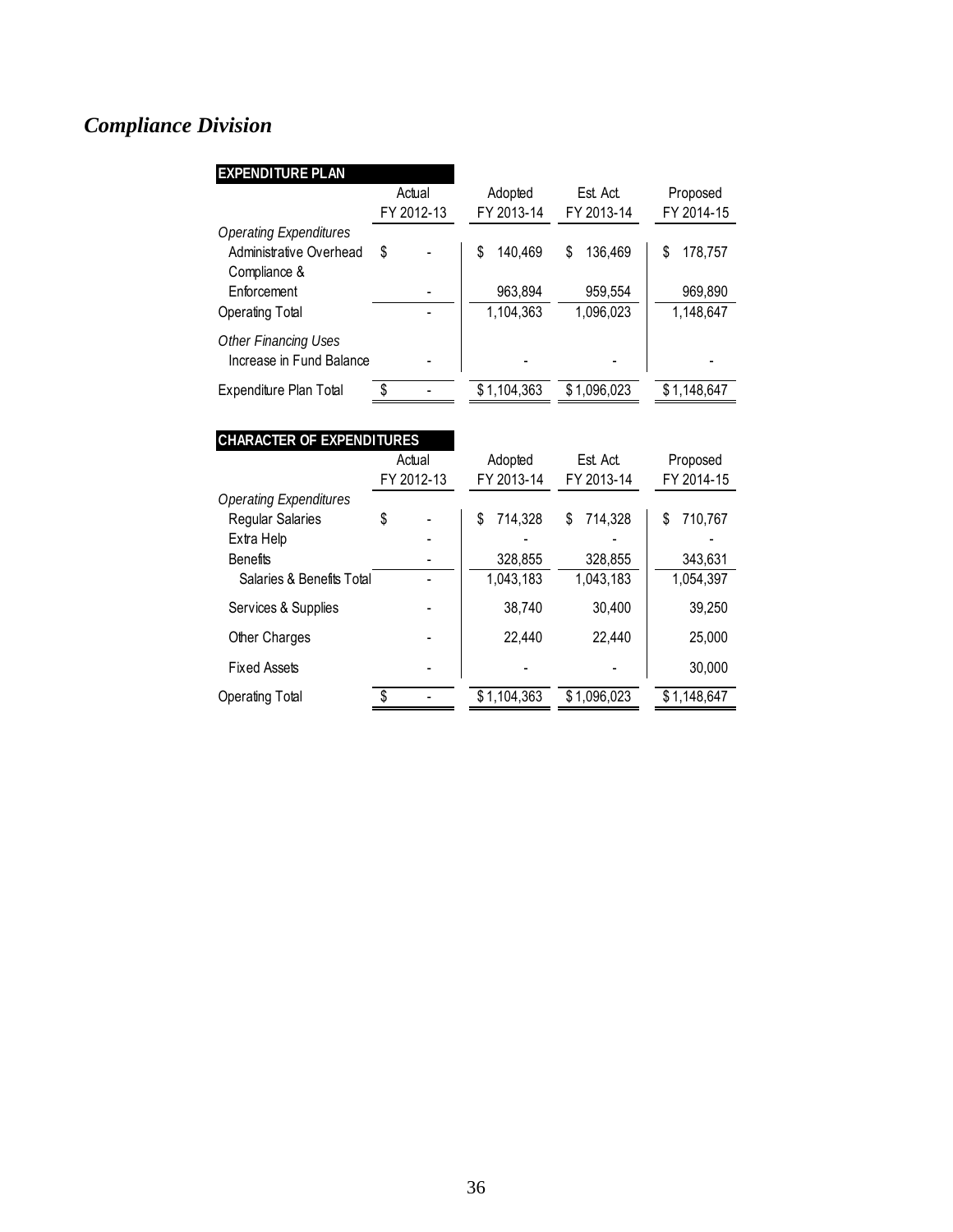# *Compliance Division*

| <b>EXPENDITURE PLAN</b>                                                  |            |               |               |               |
|--------------------------------------------------------------------------|------------|---------------|---------------|---------------|
|                                                                          | Actual     | Adopted       | Est. Act.     | Proposed      |
|                                                                          | FY 2012-13 | FY 2013-14    | FY 2013-14    | FY 2014-15    |
| <b>Operating Expenditures</b><br>Administrative Overhead<br>Compliance & | \$         | 140,469<br>\$ | 136,469<br>\$ | \$<br>178,757 |
| Enforcement                                                              |            | 963,894       | 959,554       | 969,890       |
| <b>Operating Total</b>                                                   |            | 1,104,363     | 1,096,023     | 1,148,647     |
| <b>Other Financing Uses</b><br>Increase in Fund Balance                  |            |               |               |               |
| Expenditure Plan Total                                                   | \$         | \$1,104,363   | \$1,096,023   | \$1,148,647   |
|                                                                          |            |               |               |               |
|                                                                          |            |               |               |               |
| <b>CHARACTER OF EXPENDITURES</b>                                         | Actual     | Adopted       | Est. Act.     | Proposed      |
|                                                                          | FY 2012-13 | FY 2013-14    | FY 2013-14    | FY 2014-15    |
| <b>Operating Expenditures</b>                                            |            |               |               |               |
| <b>Regular Salaries</b>                                                  | \$         | 714,328<br>\$ | \$<br>714,328 | \$<br>710,767 |
| Extra Help                                                               |            |               |               |               |
| <b>Benefits</b>                                                          |            | 328,855       | 328,855       | 343,631       |
| Salaries & Benefits Total                                                |            | 1,043,183     | 1,043,183     | 1,054,397     |
| Services & Supplies                                                      |            | 38,740        | 30,400        | 39,250        |
| Other Charges                                                            |            | 22,440        | 22,440        | 25,000        |
| <b>Fixed Assets</b>                                                      |            |               |               | 30,000        |
| <b>Operating Total</b>                                                   | \$         | \$1,104,363   | \$1,096,023   | \$1,148,647   |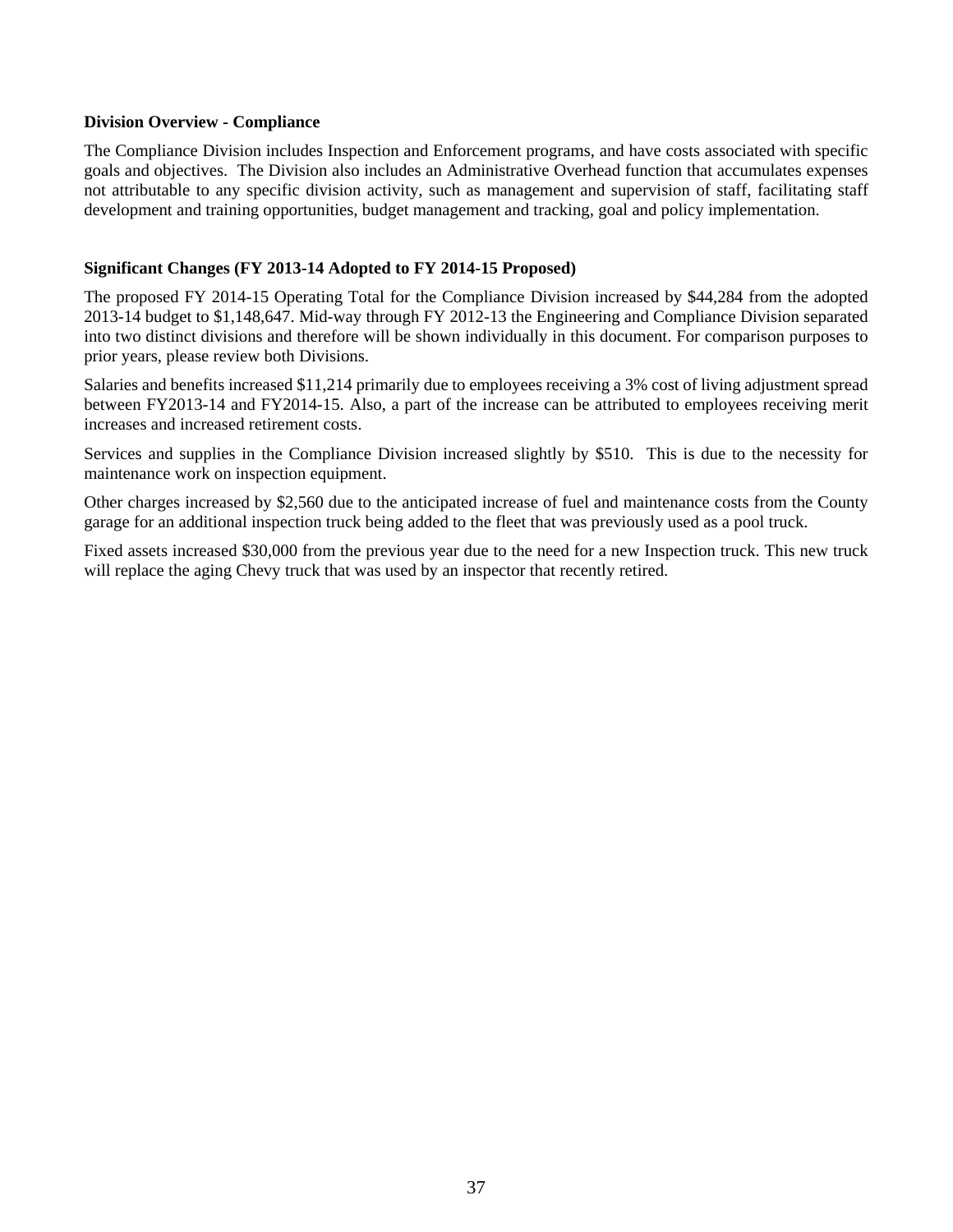#### **Division Overview - Compliance**

The Compliance Division includes Inspection and Enforcement programs, and have costs associated with specific goals and objectives. The Division also includes an Administrative Overhead function that accumulates expenses not attributable to any specific division activity, such as management and supervision of staff, facilitating staff development and training opportunities, budget management and tracking, goal and policy implementation.

#### **Significant Changes (FY 2013-14 Adopted to FY 2014-15 Proposed)**

The proposed FY 2014-15 Operating Total for the Compliance Division increased by \$44,284 from the adopted 2013-14 budget to \$1,148,647. Mid-way through FY 2012-13 the Engineering and Compliance Division separated into two distinct divisions and therefore will be shown individually in this document. For comparison purposes to prior years, please review both Divisions.

Salaries and benefits increased \$11,214 primarily due to employees receiving a 3% cost of living adjustment spread between FY2013-14 and FY2014-15. Also, a part of the increase can be attributed to employees receiving merit increases and increased retirement costs.

Services and supplies in the Compliance Division increased slightly by \$510. This is due to the necessity for maintenance work on inspection equipment.

Other charges increased by \$2,560 due to the anticipated increase of fuel and maintenance costs from the County garage for an additional inspection truck being added to the fleet that was previously used as a pool truck.

Fixed assets increased \$30,000 from the previous year due to the need for a new Inspection truck. This new truck will replace the aging Chevy truck that was used by an inspector that recently retired.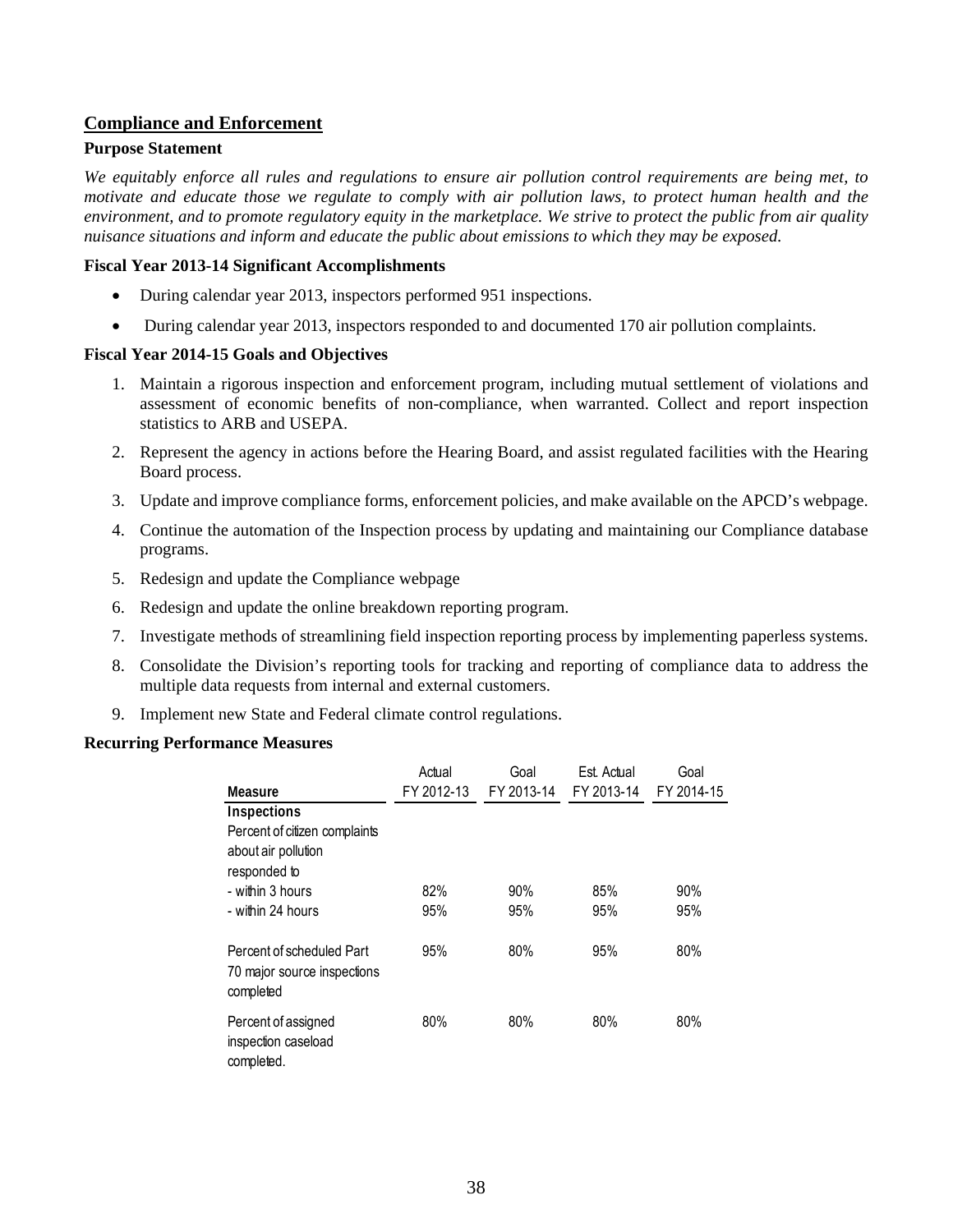## **Compliance and Enforcement**

#### **Purpose Statement**

*We equitably enforce all rules and regulations to ensure air pollution control requirements are being met, to motivate and educate those we regulate to comply with air pollution laws, to protect human health and the environment, and to promote regulatory equity in the marketplace. We strive to protect the public from air quality nuisance situations and inform and educate the public about emissions to which they may be exposed.* 

#### **Fiscal Year 2013-14 Significant Accomplishments**

- During calendar year 2013, inspectors performed 951 inspections.
- During calendar year 2013, inspectors responded to and documented 170 air pollution complaints.

#### **Fiscal Year 2014-15 Goals and Objectives**

- 1. Maintain a rigorous inspection and enforcement program, including mutual settlement of violations and assessment of economic benefits of non-compliance, when warranted. Collect and report inspection statistics to ARB and USEPA.
- 2. Represent the agency in actions before the Hearing Board, and assist regulated facilities with the Hearing Board process.
- 3. Update and improve compliance forms, enforcement policies, and make available on the APCD's webpage.
- 4. Continue the automation of the Inspection process by updating and maintaining our Compliance database programs.
- 5. Redesign and update the Compliance webpage
- 6. Redesign and update the online breakdown reporting program.
- 7. Investigate methods of streamlining field inspection reporting process by implementing paperless systems.
- 8. Consolidate the Division's reporting tools for tracking and reporting of compliance data to address the multiple data requests from internal and external customers.
- 9. Implement new State and Federal climate control regulations.

#### **Recurring Performance Measures**

|                                                                       | Actual     | Goal       | Est. Actual | Goal       |
|-----------------------------------------------------------------------|------------|------------|-------------|------------|
| <b>Measure</b>                                                        | FY 2012-13 | FY 2013-14 | FY 2013-14  | FY 2014-15 |
| Inspections                                                           |            |            |             |            |
| Percent of citizen complaints                                         |            |            |             |            |
| about air pollution                                                   |            |            |             |            |
| responded to                                                          |            |            |             |            |
| - within 3 hours                                                      | 82%        | 90%        | 85%         | 90%        |
| - within 24 hours                                                     | 95%        | 95%        | 95%         | 95%        |
| Percent of scheduled Part<br>70 major source inspections<br>completed | 95%        | 80%        | 95%         | 80%        |
| Percent of assigned<br>inspection caseload<br>completed.              | 80%        | 80%        | 80%         | 80%        |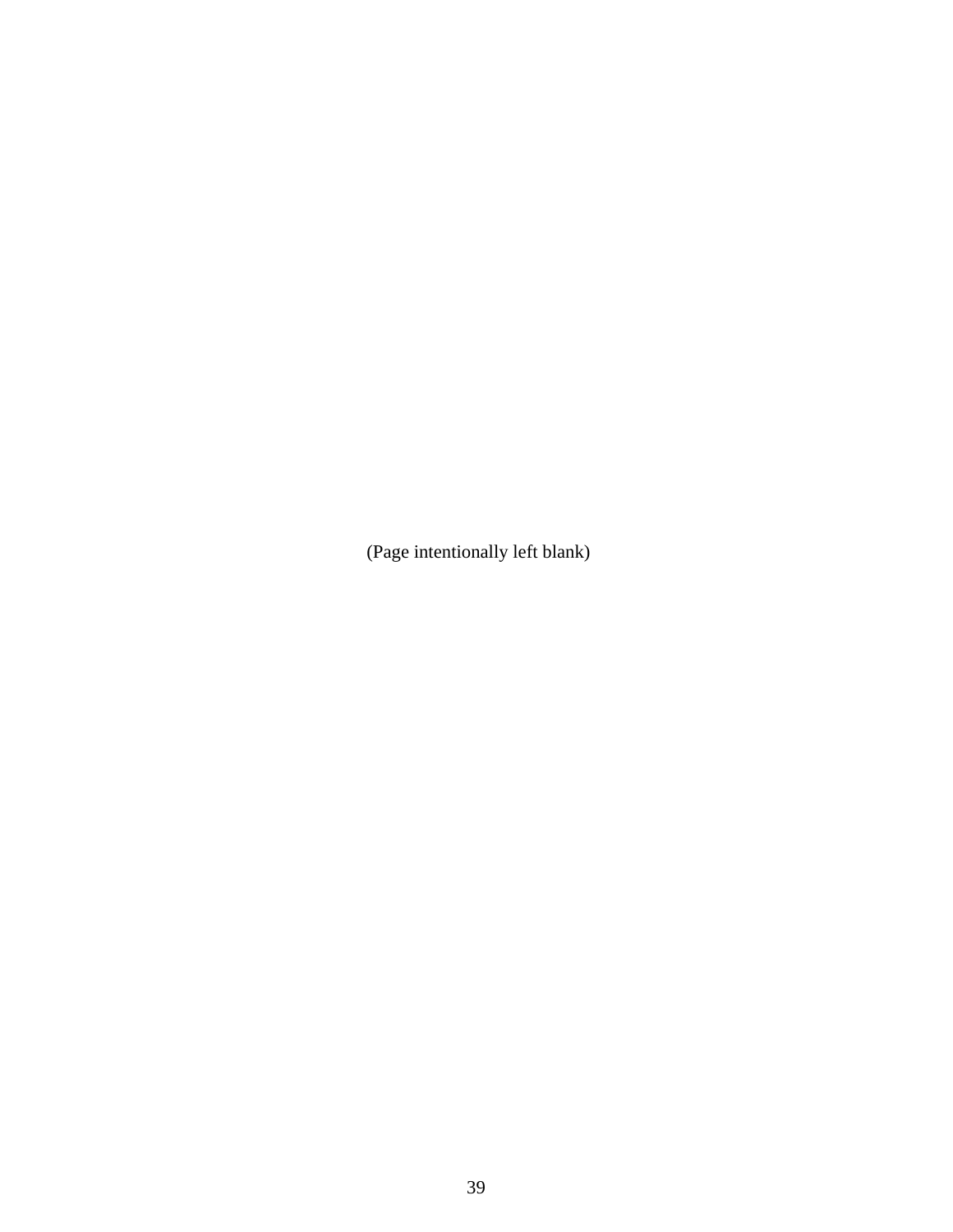(Page intentionally left blank)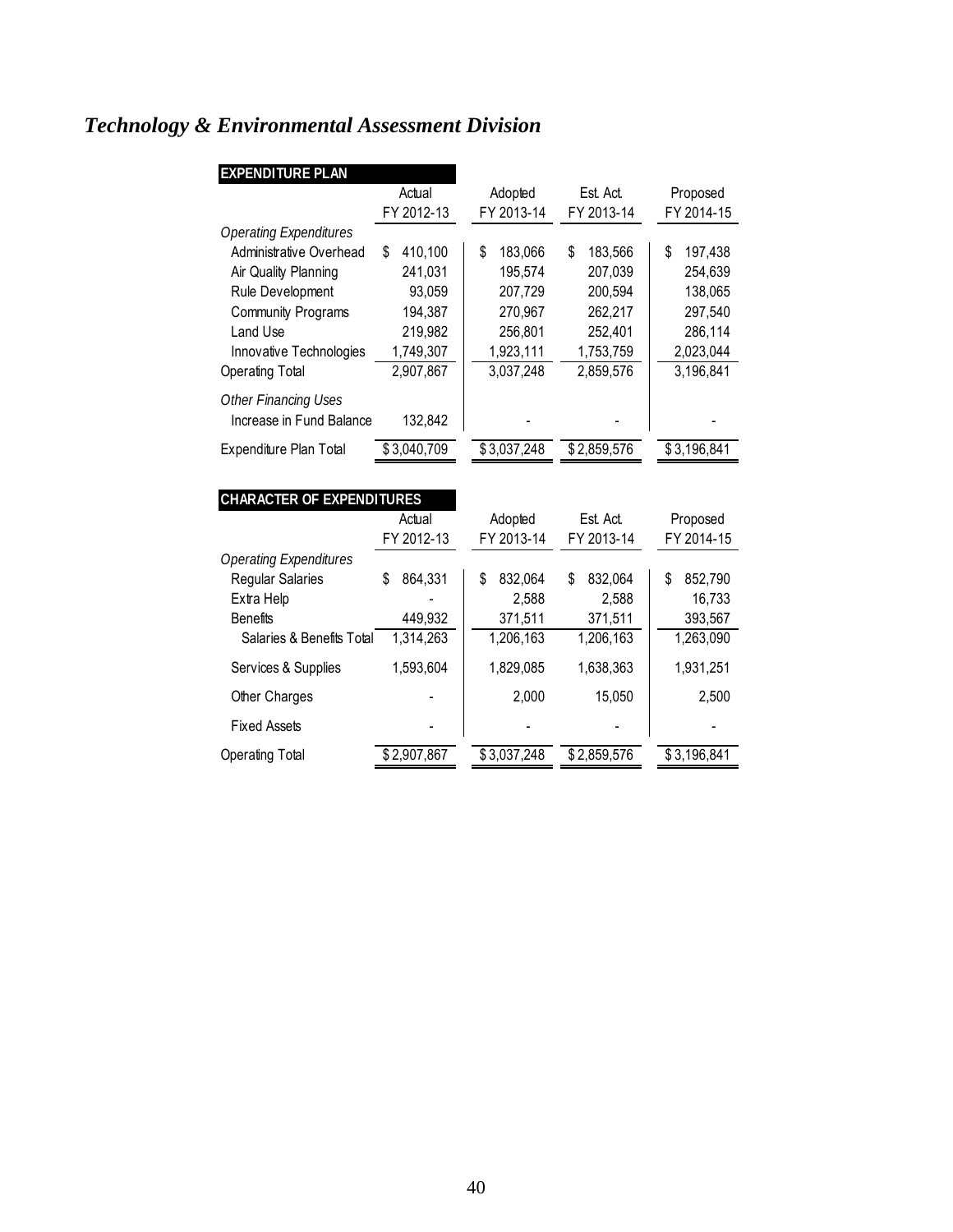# *Technology & Environmental Assessment Division*

| Actual                                 | Adopted                                                                        | Est. Act.                                            | Proposed                                               |
|----------------------------------------|--------------------------------------------------------------------------------|------------------------------------------------------|--------------------------------------------------------|
| FY 2012-13                             | FY 2013-14                                                                     | FY 2013-14                                           | FY 2014-15                                             |
|                                        |                                                                                |                                                      |                                                        |
| 410,100<br>\$                          | 183,066<br>\$                                                                  | 183,566<br>\$                                        | \$<br>197,438                                          |
| 241,031                                | 195,574                                                                        | 207,039                                              | 254,639                                                |
| 93,059                                 | 207,729                                                                        | 200,594                                              | 138,065                                                |
| 194,387                                | 270,967                                                                        | 262,217                                              | 297,540                                                |
| 219,982                                | 256,801                                                                        | 252,401                                              | 286,114                                                |
| 1,749,307                              | 1,923,111                                                                      | 1,753,759                                            | 2,023,044                                              |
| 2,907,867                              | 3,037,248                                                                      | 2,859,576                                            | 3,196,841                                              |
|                                        |                                                                                |                                                      |                                                        |
| 132,842                                |                                                                                |                                                      |                                                        |
| \$3,040,709                            | \$3,037,248                                                                    | \$2,859,576                                          | \$3,196,841                                            |
|                                        |                                                                                |                                                      |                                                        |
|                                        |                                                                                |                                                      |                                                        |
|                                        |                                                                                |                                                      | Proposed                                               |
|                                        |                                                                                |                                                      | FY 2014-15                                             |
|                                        |                                                                                |                                                      |                                                        |
| \$                                     | \$                                                                             | \$                                                   | \$<br>852,790                                          |
|                                        |                                                                                |                                                      | 16,733                                                 |
|                                        |                                                                                |                                                      | 393,567                                                |
| Salaries & Benefits Total<br>1,314,263 | 1,206,163                                                                      | 1,206,163                                            | 1,263,090                                              |
| 1,593,604                              | 1,829,085                                                                      | 1,638,363                                            | 1,931,251                                              |
|                                        | 2,000                                                                          | 15,050                                               | 2,500                                                  |
|                                        |                                                                                |                                                      |                                                        |
| \$2,907,867                            | \$3,037,248                                                                    | \$2,859,576                                          | \$3,196,841                                            |
|                                        | <b>CHARACTER OF EXPENDITURES</b><br>Actual<br>FY 2012-13<br>864,331<br>449,932 | Adopted<br>FY 2013-14<br>832,064<br>2,588<br>371,511 | Est. Act.<br>FY 2013-14<br>832,064<br>2,588<br>371,511 |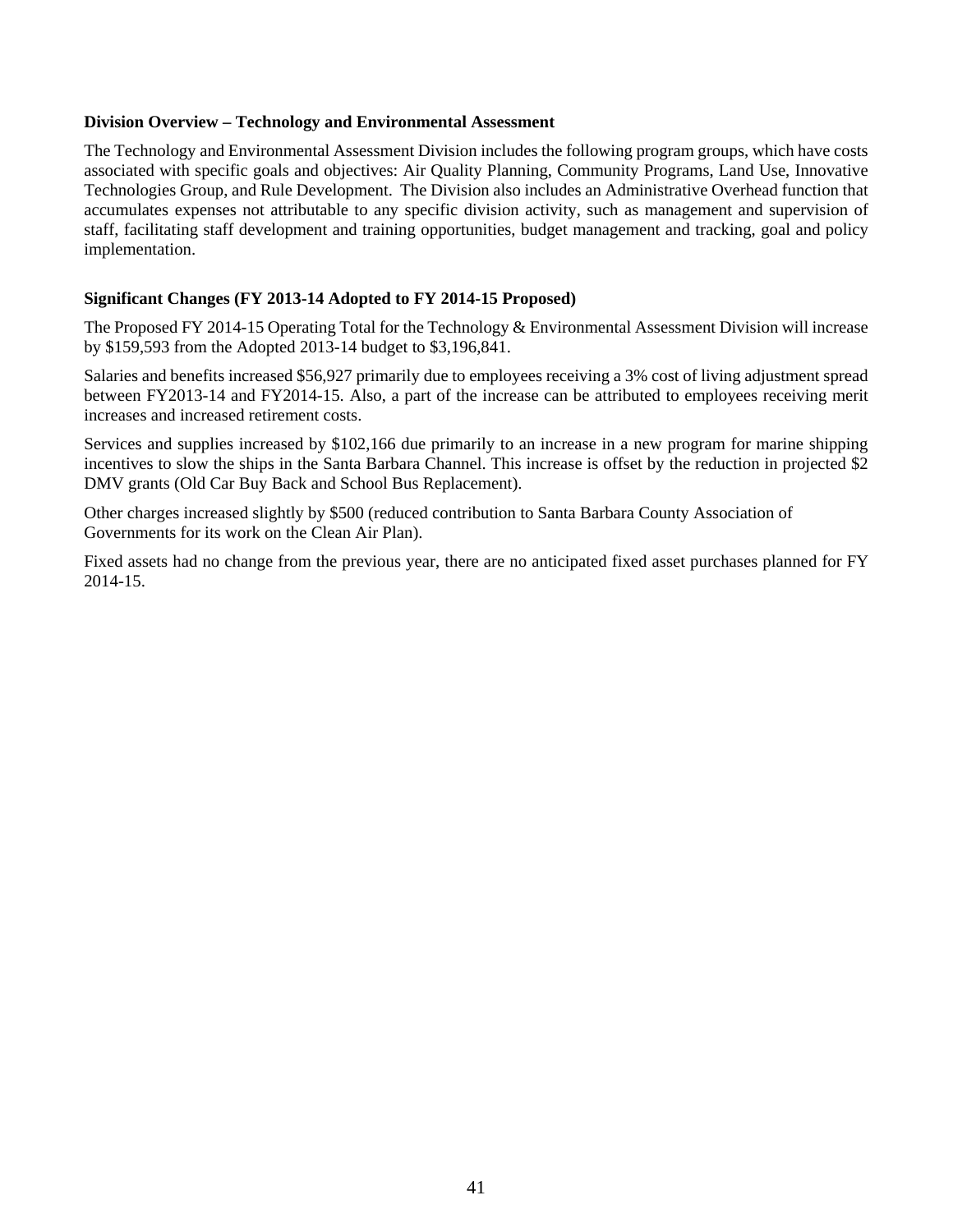#### **Division Overview – Technology and Environmental Assessment**

The Technology and Environmental Assessment Division includes the following program groups, which have costs associated with specific goals and objectives: Air Quality Planning, Community Programs, Land Use, Innovative Technologies Group, and Rule Development. The Division also includes an Administrative Overhead function that accumulates expenses not attributable to any specific division activity, such as management and supervision of staff, facilitating staff development and training opportunities, budget management and tracking, goal and policy implementation.

## **Significant Changes (FY 2013-14 Adopted to FY 2014-15 Proposed)**

The Proposed FY 2014-15 Operating Total for the Technology & Environmental Assessment Division will increase by \$159,593 from the Adopted 2013-14 budget to \$3,196,841.

Salaries and benefits increased \$56,927 primarily due to employees receiving a 3% cost of living adjustment spread between FY2013-14 and FY2014-15. Also, a part of the increase can be attributed to employees receiving merit increases and increased retirement costs.

Services and supplies increased by \$102,166 due primarily to an increase in a new program for marine shipping incentives to slow the ships in the Santa Barbara Channel. This increase is offset by the reduction in projected \$2 DMV grants (Old Car Buy Back and School Bus Replacement).

Other charges increased slightly by \$500 (reduced contribution to Santa Barbara County Association of Governments for its work on the Clean Air Plan).

Fixed assets had no change from the previous year, there are no anticipated fixed asset purchases planned for FY 2014-15.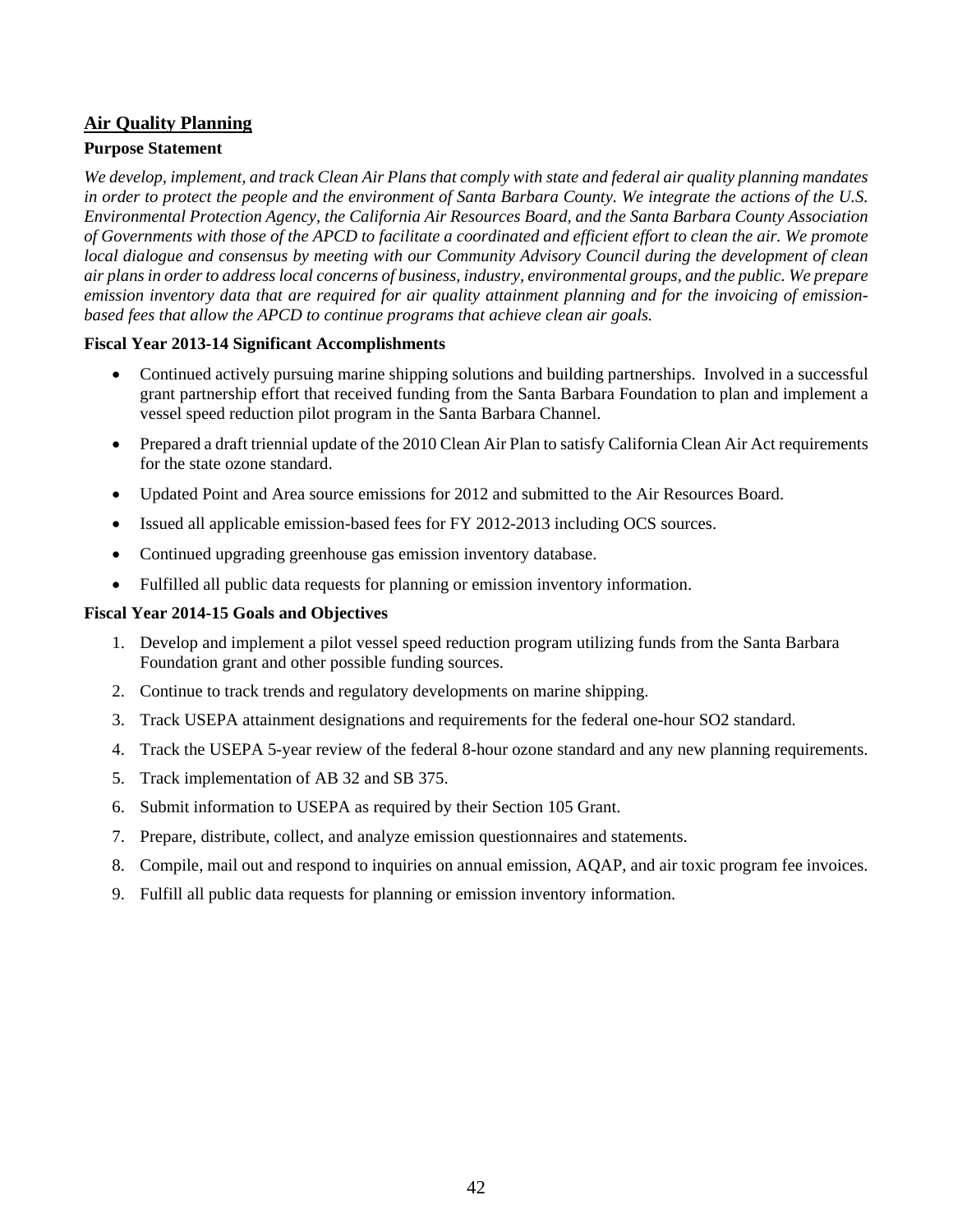## **Air Quality Planning**

## **Purpose Statement**

*We develop, implement, and track Clean Air Plans that comply with state and federal air quality planning mandates in order to protect the people and the environment of Santa Barbara County. We integrate the actions of the U.S. Environmental Protection Agency, the California Air Resources Board, and the Santa Barbara County Association of Governments with those of the APCD to facilitate a coordinated and efficient effort to clean the air. We promote local dialogue and consensus by meeting with our Community Advisory Council during the development of clean air plans in order to address local concerns of business, industry, environmental groups, and the public. We prepare emission inventory data that are required for air quality attainment planning and for the invoicing of emissionbased fees that allow the APCD to continue programs that achieve clean air goals.* 

### **Fiscal Year 2013-14 Significant Accomplishments**

- Continued actively pursuing marine shipping solutions and building partnerships. Involved in a successful grant partnership effort that received funding from the Santa Barbara Foundation to plan and implement a vessel speed reduction pilot program in the Santa Barbara Channel.
- Prepared a draft triennial update of the 2010 Clean Air Plan to satisfy California Clean Air Act requirements for the state ozone standard.
- Updated Point and Area source emissions for 2012 and submitted to the Air Resources Board.
- Issued all applicable emission-based fees for FY 2012-2013 including OCS sources.
- Continued upgrading greenhouse gas emission inventory database.
- Fulfilled all public data requests for planning or emission inventory information.

#### **Fiscal Year 2014-15 Goals and Objectives**

- 1. Develop and implement a pilot vessel speed reduction program utilizing funds from the Santa Barbara Foundation grant and other possible funding sources.
- 2. Continue to track trends and regulatory developments on marine shipping.
- 3. Track USEPA attainment designations and requirements for the federal one-hour SO2 standard.
- 4. Track the USEPA 5-year review of the federal 8-hour ozone standard and any new planning requirements.
- 5. Track implementation of AB 32 and SB 375.
- 6. Submit information to USEPA as required by their Section 105 Grant.
- 7. Prepare, distribute, collect, and analyze emission questionnaires and statements.
- 8. Compile, mail out and respond to inquiries on annual emission, AQAP, and air toxic program fee invoices.
- 9. Fulfill all public data requests for planning or emission inventory information.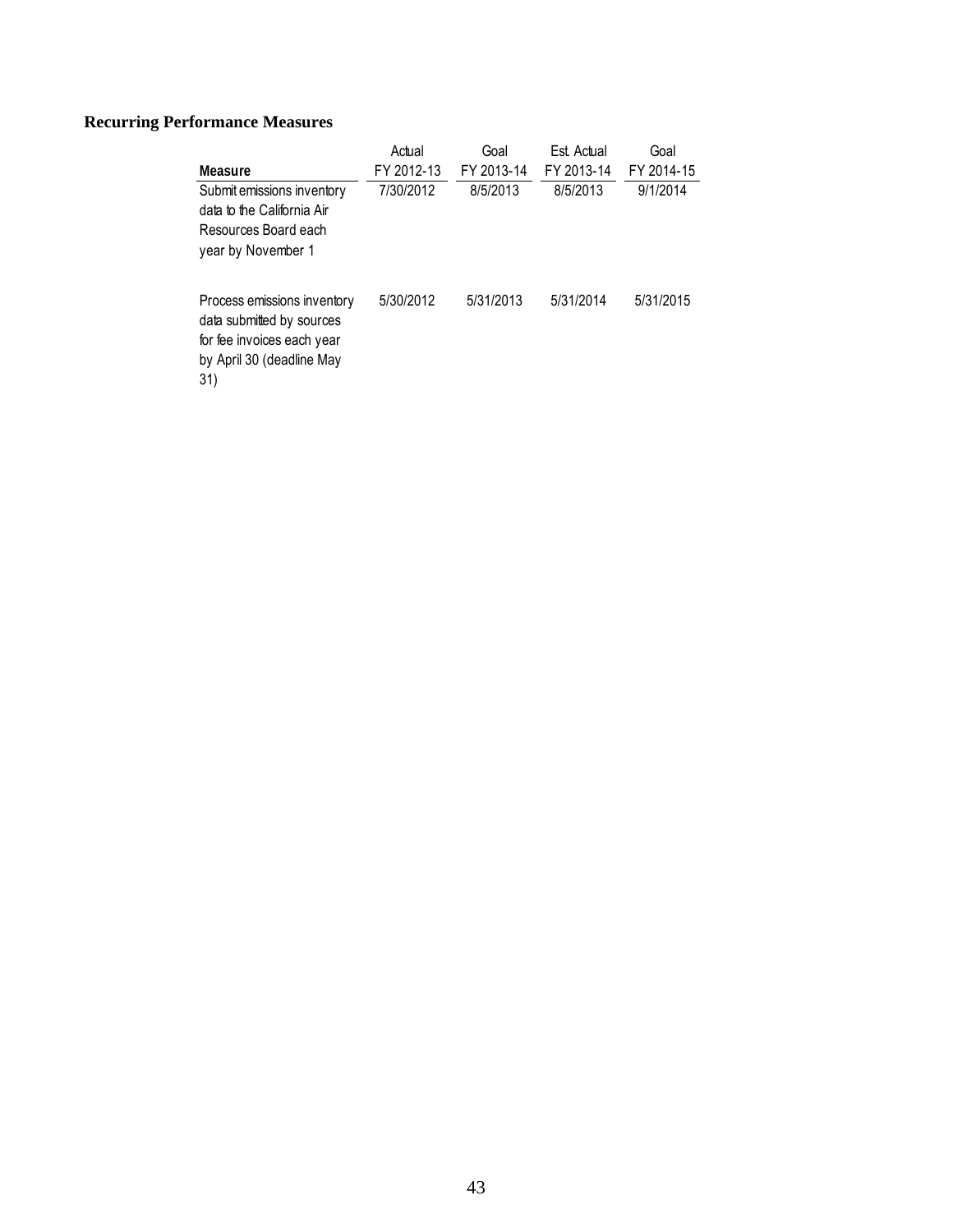## **Recurring Performance Measures**

|                                                                                                                            | Actual     | Goal       | Est. Actual | Goal       |
|----------------------------------------------------------------------------------------------------------------------------|------------|------------|-------------|------------|
| Measure                                                                                                                    | FY 2012-13 | FY 2013-14 | FY 2013-14  | FY 2014-15 |
| Submit emissions inventory<br>data to the California Air<br>Resources Board each<br>year by November 1                     | 7/30/2012  | 8/5/2013   | 8/5/2013    | 9/1/2014   |
| Process emissions inventory<br>data submitted by sources<br>for fee invoices each year<br>by April 30 (deadline May<br>31) | 5/30/2012  | 5/31/2013  | 5/31/2014   | 5/31/2015  |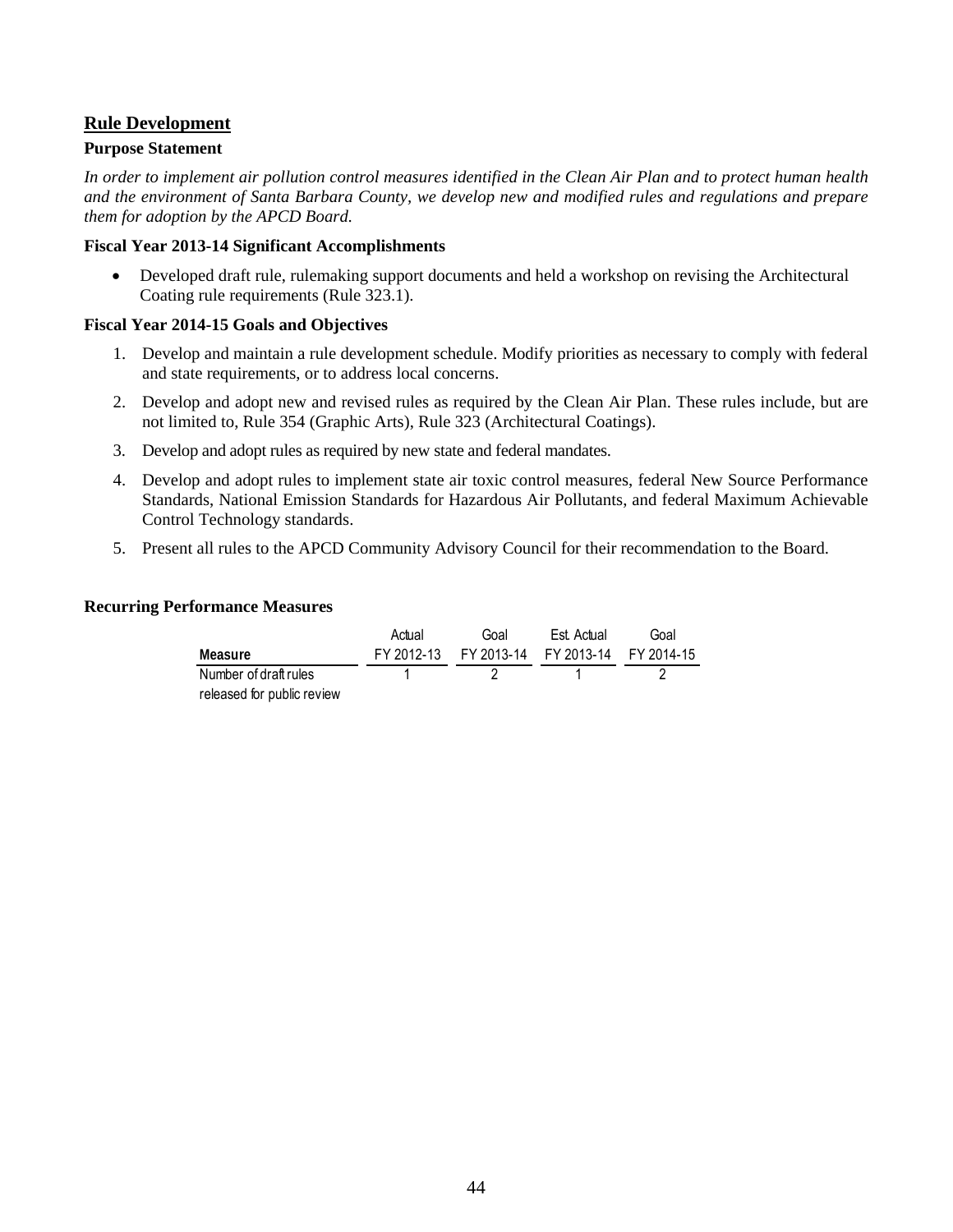## **Rule Development**

#### **Purpose Statement**

*In order to implement air pollution control measures identified in the Clean Air Plan and to protect human health and the environment of Santa Barbara County, we develop new and modified rules and regulations and prepare them for adoption by the APCD Board.*

#### **Fiscal Year 2013-14 Significant Accomplishments**

 Developed draft rule, rulemaking support documents and held a workshop on revising the Architectural Coating rule requirements (Rule 323.1).

#### **Fiscal Year 2014-15 Goals and Objectives**

- 1. Develop and maintain a rule development schedule. Modify priorities as necessary to comply with federal and state requirements, or to address local concerns.
- 2. Develop and adopt new and revised rules as required by the Clean Air Plan. These rules include, but are not limited to, Rule 354 (Graphic Arts), Rule 323 (Architectural Coatings).
- 3. Develop and adopt rules as required by new state and federal mandates.
- 4. Develop and adopt rules to implement state air toxic control measures, federal New Source Performance Standards, National Emission Standards for Hazardous Air Pollutants, and federal Maximum Achievable Control Technology standards.
- 5. Present all rules to the APCD Community Advisory Council for their recommendation to the Board.

#### **Recurring Performance Measures**

|                            | Actual     | Goal | Est. Actual                      | Goal |
|----------------------------|------------|------|----------------------------------|------|
| Measure                    | FY 2012-13 |      | FY 2013-14 FY 2013-14 FY 2014-15 |      |
| Number of draft rules      |            |      |                                  |      |
| released for public review |            |      |                                  |      |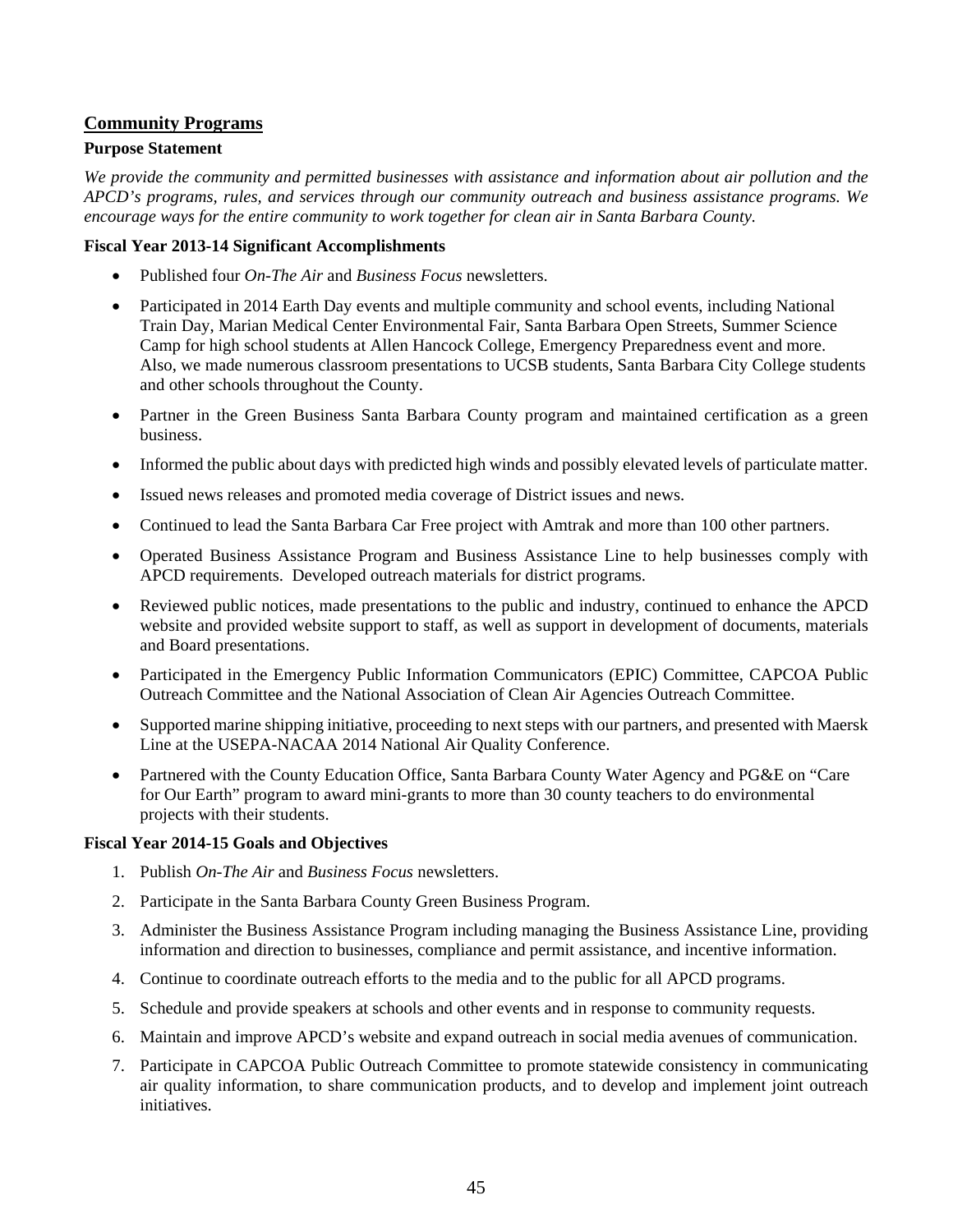## **Community Programs**

#### **Purpose Statement**

*We provide the community and permitted businesses with assistance and information about air pollution and the APCD's programs, rules, and services through our community outreach and business assistance programs. We encourage ways for the entire community to work together for clean air in Santa Barbara County.*

### **Fiscal Year 2013-14 Significant Accomplishments**

- Published four *On-The Air* and *Business Focus* newsletters.
- Participated in 2014 Earth Day events and multiple community and school events, including National Train Day, Marian Medical Center Environmental Fair, Santa Barbara Open Streets, Summer Science Camp for high school students at Allen Hancock College, Emergency Preparedness event and more. Also, we made numerous classroom presentations to UCSB students, Santa Barbara City College students and other schools throughout the County.
- Partner in the Green Business Santa Barbara County program and maintained certification as a green business.
- Informed the public about days with predicted high winds and possibly elevated levels of particulate matter.
- Issued news releases and promoted media coverage of District issues and news.
- Continued to lead the Santa Barbara Car Free project with Amtrak and more than 100 other partners.
- Operated Business Assistance Program and Business Assistance Line to help businesses comply with APCD requirements. Developed outreach materials for district programs.
- Reviewed public notices, made presentations to the public and industry, continued to enhance the APCD website and provided website support to staff, as well as support in development of documents, materials and Board presentations.
- Participated in the Emergency Public Information Communicators (EPIC) Committee, CAPCOA Public Outreach Committee and the National Association of Clean Air Agencies Outreach Committee.
- Supported marine shipping initiative, proceeding to next steps with our partners, and presented with Maersk Line at the USEPA-NACAA 2014 National Air Quality Conference.
- Partnered with the County Education Office, Santa Barbara County Water Agency and PG&E on "Care" for Our Earth" program to award mini-grants to more than 30 county teachers to do environmental projects with their students.

#### **Fiscal Year 2014-15 Goals and Objectives**

- 1. Publish *On-The Air* and *Business Focus* newsletters.
- 2. Participate in the Santa Barbara County Green Business Program.
- 3. Administer the Business Assistance Program including managing the Business Assistance Line, providing information and direction to businesses, compliance and permit assistance, and incentive information.
- 4. Continue to coordinate outreach efforts to the media and to the public for all APCD programs.
- 5. Schedule and provide speakers at schools and other events and in response to community requests.
- 6. Maintain and improve APCD's website and expand outreach in social media avenues of communication.
- 7. Participate in CAPCOA Public Outreach Committee to promote statewide consistency in communicating air quality information, to share communication products, and to develop and implement joint outreach initiatives.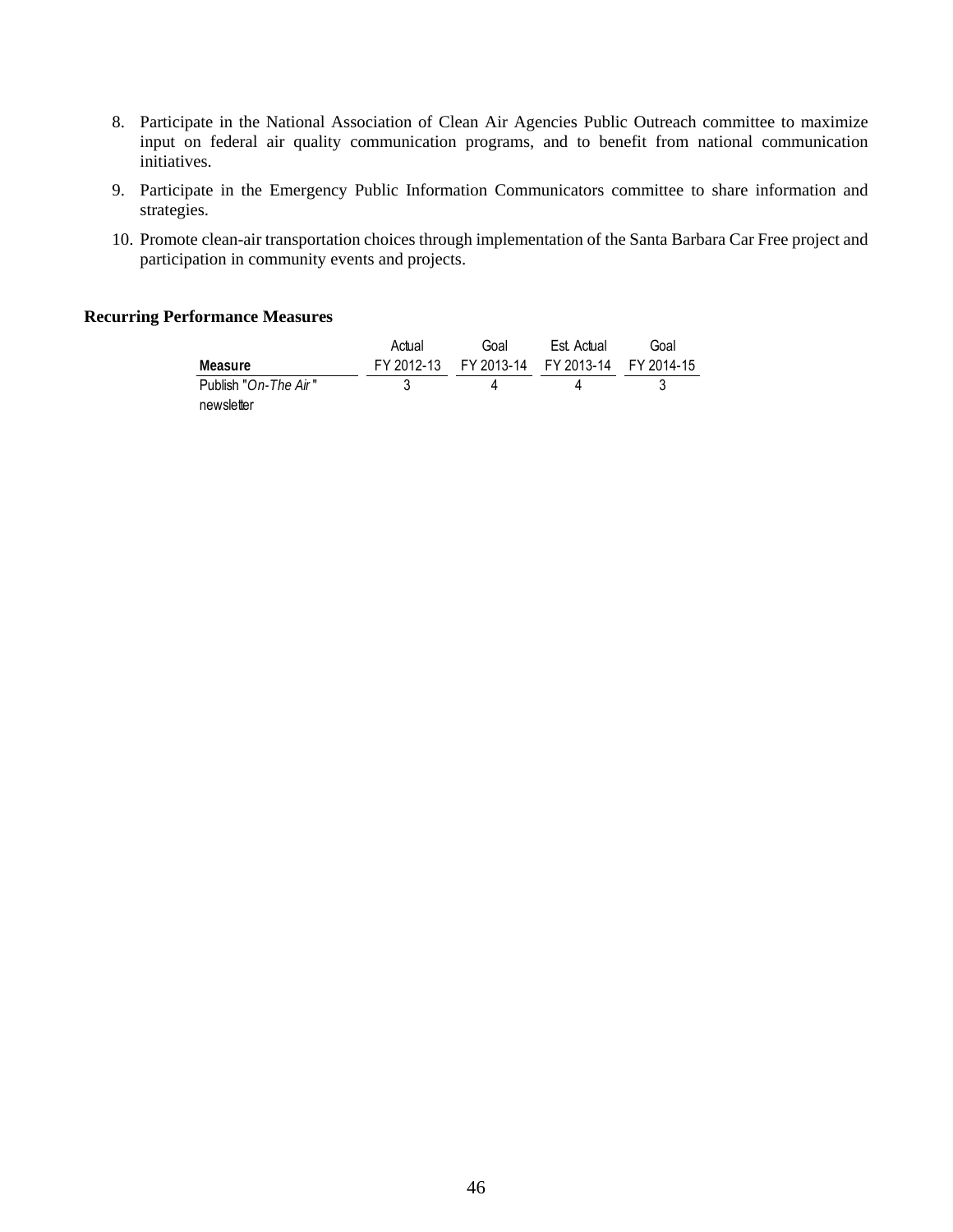- 8. Participate in the National Association of Clean Air Agencies Public Outreach committee to maximize input on federal air quality communication programs, and to benefit from national communication initiatives.
- 9. Participate in the Emergency Public Information Communicators committee to share information and strategies.
- 10. Promote clean-air transportation choices through implementation of the Santa Barbara Car Free project and participation in community events and projects.

### **Recurring Performance Measures**

|                      | Actual     | Goal | Est. Actual                      | Goal |
|----------------------|------------|------|----------------------------------|------|
| Measure              | FY 2012-13 |      | FY 2013-14 FY 2013-14 FY 2014-15 |      |
| Publish "On-The Air" |            |      |                                  |      |
| newsletter           |            |      |                                  |      |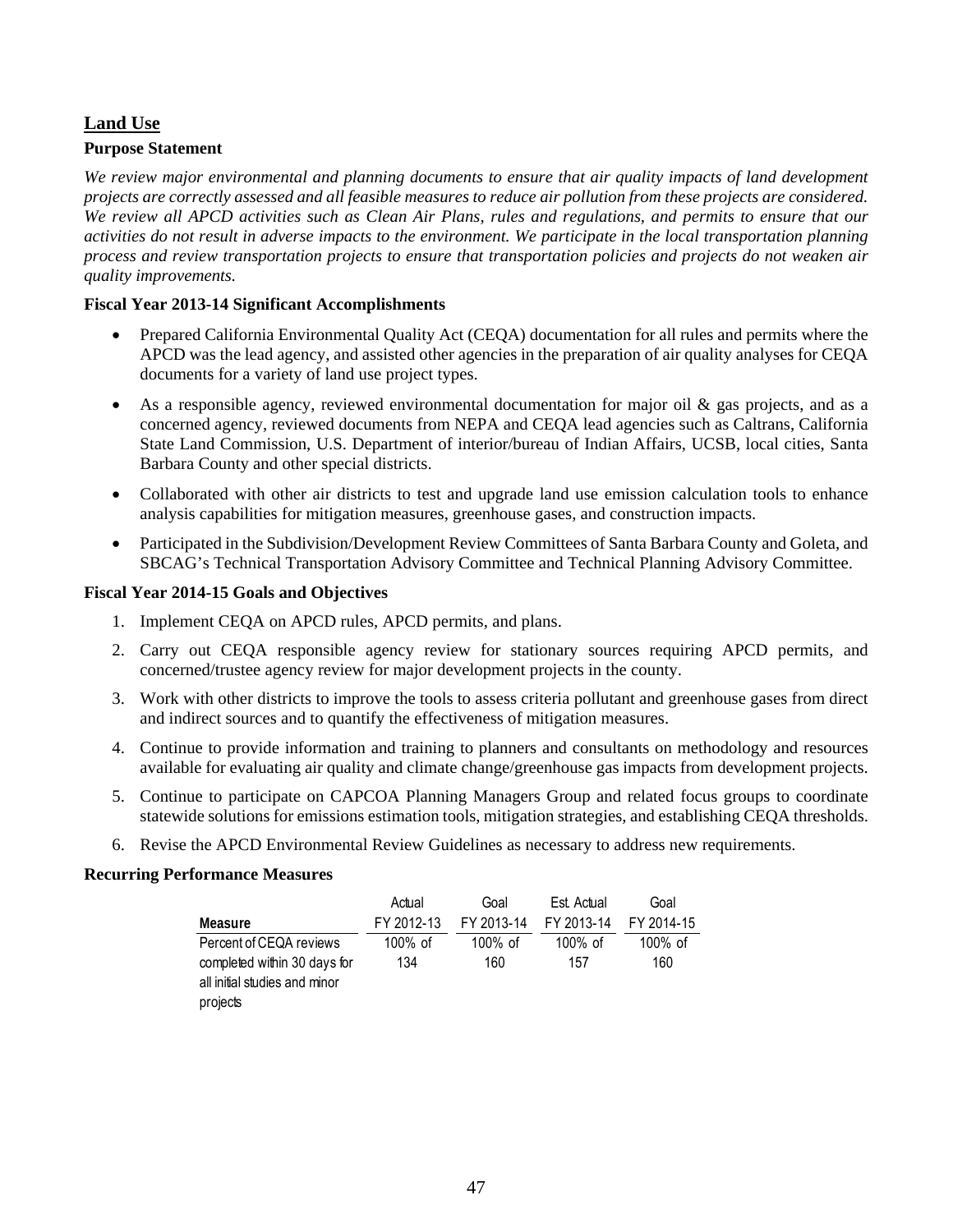## **Land Use Purpose Statement**

*We review major environmental and planning documents to ensure that air quality impacts of land development projects are correctly assessed and all feasible measures to reduce air pollution from these projects are considered. We review all APCD activities such as Clean Air Plans, rules and regulations, and permits to ensure that our activities do not result in adverse impacts to the environment. We participate in the local transportation planning process and review transportation projects to ensure that transportation policies and projects do not weaken air quality improvements.*

## **Fiscal Year 2013-14 Significant Accomplishments**

- Prepared California Environmental Quality Act (CEQA) documentation for all rules and permits where the APCD was the lead agency, and assisted other agencies in the preparation of air quality analyses for CEQA documents for a variety of land use project types.
- As a responsible agency, reviewed environmental documentation for major oil  $\&$  gas projects, and as a concerned agency, reviewed documents from NEPA and CEQA lead agencies such as Caltrans, California State Land Commission, U.S. Department of interior/bureau of Indian Affairs, UCSB, local cities, Santa Barbara County and other special districts.
- Collaborated with other air districts to test and upgrade land use emission calculation tools to enhance analysis capabilities for mitigation measures, greenhouse gases, and construction impacts.
- Participated in the Subdivision/Development Review Committees of Santa Barbara County and Goleta, and SBCAG's Technical Transportation Advisory Committee and Technical Planning Advisory Committee.

## **Fiscal Year 2014-15 Goals and Objectives**

- 1. Implement CEQA on APCD rules, APCD permits, and plans.
- 2. Carry out CEQA responsible agency review for stationary sources requiring APCD permits, and concerned/trustee agency review for major development projects in the county.
- 3. Work with other districts to improve the tools to assess criteria pollutant and greenhouse gases from direct and indirect sources and to quantify the effectiveness of mitigation measures.
- 4. Continue to provide information and training to planners and consultants on methodology and resources available for evaluating air quality and climate change/greenhouse gas impacts from development projects.
- 5. Continue to participate on CAPCOA Planning Managers Group and related focus groups to coordinate statewide solutions for emissions estimation tools, mitigation strategies, and establishing CEQA thresholds.
- 6. Revise the APCD Environmental Review Guidelines as necessary to address new requirements.

## **Recurring Performance Measures**

|                                                               | Actual     | Goal       | Est. Actual | Goal       |
|---------------------------------------------------------------|------------|------------|-------------|------------|
| Measure                                                       | FY 2012-13 | FY 2013-14 | FY 2013-14  | FY 2014-15 |
| Percent of CEQA reviews                                       | $100\%$ of | $100\%$ of | $100\%$ of  | $100\%$ of |
| completed within 30 days for<br>all initial studies and minor | 134        | 160        | 157         | 160        |
| projects                                                      |            |            |             |            |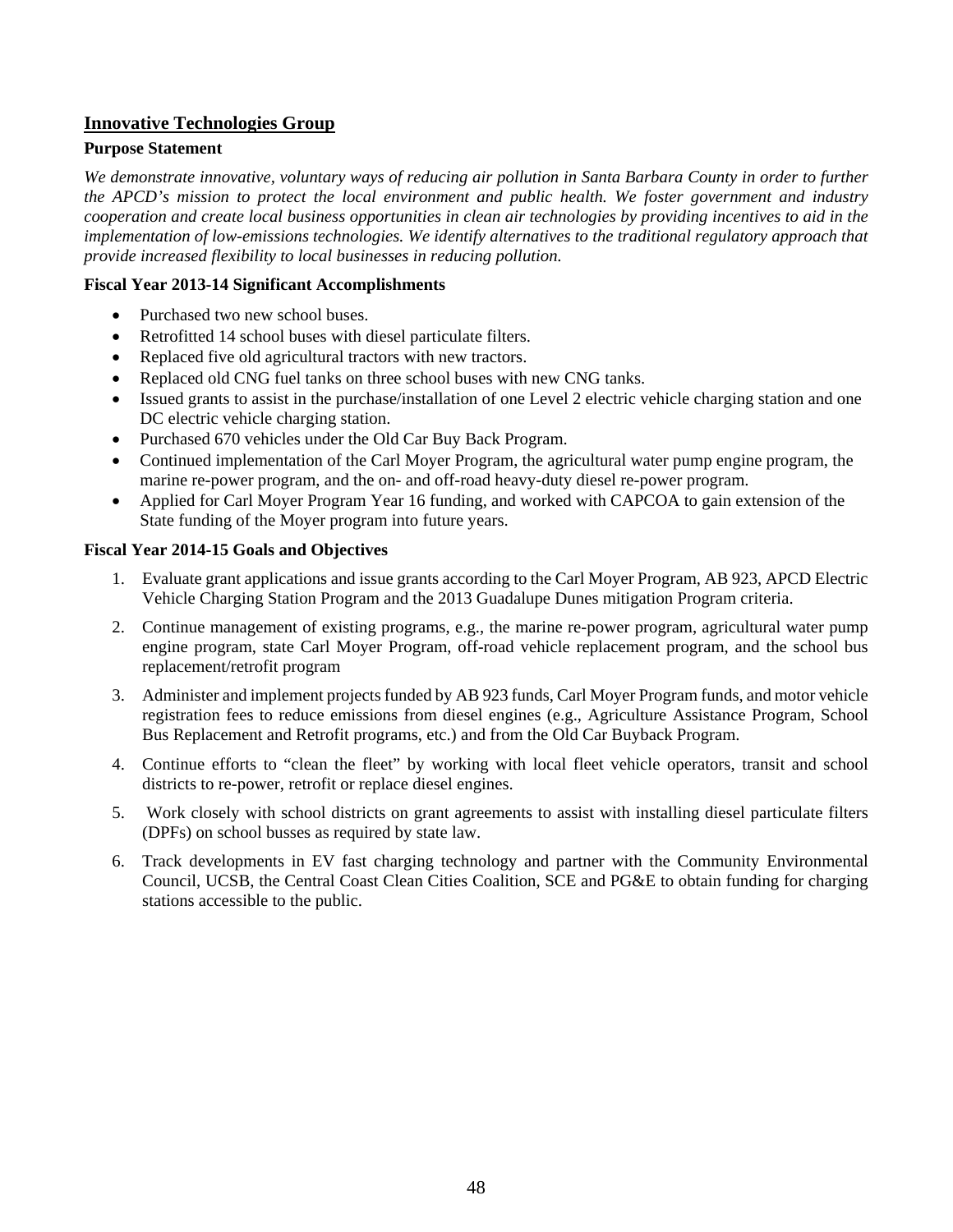## **Innovative Technologies Group**

## **Purpose Statement**

*We demonstrate innovative, voluntary ways of reducing air pollution in Santa Barbara County in order to further the APCD's mission to protect the local environment and public health. We foster government and industry cooperation and create local business opportunities in clean air technologies by providing incentives to aid in the implementation of low-emissions technologies. We identify alternatives to the traditional regulatory approach that provide increased flexibility to local businesses in reducing pollution.*

## **Fiscal Year 2013-14 Significant Accomplishments**

- Purchased two new school buses.
- Retrofitted 14 school buses with diesel particulate filters.
- Replaced five old agricultural tractors with new tractors.
- Replaced old CNG fuel tanks on three school buses with new CNG tanks.
- Issued grants to assist in the purchase/installation of one Level 2 electric vehicle charging station and one DC electric vehicle charging station.
- Purchased 670 vehicles under the Old Car Buy Back Program.
- Continued implementation of the Carl Moyer Program, the agricultural water pump engine program, the marine re-power program, and the on- and off-road heavy-duty diesel re-power program.
- Applied for Carl Moyer Program Year 16 funding, and worked with CAPCOA to gain extension of the State funding of the Moyer program into future years.

## **Fiscal Year 2014-15 Goals and Objectives**

- 1. Evaluate grant applications and issue grants according to the Carl Moyer Program, AB 923, APCD Electric Vehicle Charging Station Program and the 2013 Guadalupe Dunes mitigation Program criteria.
- 2. Continue management of existing programs, e.g., the marine re-power program, agricultural water pump engine program, state Carl Moyer Program, off-road vehicle replacement program, and the school bus replacement/retrofit program
- 3. Administer and implement projects funded by AB 923 funds, Carl Moyer Program funds, and motor vehicle registration fees to reduce emissions from diesel engines (e.g., Agriculture Assistance Program, School Bus Replacement and Retrofit programs, etc.) and from the Old Car Buyback Program.
- 4. Continue efforts to "clean the fleet" by working with local fleet vehicle operators, transit and school districts to re-power, retrofit or replace diesel engines.
- 5. Work closely with school districts on grant agreements to assist with installing diesel particulate filters (DPFs) on school busses as required by state law.
- 6. Track developments in EV fast charging technology and partner with the Community Environmental Council, UCSB, the Central Coast Clean Cities Coalition, SCE and PG&E to obtain funding for charging stations accessible to the public.